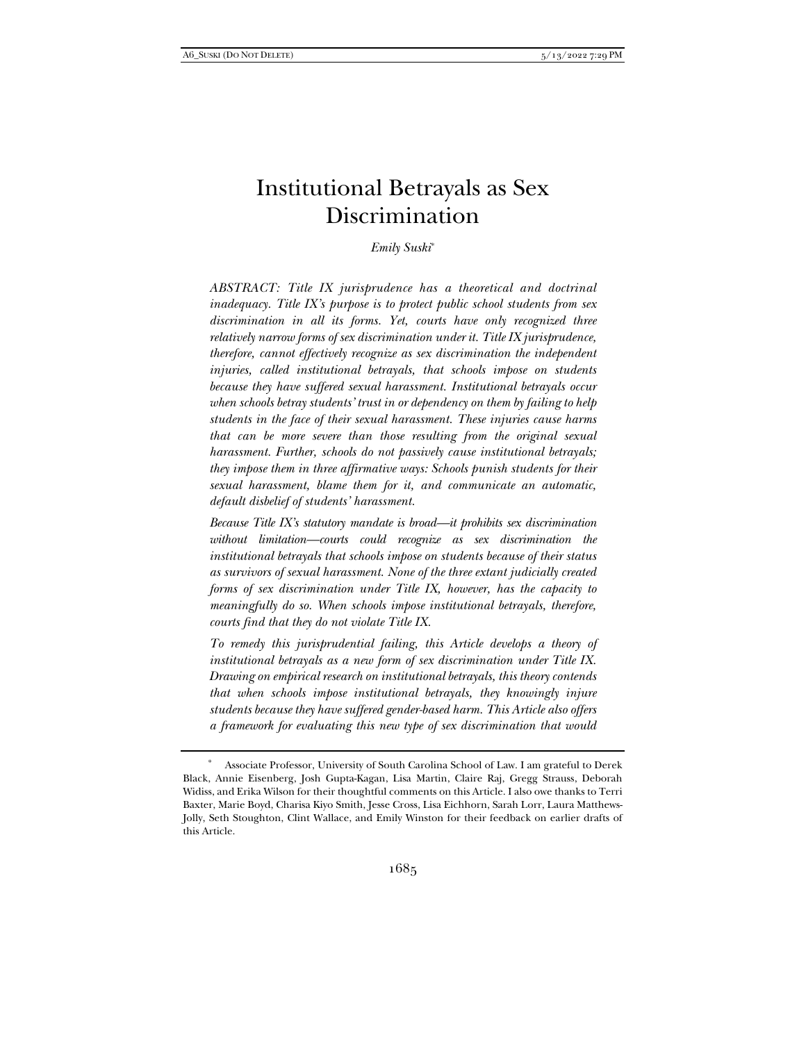# Institutional Betrayals as Sex Discrimination

## *Emily Suski*\*

*ABSTRACT: Title IX jurisprudence has a theoretical and doctrinal inadequacy. Title IX's purpose is to protect public school students from sex discrimination in all its forms. Yet, courts have only recognized three relatively narrow forms of sex discrimination under it. Title IX jurisprudence, therefore, cannot effectively recognize as sex discrimination the independent injuries, called institutional betrayals, that schools impose on students because they have suffered sexual harassment. Institutional betrayals occur when schools betray students' trust in or dependency on them by failing to help students in the face of their sexual harassment. These injuries cause harms that can be more severe than those resulting from the original sexual harassment. Further, schools do not passively cause institutional betrayals; they impose them in three affirmative ways: Schools punish students for their sexual harassment, blame them for it, and communicate an automatic, default disbelief of students' harassment.* 

*Because Title IX's statutory mandate is broad—it prohibits sex discrimination without limitation—courts could recognize as sex discrimination the institutional betrayals that schools impose on students because of their status as survivors of sexual harassment. None of the three extant judicially created forms of sex discrimination under Title IX, however, has the capacity to meaningfully do so. When schools impose institutional betrayals, therefore, courts find that they do not violate Title IX.* 

*To remedy this jurisprudential failing, this Article develops a theory of institutional betrayals as a new form of sex discrimination under Title IX. Drawing on empirical research on institutional betrayals, this theory contends that when schools impose institutional betrayals, they knowingly injure students because they have suffered gender-based harm. This Article also offers a framework for evaluating this new type of sex discrimination that would* 

 <sup>\*</sup> Associate Professor, University of South Carolina School of Law. I am grateful to Derek Black, Annie Eisenberg, Josh Gupta-Kagan, Lisa Martin, Claire Raj, Gregg Strauss, Deborah Widiss, and Erika Wilson for their thoughtful comments on this Article. I also owe thanks to Terri Baxter, Marie Boyd, Charisa Kiyo Smith, Jesse Cross, Lisa Eichhorn, Sarah Lorr, Laura Matthews-Jolly, Seth Stoughton, Clint Wallace, and Emily Winston for their feedback on earlier drafts of this Article.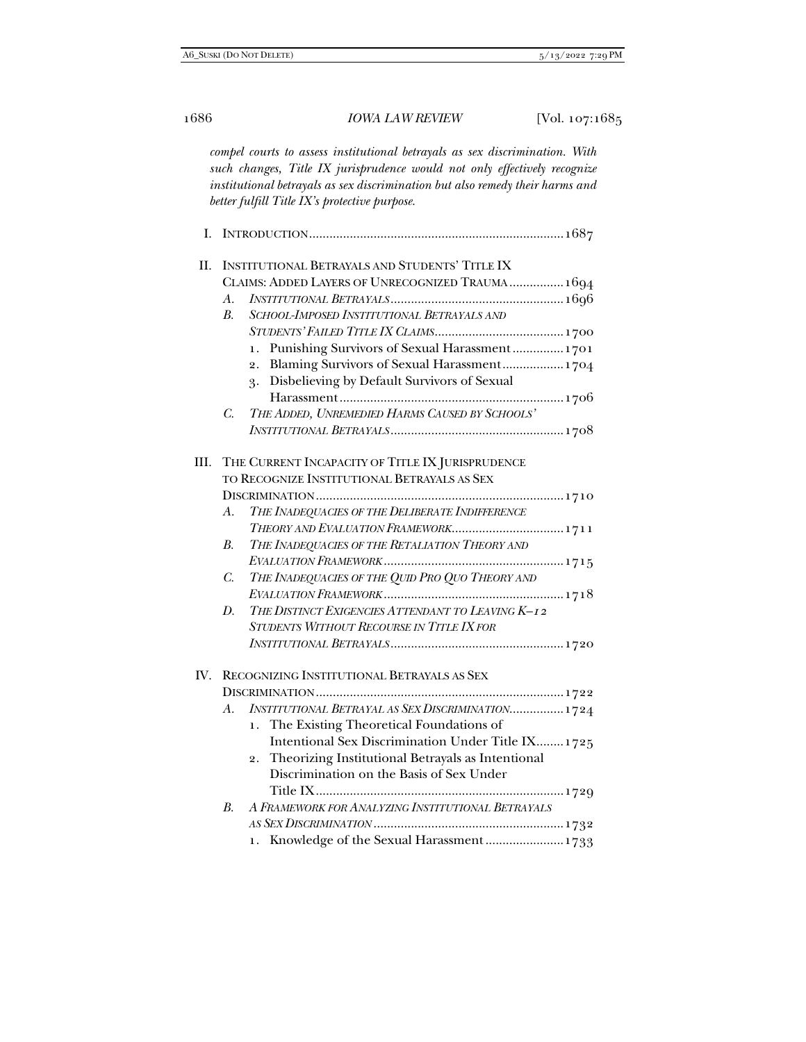*compel courts to assess institutional betrayals as sex discrimination. With such changes, Title IX jurisprudence would not only effectively recognize institutional betrayals as sex discrimination but also remedy their harms and better fulfill Title IX's protective purpose.*

| П.   | INSTITUTIONAL BETRAYALS AND STUDENTS' TITLE IX<br>CLAIMS: ADDED LAYERS OF UNRECOGNIZED TRAUMA 1694<br>$A_{\cdot}$<br>SCHOOL-IMPOSED INSTITUTIONAL BETRAYALS AND<br><i>B</i> .<br>Punishing Survivors of Sexual Harassment 1701<br>1.<br>Blaming Survivors of Sexual Harassment 1704<br>2.<br>Disbelieving by Default Survivors of Sexual<br>3.                                                                            |
|------|---------------------------------------------------------------------------------------------------------------------------------------------------------------------------------------------------------------------------------------------------------------------------------------------------------------------------------------------------------------------------------------------------------------------------|
|      | THE ADDED, UNREMEDIED HARMS CAUSED BY SCHOOLS'<br>C.                                                                                                                                                                                                                                                                                                                                                                      |
| III. | THE CURRENT INCAPACITY OF TITLE IX JURISPRUDENCE<br>TO RECOGNIZE INSTITUTIONAL BETRAYALS AS SEX<br>THE INADEQUACIES OF THE DELIBERATE INDIFFERENCE<br>А.<br>THEORY AND EVALUATION FRAMEWORK 1711<br>THE INADEQUACIES OF THE RETALIATION THEORY AND<br>В.<br>THE INADEQUACIES OF THE QUID PRO QUO THEORY AND<br>C.<br>THE DISTINCT EXIGENCIES ATTENDANT TO LEAVING K-12<br>D.<br>STUDENTS WITHOUT RECOURSE IN TITLE IX FOR |
|      | IV. RECOGNIZING INSTITUTIONAL BETRAYALS AS SEX<br>INSTITUTIONAL BETRAYAL AS SEX DISCRIMINATION 1724<br>А.<br>The Existing Theoretical Foundations of<br>1.<br>Intentional Sex Discrimination Under Title IX 1725<br>Theorizing Institutional Betrayals as Intentional<br>2.<br>Discrimination on the Basis of Sex Under<br>A FRAMEWORK FOR ANALYZING INSTITUTIONAL BETRAYALS<br>$B_{\cdot}$                               |
|      | 1. Knowledge of the Sexual Harassment 1733                                                                                                                                                                                                                                                                                                                                                                                |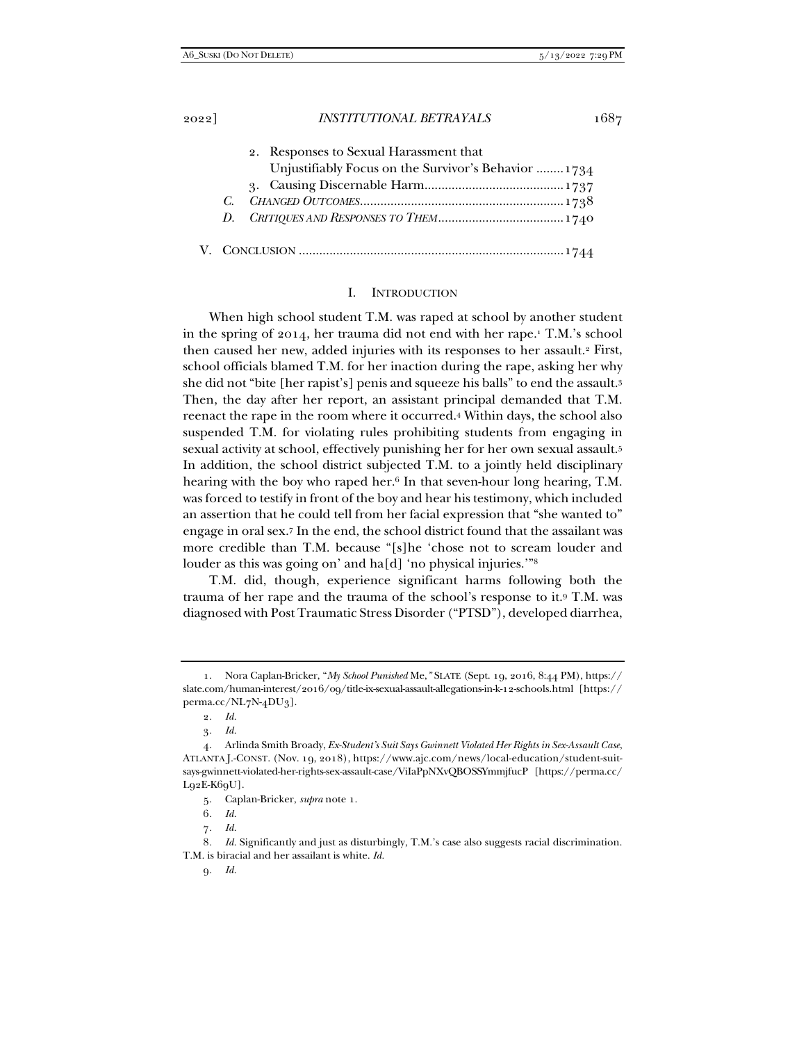| 2. Responses to Sexual Harassment that               |
|------------------------------------------------------|
| Unjustifiably Focus on the Survivor's Behavior  1734 |
|                                                      |
|                                                      |
|                                                      |

#### I. INTRODUCTION

When high school student T.M. was raped at school by another student in the spring of 2014, her trauma did not end with her rape.<sup>1</sup> T.M.'s school then caused her new, added injuries with its responses to her assault.2 First, school officials blamed T.M. for her inaction during the rape, asking her why she did not "bite [her rapist's] penis and squeeze his balls" to end the assault.3 Then, the day after her report, an assistant principal demanded that T.M. reenact the rape in the room where it occurred.4 Within days, the school also suspended T.M. for violating rules prohibiting students from engaging in sexual activity at school, effectively punishing her for her own sexual assault.5 In addition, the school district subjected T.M. to a jointly held disciplinary hearing with the boy who raped her.<sup>6</sup> In that seven-hour long hearing, T.M. was forced to testify in front of the boy and hear his testimony, which included an assertion that he could tell from her facial expression that "she wanted to" engage in oral sex.7 In the end, the school district found that the assailant was more credible than T.M. because "[s]he 'chose not to scream louder and louder as this was going on' and ha[d] 'no physical injuries.'"<sup>8</sup>

T.M. did, though, experience significant harms following both the trauma of her rape and the trauma of the school's response to it.9 T.M. was diagnosed with Post Traumatic Stress Disorder ("PTSD"), developed diarrhea,

 <sup>1.</sup> Nora Caplan-Bricker, "*My School Punished* Me,*"* SLATE (Sept. 19, 2016, 8:44 PM), https:// slate.com/human-interest/2016/09/title-ix-sexual-assault-allegations-in-k-12-schools.html [https:// perma.cc/NL7N-4DU3].

<sup>2</sup>*. Id.*

<sup>3</sup>*. Id.*

 <sup>4.</sup> Arlinda Smith Broady, *Ex-Student's Suit Says Gwinnett Violated Her Rights in Sex-Assault Case*, ATLANTA J.-CONST. (Nov. 19, 2018), https://www.ajc.com/news/local-education/student-suitsays-gwinnett-violated-her-rights-sex-assault-case/ViIaPpNXvQBOSSYmmjfucP [https://perma.cc/  $Lq2E-K6qU$ ].

 <sup>5.</sup> Caplan-Bricker, *supra* note 1.

<sup>6</sup>*. Id.*

<sup>7</sup>*. Id.*

<sup>8</sup>*. Id.* Significantly and just as disturbingly, T.M.'s case also suggests racial discrimination. T.M. is biracial and her assailant is white. *Id.*

<sup>9</sup>*. Id.*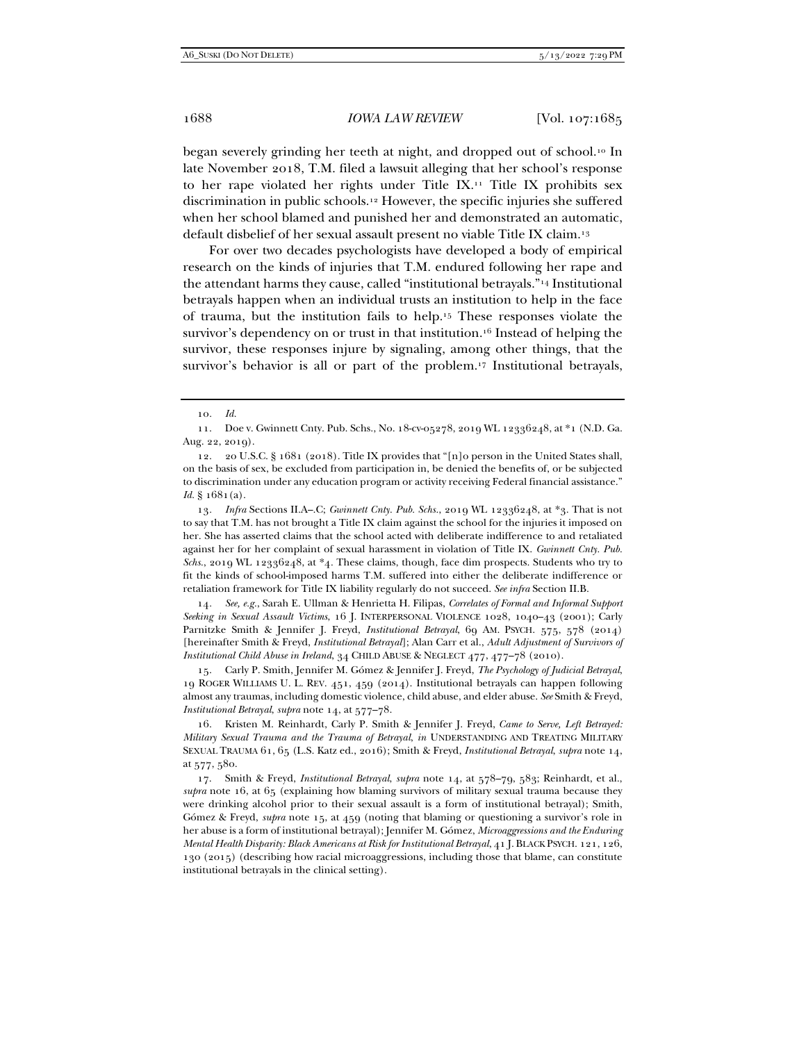began severely grinding her teeth at night, and dropped out of school.10 In late November 2018, T.M. filed a lawsuit alleging that her school's response to her rape violated her rights under Title IX.11 Title IX prohibits sex discrimination in public schools.12 However, the specific injuries she suffered when her school blamed and punished her and demonstrated an automatic, default disbelief of her sexual assault present no viable Title IX claim.13

For over two decades psychologists have developed a body of empirical research on the kinds of injuries that T.M. endured following her rape and the attendant harms they cause, called "institutional betrayals."14 Institutional betrayals happen when an individual trusts an institution to help in the face of trauma, but the institution fails to help.15 These responses violate the survivor's dependency on or trust in that institution.<sup>16</sup> Instead of helping the survivor, these responses injure by signaling, among other things, that the survivor's behavior is all or part of the problem.<sup>17</sup> Institutional betrayals,

13*. Infra* Sections II.A–.C; *Gwinnett Cnty. Pub. Schs.*, 2019 WL 12336248, at \*3. That is not to say that T.M. has not brought a Title IX claim against the school for the injuries it imposed on her. She has asserted claims that the school acted with deliberate indifference to and retaliated against her for her complaint of sexual harassment in violation of Title IX. *Gwinnett Cnty. Pub. Schs.*, 2019 WL 12336248, at \*4*.* These claims, though, face dim prospects. Students who try to fit the kinds of school-imposed harms T.M. suffered into either the deliberate indifference or retaliation framework for Title IX liability regularly do not succeed. *See infra* Section II.B.

14*. See, e.g.*, Sarah E. Ullman & Henrietta H. Filipas, *Correlates of Formal and Informal Support Seeking in Sexual Assault Victims*, 16 J. INTERPERSONAL VIOLENCE 1028, 1040–43 (2001); Carly Parnitzke Smith & Jennifer J. Freyd, *Institutional Betrayal*, 69 AM. PSYCH. 575, 578 (2014) [hereinafter Smith & Freyd, *Institutional Betrayal*]; Alan Carr et al., *Adult Adjustment of Survivors of Institutional Child Abuse in Ireland*, 34 CHILD ABUSE & NEGLECT 477, 477–78 (2010).

 15. Carly P. Smith, Jennifer M. Gómez & Jennifer J. Freyd, *The Psychology of Judicial Betrayal*, 19 ROGER WILLIAMS U. L. REV. 451, 459 (2014). Institutional betrayals can happen following almost any traumas, including domestic violence, child abuse, and elder abuse. *See* Smith & Freyd, *Institutional Betrayal*, *supra* note 14, at 577–78.

 16. Kristen M. Reinhardt, Carly P. Smith & Jennifer J. Freyd, *Came to Serve, Left Betrayed: Military Sexual Trauma and the Trauma of Betrayal*, *in* UNDERSTANDING AND TREATING MILITARY SEXUAL TRAUMA 61, 65 (L.S. Katz ed., 2016); Smith & Freyd, *Institutional Betrayal*, *supra* note 14, at 577, 580.

 17. Smith & Freyd, *Institutional Betrayal*, *supra* note 14, at 578–79, 583; Reinhardt, et al., *supra* note 16, at 65 (explaining how blaming survivors of military sexual trauma because they were drinking alcohol prior to their sexual assault is a form of institutional betrayal); Smith, Gómez & Freyd, *supra* note 15, at 459 (noting that blaming or questioning a survivor's role in her abuse is a form of institutional betrayal); Jennifer M. Gómez, *Microaggressions and the Enduring Mental Health Disparity: Black Americans at Risk for Institutional Betrayal*, 41 J. BLACK PSYCH. 121, 126, 130 (2015) (describing how racial microaggressions, including those that blame, can constitute institutional betrayals in the clinical setting).

<sup>10</sup>*. Id.*

 <sup>11.</sup> Doe v. Gwinnett Cnty. Pub. Schs., No. 18-cv-05278, 2019 WL 12336248, at \*1 (N.D. Ga. Aug. 22, 2019).

 <sup>12. 20</sup> U.S.C. § 1681 (2018). Title IX provides that "[n]o person in the United States shall, on the basis of sex, be excluded from participation in, be denied the benefits of, or be subjected to discrimination under any education program or activity receiving Federal financial assistance." *Id.* § 1681(a).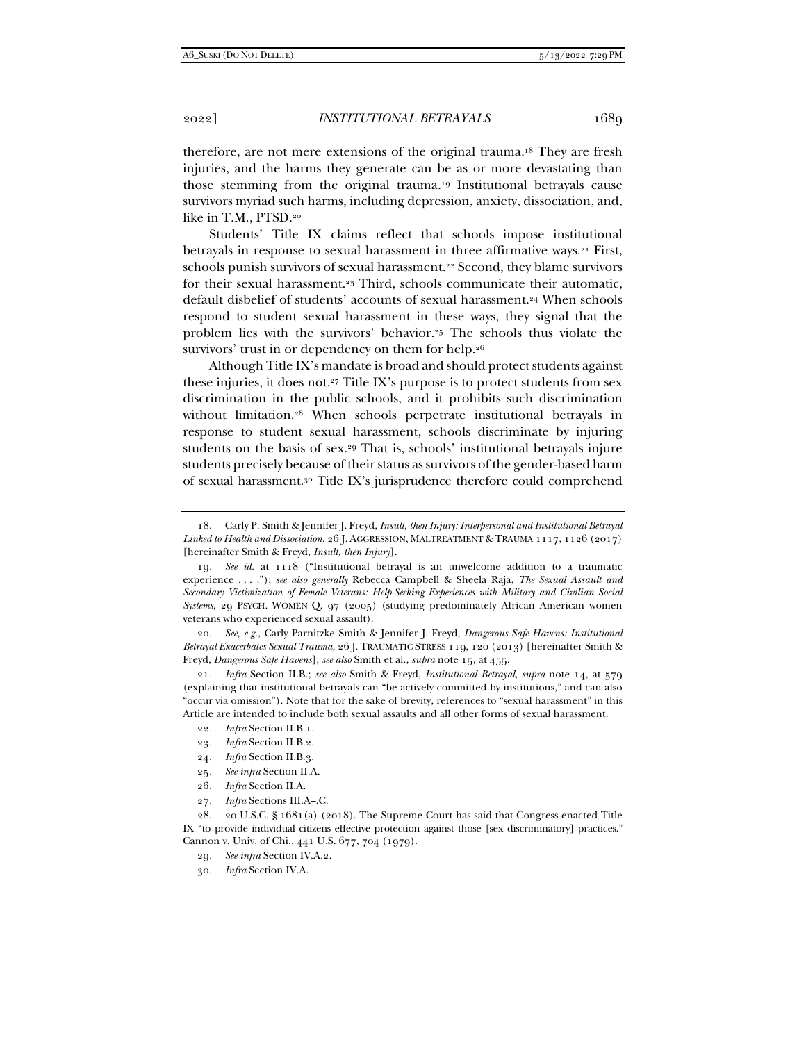therefore, are not mere extensions of the original trauma.18 They are fresh injuries, and the harms they generate can be as or more devastating than those stemming from the original trauma.19 Institutional betrayals cause survivors myriad such harms, including depression, anxiety, dissociation, and, like in T.M., PTSD.20

Students' Title IX claims reflect that schools impose institutional betrayals in response to sexual harassment in three affirmative ways.<sup>21</sup> First, schools punish survivors of sexual harassment.<sup>22</sup> Second, they blame survivors for their sexual harassment.23 Third, schools communicate their automatic, default disbelief of students' accounts of sexual harassment.24 When schools respond to student sexual harassment in these ways, they signal that the problem lies with the survivors' behavior.25 The schools thus violate the survivors' trust in or dependency on them for help.<sup>26</sup>

Although Title IX's mandate is broad and should protect students against these injuries, it does not.27 Title IX's purpose is to protect students from sex discrimination in the public schools, and it prohibits such discrimination without limitation.<sup>28</sup> When schools perpetrate institutional betrayals in response to student sexual harassment, schools discriminate by injuring students on the basis of sex.29 That is, schools' institutional betrayals injure students precisely because of their status as survivors of the gender-based harm of sexual harassment.30 Title IX's jurisprudence therefore could comprehend

20*. See, e.g.*, Carly Parnitzke Smith & Jennifer J. Freyd, *Dangerous Safe Havens: Institutional Betrayal Exacerbates Sexual Trauma*, 26 J. TRAUMATIC STRESS 119, 120 (2013) [hereinafter Smith & Freyd, *Dangerous Safe Havens*]; *see also* Smith et al., *supra* note 15, at 455.

21*. Infra* Section II.B.; *see also* Smith & Freyd, *Institutional Betrayal*, *supra* note 14, at 579 (explaining that institutional betrayals can "be actively committed by institutions," and can also "occur via omission"). Note that for the sake of brevity, references to "sexual harassment" in this Article are intended to include both sexual assaults and all other forms of sexual harassment.

- 22*. Infra* Section II.B.1.
- 23*. Infra* Section II.B.2.
- 24*. Infra* Section II.B.3.
- 25*. See infra* Section II.A.
- 26*. Infra* Section II.A.
- 27*. Infra* Sections III.A–.C.

 28. 20 U.S.C. § 1681(a) (2018). The Supreme Court has said that Congress enacted Title IX "to provide individual citizens effective protection against those [sex discriminatory] practices." Cannon v. Univ. of Chi., 441 U.S. 677, 704 (1979).

29*. See infra* Section IV.A.2.

30*. Infra* Section IV.A.

 <sup>18.</sup> Carly P. Smith & Jennifer J. Freyd, *Insult, then Injury: Interpersonal and Institutional Betrayal Linked to Health and Dissociation*, 26 J. AGGRESSION, MALTREATMENT & TRAUMA 1117, 1126 (2017) [hereinafter Smith & Freyd, *Insult, then Injury*].

<sup>19</sup>*. See id.* at 1118 ("Institutional betrayal is an unwelcome addition to a traumatic experience . . . ."); *see also generally* Rebecca Campbell & Sheela Raja, *The Sexual Assault and Secondary Victimization of Female Veterans: Help-Seeking Experiences with Military and Civilian Social Systems*, 29 PSYCH. WOMEN Q. 97 (2005) (studying predominately African American women veterans who experienced sexual assault).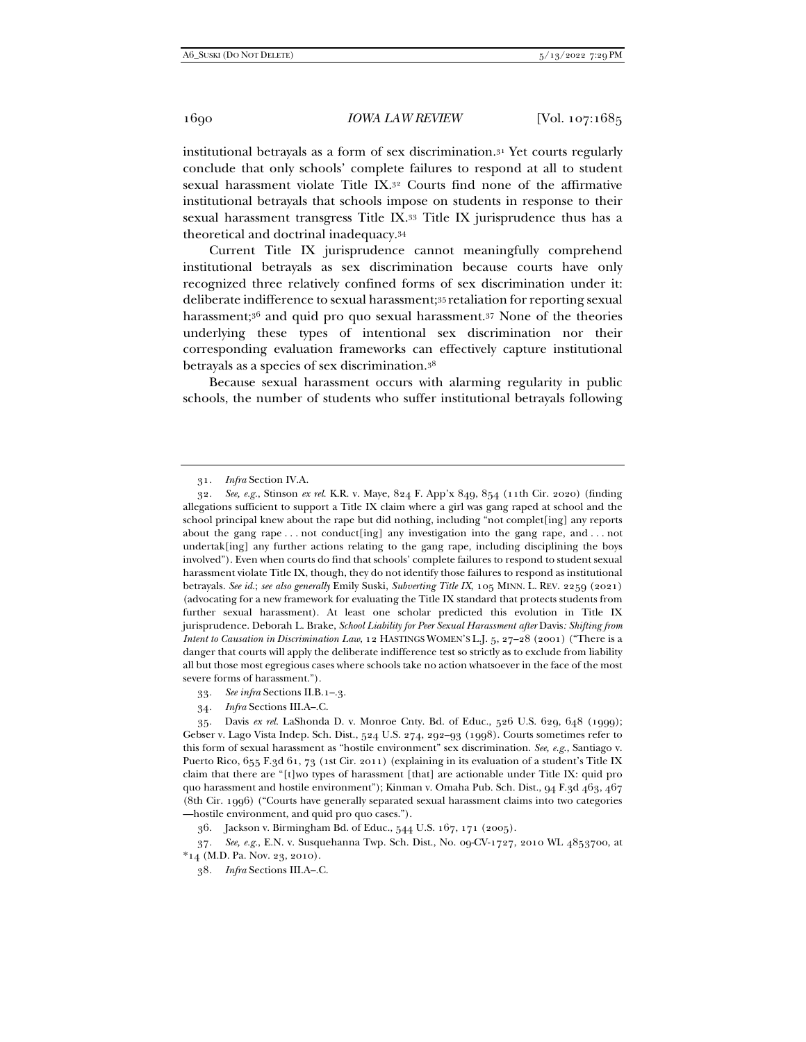institutional betrayals as a form of sex discrimination.31 Yet courts regularly conclude that only schools' complete failures to respond at all to student sexual harassment violate Title IX.32 Courts find none of the affirmative institutional betrayals that schools impose on students in response to their sexual harassment transgress Title IX.33 Title IX jurisprudence thus has a theoretical and doctrinal inadequacy.34

Current Title IX jurisprudence cannot meaningfully comprehend institutional betrayals as sex discrimination because courts have only recognized three relatively confined forms of sex discrimination under it: deliberate indifference to sexual harassment;35 retaliation for reporting sexual harassment;<sup>36</sup> and quid pro quo sexual harassment.<sup>37</sup> None of the theories underlying these types of intentional sex discrimination nor their corresponding evaluation frameworks can effectively capture institutional betrayals as a species of sex discrimination.38

Because sexual harassment occurs with alarming regularity in public schools, the number of students who suffer institutional betrayals following

<sup>31</sup>*. Infra* Section IV.A.

<sup>32</sup>*. See, e.g.*, Stinson *ex rel.* K.R. v. Maye, 824 F. App'x 849, 854 (11th Cir. 2020) (finding allegations sufficient to support a Title IX claim where a girl was gang raped at school and the school principal knew about the rape but did nothing, including "not complet[ing] any reports about the gang rape  $\dots$  not conduct [ing] any investigation into the gang rape, and  $\dots$  not undertak[ing] any further actions relating to the gang rape, including disciplining the boys involved"). Even when courts do find that schools' complete failures to respond to student sexual harassment violate Title IX, though, they do not identify those failures to respond as institutional betrayals. *See id.*; *see also generally* Emily Suski, *Subverting Title IX*, 105 MINN. L. REV. 2259 (2021) (advocating for a new framework for evaluating the Title IX standard that protects students from further sexual harassment). At least one scholar predicted this evolution in Title IX jurisprudence. Deborah L. Brake, *School Liability for Peer Sexual Harassment after* Davis*: Shifting from Intent to Causation in Discrimination Law*, 12 HASTINGS WOMEN'S L.J. 5, 27–28 (2001) ("There is a danger that courts will apply the deliberate indifference test so strictly as to exclude from liability all but those most egregious cases where schools take no action whatsoever in the face of the most severe forms of harassment.").

<sup>33</sup>*. See infra* Sections II.B.1–.3.

<sup>34</sup>*. Infra* Sections III.A–.C.

 <sup>35.</sup> Davis *ex rel.* LaShonda D. v. Monroe Cnty. Bd. of Educ., 526 U.S. 629, 648 (1999); Gebser v. Lago Vista Indep. Sch. Dist., 524 U.S. 274, 292–93 (1998). Courts sometimes refer to this form of sexual harassment as "hostile environment" sex discrimination. *See, e.g.*, Santiago v. Puerto Rico, 655 F.3d 61, 73 (1st Cir. 2011) (explaining in its evaluation of a student's Title IX claim that there are "[t]wo types of harassment [that] are actionable under Title IX: quid pro quo harassment and hostile environment"); Kinman v. Omaha Pub. Sch. Dist., 94 F.3d 463, 467 (8th Cir. 1996) ("Courts have generally separated sexual harassment claims into two categories —hostile environment, and quid pro quo cases.").

 <sup>36.</sup> Jackson v. Birmingham Bd. of Educ., 544 U.S. 167, 171 (2005).

<sup>37</sup>*. See, e.g.*, E.N. v. Susquehanna Twp. Sch. Dist., No. 09-CV-1727, 2010 WL 4853700, at \*14 (M.D. Pa. Nov. 23, 2010).

<sup>38</sup>*. Infra* Sections III.A–.C.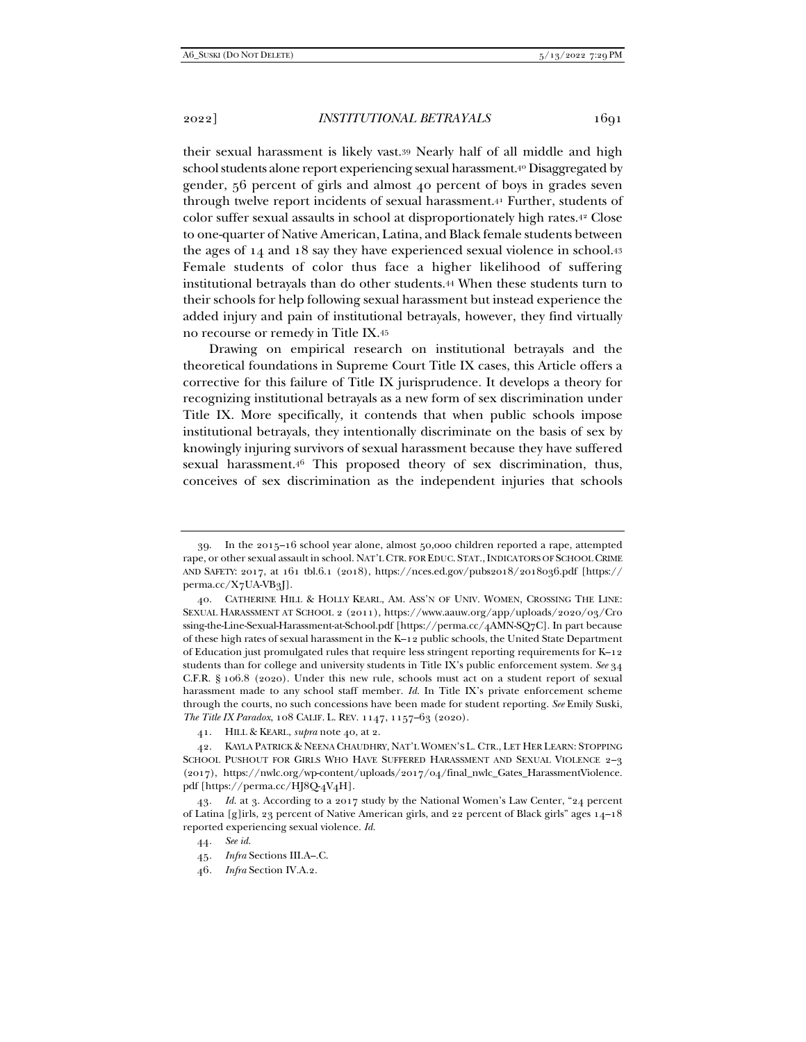their sexual harassment is likely vast.39 Nearly half of all middle and high school students alone report experiencing sexual harassment.40 Disaggregated by gender, 56 percent of girls and almost 40 percent of boys in grades seven through twelve report incidents of sexual harassment.41 Further, students of color suffer sexual assaults in school at disproportionately high rates.42 Close to one-quarter of Native American, Latina, and Black female students between the ages of 14 and 18 say they have experienced sexual violence in school.43 Female students of color thus face a higher likelihood of suffering institutional betrayals than do other students.44 When these students turn to their schools for help following sexual harassment but instead experience the added injury and pain of institutional betrayals, however, they find virtually no recourse or remedy in Title IX.45

Drawing on empirical research on institutional betrayals and the theoretical foundations in Supreme Court Title IX cases, this Article offers a corrective for this failure of Title IX jurisprudence. It develops a theory for recognizing institutional betrayals as a new form of sex discrimination under Title IX. More specifically, it contends that when public schools impose institutional betrayals, they intentionally discriminate on the basis of sex by knowingly injuring survivors of sexual harassment because they have suffered sexual harassment.46 This proposed theory of sex discrimination, thus, conceives of sex discrimination as the independent injuries that schools

 <sup>39.</sup> In the 2015–16 school year alone, almost 50,000 children reported a rape, attempted rape, or other sexual assault in school. NAT'L CTR. FOR EDUC. STAT.,INDICATORS OF SCHOOL CRIME AND SAFETY: 2017, at 161 tbl.6.1 (2018), https://nces.ed.gov/pubs2018/2018036.pdf [https:// perma.cc/X7UA-VB3J].

 <sup>40.</sup> CATHERINE HILL & HOLLY KEARL, AM. ASS'N OF UNIV. WOMEN, CROSSING THE LINE: SEXUAL HARASSMENT AT SCHOOL 2 (2011), https://www.aauw.org/app/uploads/2020/03/Cro ssing-the-Line-Sexual-Harassment-at-School.pdf [https://perma.cc/4AMN-SQ7C]. In part because of these high rates of sexual harassment in the K–12 public schools, the United State Department of Education just promulgated rules that require less stringent reporting requirements for K–12 students than for college and university students in Title IX's public enforcement system. *See* 34 C.F.R. § 106.8 (2020). Under this new rule, schools must act on a student report of sexual harassment made to any school staff member. *Id.* In Title IX's private enforcement scheme through the courts, no such concessions have been made for student reporting. *See* Emily Suski, *The Title IX Paradox*, 108 CALIF. L. REV. 1147, 1157–63 (2020).

 <sup>41.</sup> HILL & KEARL, *supra* note 40, at 2.

 <sup>42.</sup> KAYLA PATRICK & NEENA CHAUDHRY, NAT'L WOMEN'S L. CTR., LET HER LEARN: STOPPING SCHOOL PUSHOUT FOR GIRLS WHO HAVE SUFFERED HARASSMENT AND SEXUAL VIOLENCE 2–3 (2017), https://nwlc.org/wp-content/uploads/2017/04/final\_nwlc\_Gates\_HarassmentViolence. pdf [https://perma.cc/HJ8Q-4V4H].

<sup>43</sup>*. Id.* at 3. According to a 2017 study by the National Women's Law Center, "24 percent of Latina [g]irls, 23 percent of Native American girls, and 22 percent of Black girls" ages 14–18 reported experiencing sexual violence. *Id.*

<sup>44</sup>*. See id.*

<sup>45</sup>*. Infra* Sections III.A–.C.

<sup>46</sup>*. Infra* Section IV.A.2.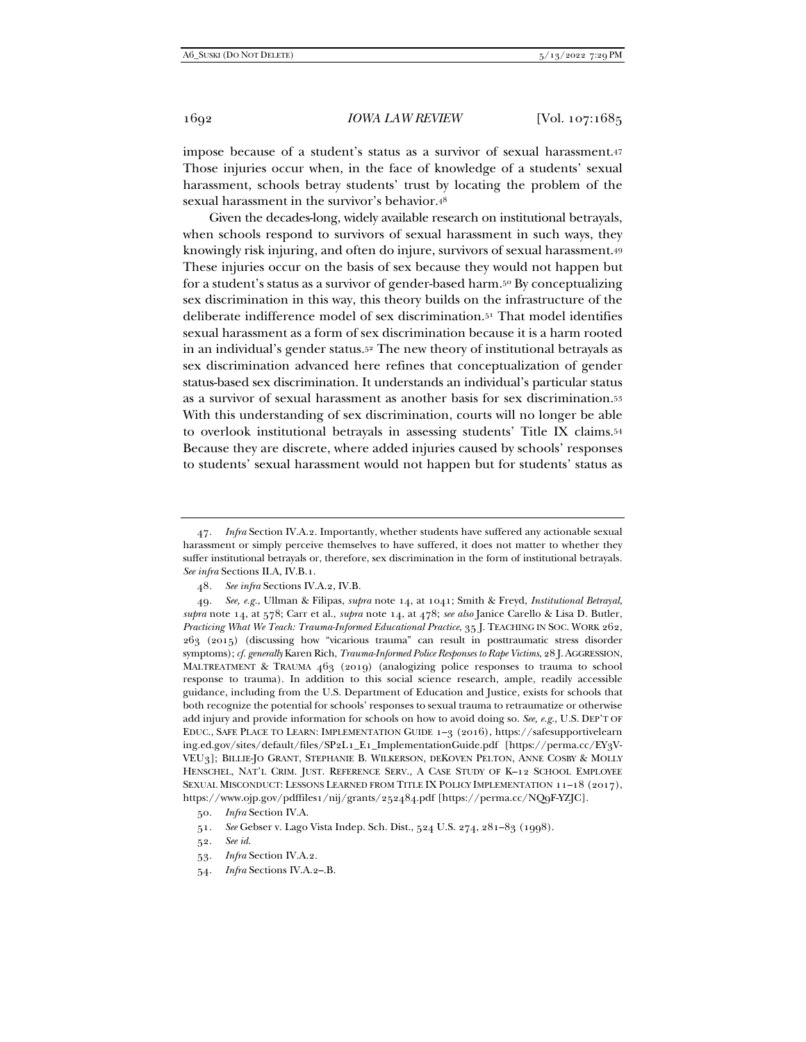impose because of a student's status as a survivor of sexual harassment.47 Those injuries occur when, in the face of knowledge of a students' sexual harassment, schools betray students' trust by locating the problem of the sexual harassment in the survivor's behavior.48

Given the decades-long, widely available research on institutional betrayals, when schools respond to survivors of sexual harassment in such ways, they knowingly risk injuring, and often do injure, survivors of sexual harassment.49 These injuries occur on the basis of sex because they would not happen but for a student's status as a survivor of gender-based harm.50 By conceptualizing sex discrimination in this way, this theory builds on the infrastructure of the deliberate indifference model of sex discrimination.51 That model identifies sexual harassment as a form of sex discrimination because it is a harm rooted in an individual's gender status.52 The new theory of institutional betrayals as sex discrimination advanced here refines that conceptualization of gender status-based sex discrimination. It understands an individual's particular status as a survivor of sexual harassment as another basis for sex discrimination.53 With this understanding of sex discrimination, courts will no longer be able to overlook institutional betrayals in assessing students' Title IX claims.54 Because they are discrete, where added injuries caused by schools' responses to students' sexual harassment would not happen but for students' status as

<sup>47</sup>*. Infra* Section IV.A.2. Importantly, whether students have suffered any actionable sexual harassment or simply perceive themselves to have suffered, it does not matter to whether they suffer institutional betrayals or, therefore, sex discrimination in the form of institutional betrayals. *See infra* Sections II.A, IV.B.1.

<sup>48</sup>*. See infra* Sections IV.A.2, IV.B.

<sup>49</sup>*. See, e.g.*, Ullman & Filipas, *supra* note 14, at 1041; Smith & Freyd, *Institutional Betrayal*, *supra* note 14, at 578; Carr et al., *supra* note 14, at 478; *see also* Janice Carello & Lisa D. Butler, *Practicing What We Teach: Trauma-Informed Educational Practice*, 35 J. TEACHING IN SOC. WORK 262, 263 (2015) (discussing how "vicarious trauma" can result in posttraumatic stress disorder symptoms); *cf. generally* Karen Rich, *Trauma-Informed Police Responses to Rape Victims*, 28 J.AGGRESSION, MALTREATMENT & TRAUMA 463 (2019) (analogizing police responses to trauma to school response to trauma). In addition to this social science research, ample, readily accessible guidance, including from the U.S. Department of Education and Justice, exists for schools that both recognize the potential for schools' responses to sexual trauma to retraumatize or otherwise add injury and provide information for schools on how to avoid doing so. *See, e.g.*, U.S. DEP'T OF EDUC., SAFE PLACE TO LEARN: IMPLEMENTATION GUIDE 1–3 (2016), https://safesupportivelearn ing.ed.gov/sites/default/files/SP2L1\_E1\_ImplementationGuide.pdf [https://perma.cc/EY3V-VEU3]; BILLIE-JO GRANT, STEPHANIE B. WILKERSON, DEKOVEN PELTON, ANNE COSBY & MOLLY HENSCHEL, NAT'L CRIM. JUST. REFERENCE SERV., A CASE STUDY OF K–12 SCHOOL EMPLOYEE SEXUAL MISCONDUCT: LESSONS LEARNED FROM TITLE IX POLICY IMPLEMENTATION 11–18 (2017), https://www.ojp.gov/pdffiles1/nij/grants/252484.pdf [https://perma.cc/NQ9F-YZJC].

<sup>50</sup>*. Infra* Section IV.A.

<sup>51</sup>*. See* Gebser v. Lago Vista Indep. Sch. Dist., 524 U.S. 274, 281–83 (1998).

<sup>52</sup>*. See id.*

<sup>53</sup>*. Infra* Section IV.A.2.

<sup>54</sup>*. Infra* Sections IV.A.2–.B.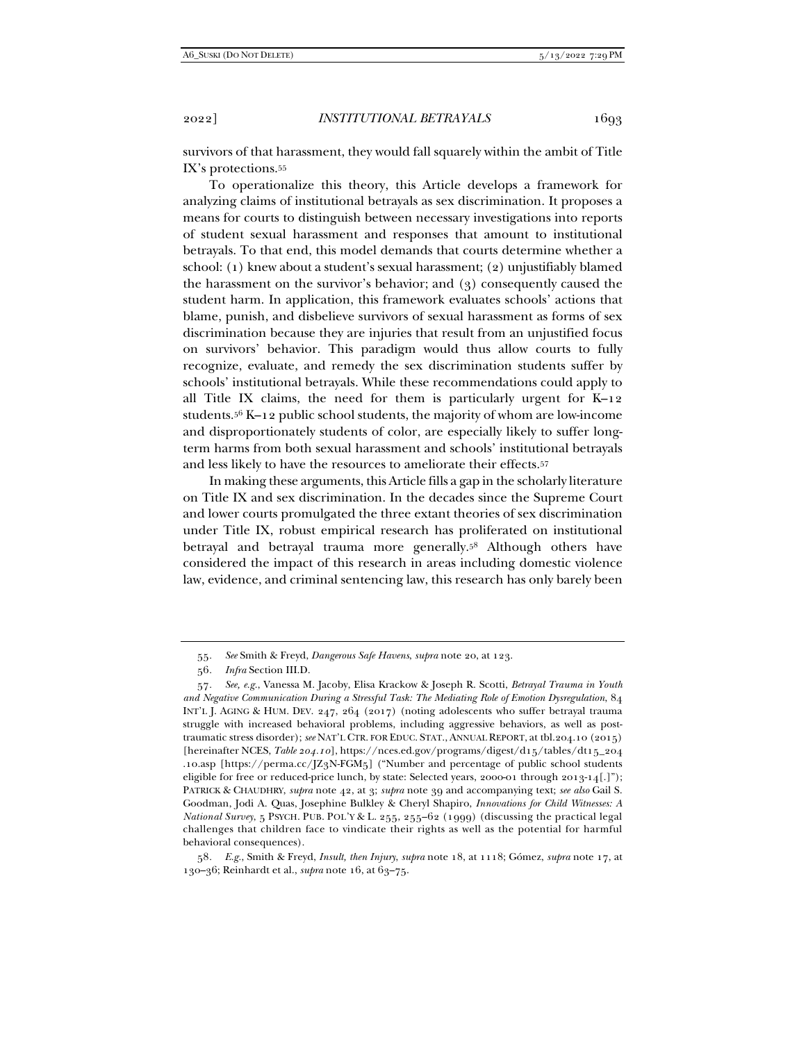survivors of that harassment, they would fall squarely within the ambit of Title IX's protections.55

To operationalize this theory, this Article develops a framework for analyzing claims of institutional betrayals as sex discrimination. It proposes a means for courts to distinguish between necessary investigations into reports of student sexual harassment and responses that amount to institutional betrayals. To that end, this model demands that courts determine whether a school: (1) knew about a student's sexual harassment; (2) unjustifiably blamed the harassment on the survivor's behavior; and (3) consequently caused the student harm. In application, this framework evaluates schools' actions that blame, punish, and disbelieve survivors of sexual harassment as forms of sex discrimination because they are injuries that result from an unjustified focus on survivors' behavior. This paradigm would thus allow courts to fully recognize, evaluate, and remedy the sex discrimination students suffer by schools' institutional betrayals. While these recommendations could apply to all Title IX claims, the need for them is particularly urgent for K–12 students.56 K–12 public school students, the majority of whom are low-income and disproportionately students of color, are especially likely to suffer longterm harms from both sexual harassment and schools' institutional betrayals and less likely to have the resources to ameliorate their effects.57

In making these arguments, this Article fills a gap in the scholarly literature on Title IX and sex discrimination. In the decades since the Supreme Court and lower courts promulgated the three extant theories of sex discrimination under Title IX, robust empirical research has proliferated on institutional betrayal and betrayal trauma more generally.58 Although others have considered the impact of this research in areas including domestic violence law, evidence, and criminal sentencing law, this research has only barely been

56*. Infra* Section III.D.

<sup>55</sup>*. See* Smith & Freyd, *Dangerous Safe Havens*, *supra* note 20, at 123.

<sup>57</sup>*. See, e.g.*, Vanessa M. Jacoby, Elisa Krackow & Joseph R. Scotti, *Betrayal Trauma in Youth and Negative Communication During a Stressful Task: The Mediating Role of Emotion Dysregulation*, 84 INT'L J. AGING & HUM. DEV. 247, 264 (2017) (noting adolescents who suffer betrayal trauma struggle with increased behavioral problems, including aggressive behaviors, as well as posttraumatic stress disorder); *see* NAT'L CTR. FOR EDUC. STAT., ANNUAL REPORT, at tbl.204.10 (2015) [hereinafter NCES, *Table 204.10*], https://nces.ed.gov/programs/digest/d15/tables/dt15\_204 .10.asp [https://perma.cc/JZ3N-FGM5] ("Number and percentage of public school students eligible for free or reduced-price lunch, by state: Selected years, 2000-01 through 2013-14[.]"); PATRICK & CHAUDHRY, *supra* note 42, at 3; *supra* note 39 and accompanying text; *see also* Gail S. Goodman, Jodi A. Quas, Josephine Bulkley & Cheryl Shapiro, *Innovations for Child Witnesses: A National Survey*, 5 PSYCH. PUB. POL'Y & L. 255, 255–62 (1999) (discussing the practical legal challenges that children face to vindicate their rights as well as the potential for harmful behavioral consequences).

<sup>58</sup>*. E.g.*, Smith & Freyd, *Insult, then Injury*, *supra* note 18, at 1118; Gómez, *supra* note 17, at 130–36; Reinhardt et al., *supra* note 16, at 63–75.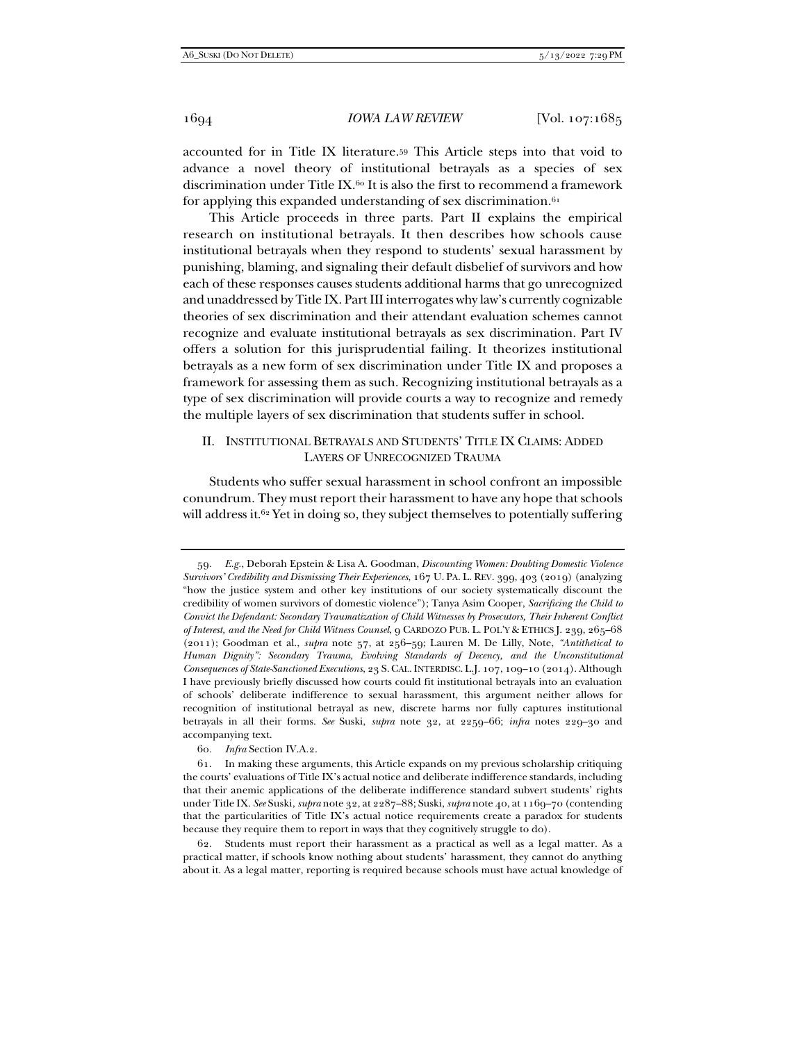accounted for in Title IX literature.59 This Article steps into that void to advance a novel theory of institutional betrayals as a species of sex discrimination under Title IX.<sup>60</sup> It is also the first to recommend a framework for applying this expanded understanding of sex discrimination. $61$ 

This Article proceeds in three parts. Part II explains the empirical research on institutional betrayals. It then describes how schools cause institutional betrayals when they respond to students' sexual harassment by punishing, blaming, and signaling their default disbelief of survivors and how each of these responses causes students additional harms that go unrecognized and unaddressed by Title IX. Part III interrogates why law's currently cognizable theories of sex discrimination and their attendant evaluation schemes cannot recognize and evaluate institutional betrayals as sex discrimination. Part IV offers a solution for this jurisprudential failing. It theorizes institutional betrayals as a new form of sex discrimination under Title IX and proposes a framework for assessing them as such. Recognizing institutional betrayals as a type of sex discrimination will provide courts a way to recognize and remedy the multiple layers of sex discrimination that students suffer in school.

# II. INSTITUTIONAL BETRAYALS AND STUDENTS' TITLE IX CLAIMS: ADDED LAYERS OF UNRECOGNIZED TRAUMA

Students who suffer sexual harassment in school confront an impossible conundrum. They must report their harassment to have any hope that schools will address it.<sup>62</sup> Yet in doing so, they subject themselves to potentially suffering

<sup>59</sup>*. E.g.*, Deborah Epstein & Lisa A. Goodman, *Discounting Women: Doubting Domestic Violence Survivors' Credibility and Dismissing Their Experiences*, 167 U. PA. L. REV. 399, 403 (2019) (analyzing "how the justice system and other key institutions of our society systematically discount the credibility of women survivors of domestic violence"); Tanya Asim Cooper, *Sacrificing the Child to Convict the Defendant: Secondary Traumatization of Child Witnesses by Prosecutors, Their Inherent Conflict of Interest, and the Need for Child Witness Counsel*, 9 CARDOZO PUB. L. POL'Y & ETHICS J. 239, 265–68 (2011); Goodman et al., *supra* note 57, at 256–59; Lauren M. De Lilly, Note, *"Antithetical to Human Dignity": Secondary Trauma, Evolving Standards of Decency, and the Unconstitutional Consequences of State-Sanctioned Executions*, 23 S.CAL.INTERDISC. L.J. 107, 109–10 (2014). Although I have previously briefly discussed how courts could fit institutional betrayals into an evaluation of schools' deliberate indifference to sexual harassment, this argument neither allows for recognition of institutional betrayal as new, discrete harms nor fully captures institutional betrayals in all their forms. *See* Suski, *supra* note 32, at 2259–66; *infra* notes 229–30 and accompanying text.

<sup>60</sup>*. Infra* Section IV.A.2.

 <sup>61.</sup> In making these arguments, this Article expands on my previous scholarship critiquing the courts' evaluations of Title IX's actual notice and deliberate indifference standards, including that their anemic applications of the deliberate indifference standard subvert students' rights under Title IX. *See* Suski, *supra* note 32, at 2287–88; Suski, *supra* note 40, at 1169–70 (contending that the particularities of Title IX's actual notice requirements create a paradox for students because they require them to report in ways that they cognitively struggle to do).

 <sup>62.</sup> Students must report their harassment as a practical as well as a legal matter. As a practical matter, if schools know nothing about students' harassment, they cannot do anything about it. As a legal matter, reporting is required because schools must have actual knowledge of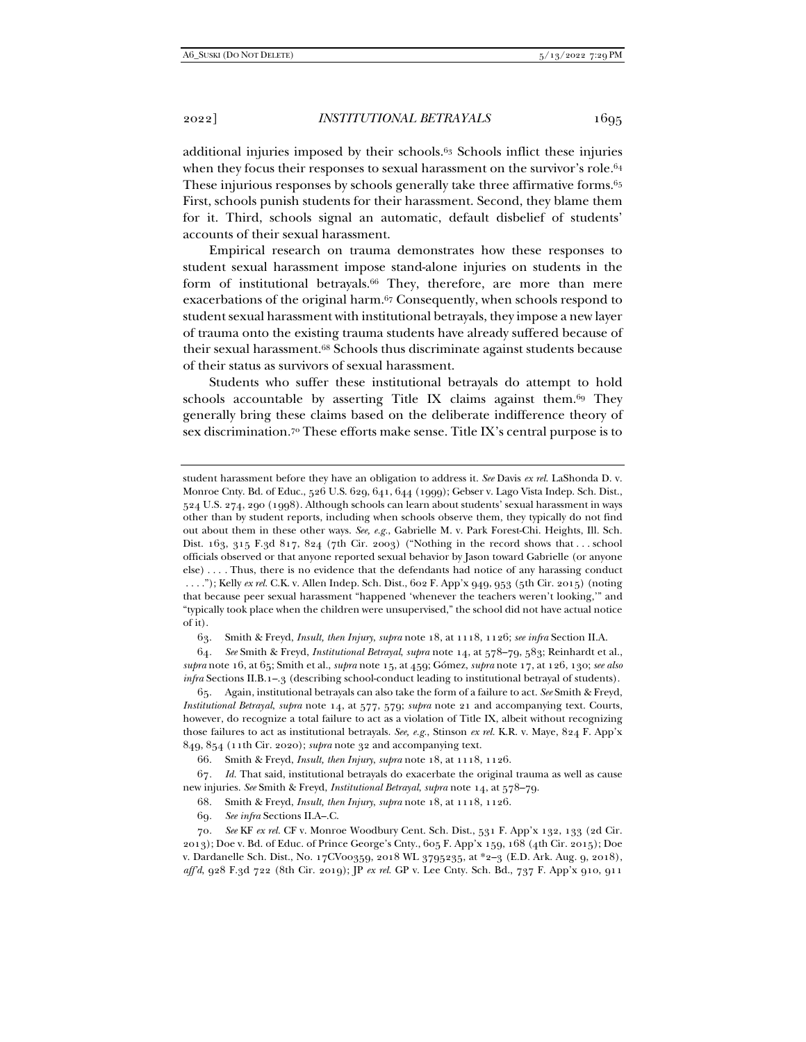additional injuries imposed by their schools.63 Schools inflict these injuries when they focus their responses to sexual harassment on the survivor's role.<sup>64</sup> These injurious responses by schools generally take three affirmative forms.<sup>65</sup> First, schools punish students for their harassment. Second, they blame them for it. Third, schools signal an automatic, default disbelief of students' accounts of their sexual harassment.

Empirical research on trauma demonstrates how these responses to student sexual harassment impose stand-alone injuries on students in the form of institutional betrayals.<sup>66</sup> They, therefore, are more than mere exacerbations of the original harm.67 Consequently, when schools respond to student sexual harassment with institutional betrayals, they impose a new layer of trauma onto the existing trauma students have already suffered because of their sexual harassment.68 Schools thus discriminate against students because of their status as survivors of sexual harassment.

Students who suffer these institutional betrayals do attempt to hold schools accountable by asserting Title IX claims against them.<sup>69</sup> They generally bring these claims based on the deliberate indifference theory of sex discrimination.70 These efforts make sense. Title IX's central purpose is to

63. Smith & Freyd, *Insult, then Injury*, *supra* note 18, at 1118, 1126; *see infra* Section II.A.

64*. See* Smith & Freyd, *Institutional Betrayal*, *supra* note 14, at 578–79, 583; Reinhardt et al., *supra* note 16, at 65; Smith et al., *supra* note 15, at 459; Gómez, *supra* note 17, at 126, 130; *see also infra* Sections II.B.1–.3 (describing school-conduct leading to institutional betrayal of students).

 65. Again, institutional betrayals can also take the form of a failure to act. *See* Smith & Freyd, *Institutional Betrayal*, *supra* note 14, at 577, 579; *supra* note 21 and accompanying text. Courts, however, do recognize a total failure to act as a violation of Title IX, albeit without recognizing those failures to act as institutional betrayals. *See, e.g.*, Stinson *ex rel.* K.R. v. Maye, 824 F. App'x 849, 854 (11th Cir. 2020); *supra* note 32 and accompanying text.

67*. Id.* That said, institutional betrayals do exacerbate the original trauma as well as cause new injuries. *See* Smith & Freyd, *Institutional Betrayal*, *supra* note 14, at 578–79.

69*. See infra* Sections II.A–.C.

student harassment before they have an obligation to address it. *See* Davis *ex rel.* LaShonda D. v. Monroe Cnty. Bd. of Educ., 526 U.S. 629, 641, 644 (1999); Gebser v. Lago Vista Indep. Sch. Dist., 524 U.S. 274, 290 (1998). Although schools can learn about students' sexual harassment in ways other than by student reports, including when schools observe them, they typically do not find out about them in these other ways. *See, e.g.*, Gabrielle M. v. Park Forest-Chi. Heights, Ill. Sch. Dist. 163, 315 F.3d 817, 824 (7th Cir. 2003) ("Nothing in the record shows that . . . school officials observed or that anyone reported sexual behavior by Jason toward Gabrielle (or anyone else) . . . . Thus, there is no evidence that the defendants had notice of any harassing conduct . . . ."); Kelly *ex rel.* C.K. v. Allen Indep. Sch. Dist., 602 F. App'x 949, 953 (5th Cir. 2015) (noting that because peer sexual harassment "happened 'whenever the teachers weren't looking,'" and "typically took place when the children were unsupervised," the school did not have actual notice of it).

 <sup>66.</sup> Smith & Freyd, *Insult, then Injury*, *supra* note 18, at 1118, 1126.

 <sup>68.</sup> Smith & Freyd, *Insult, then Injury*, *supra* note 18, at 1118, 1126.

<sup>70</sup>*. See* KF *ex rel.* CF v. Monroe Woodbury Cent. Sch. Dist., 531 F. App'x 132, 133 (2d Cir. 2013); Doe v. Bd. of Educ. of Prince George's Cnty., 605 F. App'x 159, 168 (4th Cir. 2015); Doe v. Dardanelle Sch. Dist., No. 17CV00359, 2018 WL 3795235, at \*2–3 (E.D. Ark. Aug. 9, 2018), *aff'd*, 928 F.3d 722 (8th Cir. 2019); JP *ex rel.* GP v. Lee Cnty. Sch. Bd., 737 F. App'x 910, 911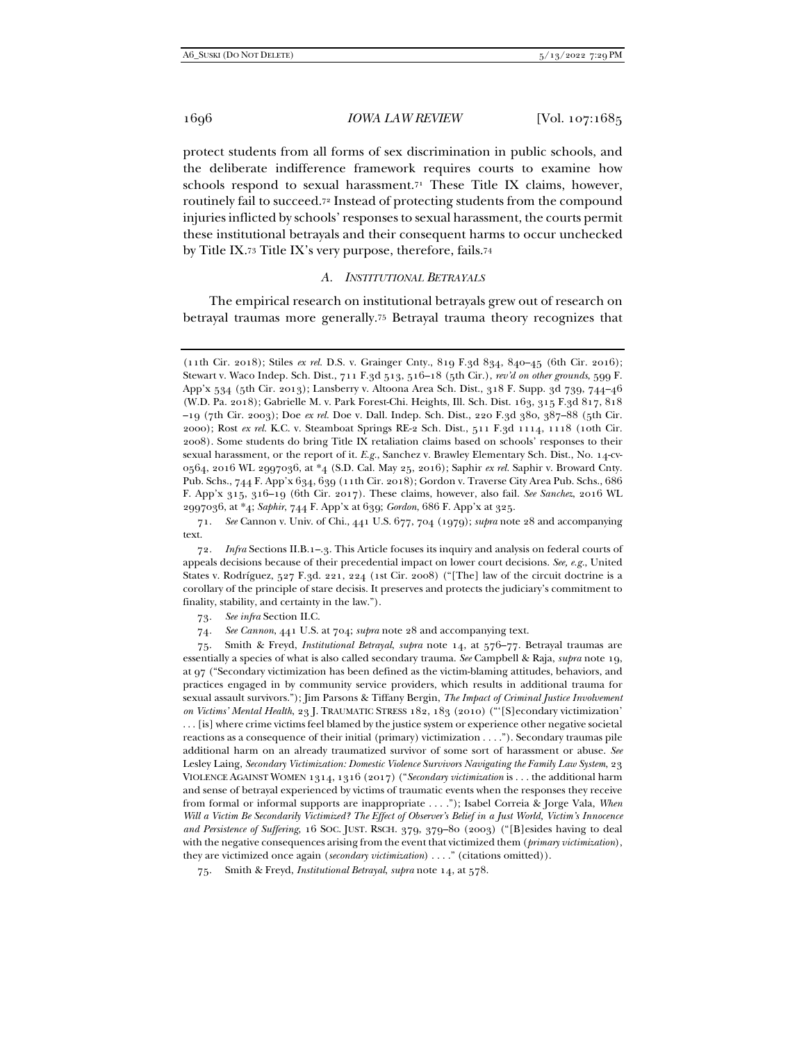protect students from all forms of sex discrimination in public schools, and the deliberate indifference framework requires courts to examine how schools respond to sexual harassment.<sup>71</sup> These Title IX claims, however, routinely fail to succeed.72 Instead of protecting students from the compound injuries inflicted by schools' responses to sexual harassment, the courts permit these institutional betrayals and their consequent harms to occur unchecked by Title IX.73 Title IX's very purpose, therefore, fails.74

#### *A. INSTITUTIONAL BETRAYALS*

The empirical research on institutional betrayals grew out of research on betrayal traumas more generally.75 Betrayal trauma theory recognizes that

 71. *See* Cannon v. Univ. of Chi., 441 U.S. 677, 704 (1979); *supra* note 28 and accompanying text.

72*. Infra* Sections II.B.1–.3. This Article focuses its inquiry and analysis on federal courts of appeals decisions because of their precedential impact on lower court decisions. *See, e.g.*, United States v. Rodríguez, 527 F.3d. 221, 224 (1st Cir. 2008) ("[The] law of the circuit doctrine is a corollary of the principle of stare decisis. It preserves and protects the judiciary's commitment to finality, stability, and certainty in the law.").

73*. See infra* Section II.C.

74*. See Cannon*, 441 U.S. at 704; *supra* note 28 and accompanying text.

 75. Smith & Freyd, *Institutional Betrayal*, *supra* note 14, at 576–77. Betrayal traumas are essentially a species of what is also called secondary trauma. *See* Campbell & Raja, *supra* note 19, at 97 ("Secondary victimization has been defined as the victim-blaming attitudes, behaviors, and practices engaged in by community service providers, which results in additional trauma for sexual assault survivors."); Jim Parsons & Tiffany Bergin, *The Impact of Criminal Justice Involvement on Victims' Mental Health*, 23 J. TRAUMATIC STRESS 182, 183 (2010) ("'[S]econdary victimization' . . . [is] where crime victims feel blamed by the justice system or experience other negative societal reactions as a consequence of their initial (primary) victimization . . . ."). Secondary traumas pile additional harm on an already traumatized survivor of some sort of harassment or abuse. *See* Lesley Laing, *Secondary Victimization: Domestic Violence Survivors Navigating the Family Law System*, 23 VIOLENCE AGAINST WOMEN 1314, 1316 (2017) ("*Secondary victimization* is . . . the additional harm and sense of betrayal experienced by victims of traumatic events when the responses they receive from formal or informal supports are inappropriate . . . ."); Isabel Correia & Jorge Vala, *When Will a Victim Be Secondarily Victimized? The Effect of Observer's Belief in a Just World, Victim's Innocence and Persistence of Suffering*, 16 SOC. JUST. RSCH. 379, 379–80 (2003) ("[B]esides having to deal with the negative consequences arising from the event that victimized them (*primary victimization*), they are victimized once again (*secondary victimization*) . . . ." (citations omitted)).

75. Smith & Freyd, *Institutional Betrayal*, *supra* note 14, at 578.

<sup>(11</sup>th Cir. 2018); Stiles *ex rel.* D.S. v. Grainger Cnty., 819 F.3d 834, 840–45 (6th Cir. 2016); Stewart v. Waco Indep. Sch. Dist., 711 F.3d 513, 516–18 (5th Cir.), *rev'd on other grounds*, 599 F. App'x 534 (5th Cir. 2013); Lansberry v. Altoona Area Sch. Dist., 318 F. Supp. 3d 739, 744–46 (W.D. Pa. 2018); Gabrielle M. v. Park Forest-Chi. Heights, Ill. Sch. Dist. 163, 315 F.3d 817, 818 –19 (7th Cir. 2003); Doe *ex rel.* Doe v. Dall. Indep. Sch. Dist., 220 F.3d 380, 387–88 (5th Cir. 2000); Rost *ex rel.* K.C. v. Steamboat Springs RE-2 Sch. Dist., 511 F.3d 1114, 1118 (10th Cir. 2008). Some students do bring Title IX retaliation claims based on schools' responses to their sexual harassment, or the report of it. *E.g.*, Sanchez v. Brawley Elementary Sch. Dist., No. 14-cv-0564, 2016 WL 2997036, at \*4 (S.D. Cal. May 25, 2016); Saphir *ex rel.* Saphir v. Broward Cnty. Pub. Schs., 744 F. App'x 634, 639 (11th Cir. 2018); Gordon v. Traverse City Area Pub. Schs., 686 F. App'x 315, 316–19 (6th Cir. 2017). These claims, however, also fail. *See Sanchez*, 2016 WL 2997036, at \*4; *Saphir*, 744 F. App'x at 639; *Gordon*, 686 F. App'x at 325.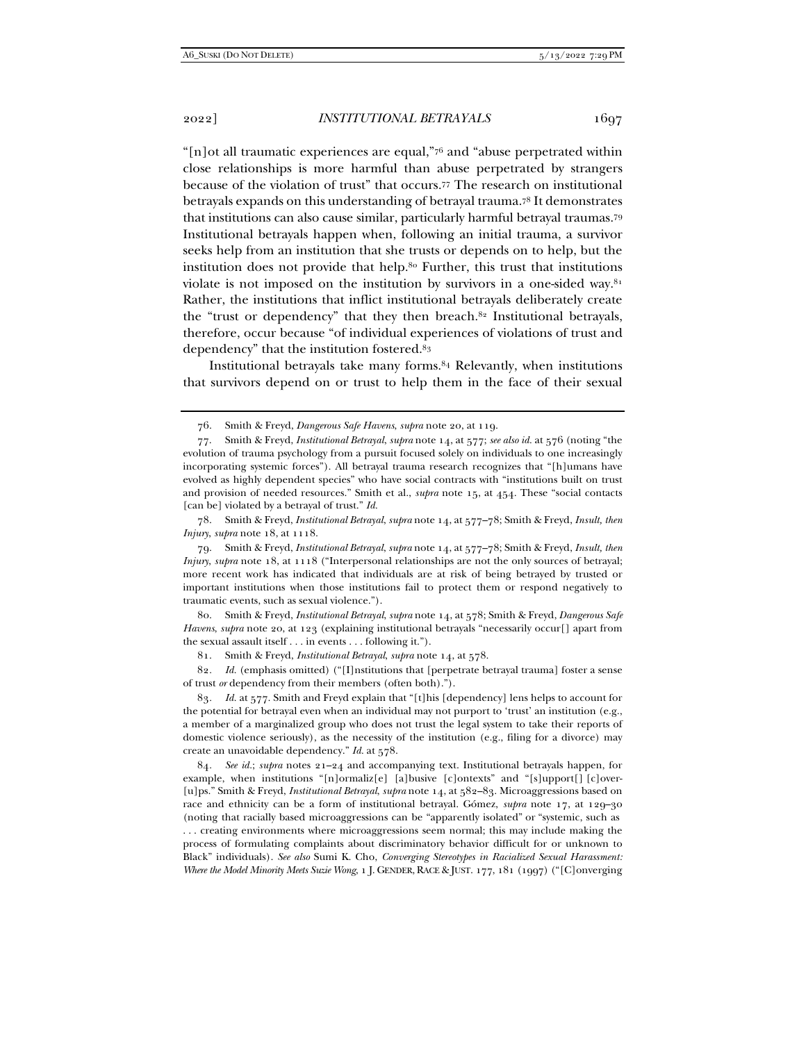"[n]ot all traumatic experiences are equal,"76 and "abuse perpetrated within close relationships is more harmful than abuse perpetrated by strangers because of the violation of trust" that occurs.77 The research on institutional betrayals expands on this understanding of betrayal trauma.78 It demonstrates that institutions can also cause similar, particularly harmful betrayal traumas.79 Institutional betrayals happen when, following an initial trauma, a survivor seeks help from an institution that she trusts or depends on to help, but the institution does not provide that help.80 Further, this trust that institutions violate is not imposed on the institution by survivors in a one-sided way. $81$ Rather, the institutions that inflict institutional betrayals deliberately create the "trust or dependency" that they then breach.<sup>82</sup> Institutional betrayals, therefore, occur because "of individual experiences of violations of trust and dependency" that the institution fostered.83

Institutional betrayals take many forms.84 Relevantly, when institutions that survivors depend on or trust to help them in the face of their sexual

 78. Smith & Freyd, *Institutional Betrayal*, *supra* note 14, at 577–78; Smith & Freyd, *Insult, then Injury*, *supra* note 18, at 1118.

 79. Smith & Freyd, *Institutional Betrayal*, *supra* note 14, at 577–78; Smith & Freyd, *Insult, then Injury*, *supra* note 18, at 1118 ("Interpersonal relationships are not the only sources of betrayal; more recent work has indicated that individuals are at risk of being betrayed by trusted or important institutions when those institutions fail to protect them or respond negatively to traumatic events, such as sexual violence.").

 80. Smith & Freyd, *Institutional Betrayal*, *supra* note 14, at 578; Smith & Freyd, *Dangerous Safe Havens*, *supra* note 20, at 123 (explaining institutional betrayals "necessarily occur[] apart from the sexual assault itself . . . in events . . . following it.").

81. Smith & Freyd, *Institutional Betrayal*, *supra* note 14, at 578.

82*. Id.* (emphasis omitted) ("[I]nstitutions that [perpetrate betrayal trauma] foster a sense of trust *or* dependency from their members (often both).").

83*. Id.* at 577. Smith and Freyd explain that "[t]his [dependency] lens helps to account for the potential for betrayal even when an individual may not purport to 'trust' an institution (e.g., a member of a marginalized group who does not trust the legal system to take their reports of domestic violence seriously), as the necessity of the institution (e.g., filing for a divorce) may create an unavoidable dependency." *Id.* at 578.

84*. See id.*; *supra* notes 21–24 and accompanying text. Institutional betrayals happen, for example, when institutions "[n]ormaliz[e] [a]busive [c]ontexts" and "[s]upport[] [c]over- [u]ps." Smith & Freyd, *Institutional Betrayal*, *supra* note 14, at 582–83. Microaggressions based on race and ethnicity can be a form of institutional betrayal. Gómez, *supra* note 17, at 129–30 (noting that racially based microaggressions can be "apparently isolated" or "systemic, such as . . . creating environments where microaggressions seem normal; this may include making the process of formulating complaints about discriminatory behavior difficult for or unknown to Black" individuals). *See also* Sumi K. Cho, *Converging Stereotypes in Racialized Sexual Harassment: Where the Model Minority Meets Suzie Wong*, 1 J. GENDER, RACE & JUST. 177, 181 (1997) ("[C]onverging

 <sup>76.</sup> Smith & Freyd, *Dangerous Safe Havens*, *supra* note 20, at 119.

 <sup>77.</sup> Smith & Freyd, *Institutional Betrayal*, *supra* note 14, at 577; *see also id.* at 576 (noting "the evolution of trauma psychology from a pursuit focused solely on individuals to one increasingly incorporating systemic forces"). All betrayal trauma research recognizes that "[h]umans have evolved as highly dependent species" who have social contracts with "institutions built on trust and provision of needed resources." Smith et al., *supra* note 15, at 454. These "social contacts [can be] violated by a betrayal of trust." *Id.*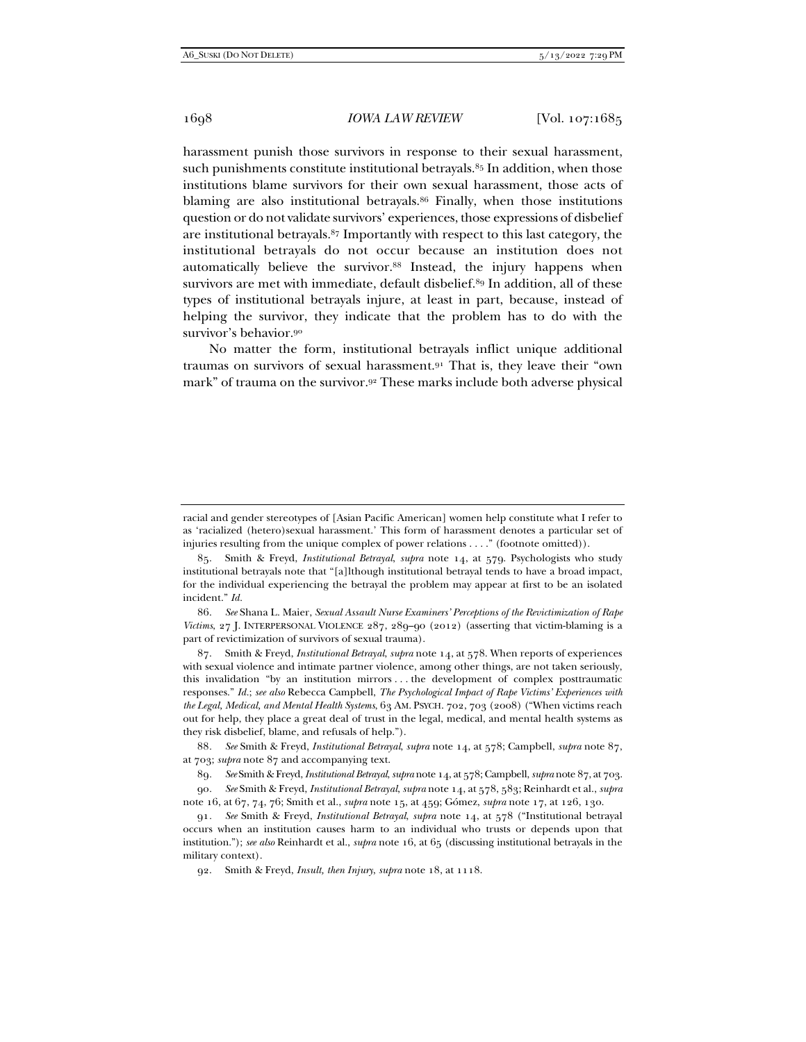harassment punish those survivors in response to their sexual harassment, such punishments constitute institutional betravals.<sup>85</sup> In addition, when those institutions blame survivors for their own sexual harassment, those acts of blaming are also institutional betrayals.86 Finally, when those institutions question or do not validate survivors' experiences, those expressions of disbelief are institutional betrayals.87 Importantly with respect to this last category, the institutional betrayals do not occur because an institution does not automatically believe the survivor.<sup>88</sup> Instead, the injury happens when survivors are met with immediate, default disbelief.89 In addition, all of these types of institutional betrayals injure, at least in part, because, instead of helping the survivor, they indicate that the problem has to do with the survivor's behavior.90

No matter the form, institutional betrayals inflict unique additional traumas on survivors of sexual harassment.91 That is, they leave their "own mark" of trauma on the survivor.92 These marks include both adverse physical

 86. *See* Shana L. Maier, *Sexual Assault Nurse Examiners' Perceptions of the Revictimization of Rape Victims*, 27 J. INTERPERSONAL VIOLENCE 287, 289–90 (2012) (asserting that victim-blaming is a part of revictimization of survivors of sexual trauma).

 87. Smith & Freyd, *Institutional Betrayal*, *supra* note 14, at 578. When reports of experiences with sexual violence and intimate partner violence, among other things, are not taken seriously, this invalidation "by an institution mirrors . . . the development of complex posttraumatic responses." *Id.*; *see also* Rebecca Campbell, *The Psychological Impact of Rape Victims' Experiences with the Legal, Medical, and Mental Health Systems*, 63 AM. PSYCH. 702, 703 (2008) ("When victims reach out for help, they place a great deal of trust in the legal, medical, and mental health systems as they risk disbelief, blame, and refusals of help.").

88*. See* Smith & Freyd, *Institutional Betrayal*, *supra* note 14, at 578; Campbell, *supra* note 87, at 703; *supra* note 87 and accompanying text.

89*. See* Smith & Freyd, *Institutional Betrayal*, *supra* note 14, at 578; Campbell, *supra* note 87, at 703.

90*. See* Smith & Freyd, *Institutional Betrayal*, *supra* note 14, at 578, 583; Reinhardt et al., *supra* note 16, at 67, 74, 76; Smith et al., *supra* note 15, at 459; Gómez, *supra* note 17, at 126, 130.

racial and gender stereotypes of [Asian Pacific American] women help constitute what I refer to as 'racialized (hetero)sexual harassment.' This form of harassment denotes a particular set of injuries resulting from the unique complex of power relations . . . ." (footnote omitted)).

 <sup>85.</sup> Smith & Freyd, *Institutional Betrayal*, *supra* note 14, at 579. Psychologists who study institutional betrayals note that "[a]lthough institutional betrayal tends to have a broad impact, for the individual experiencing the betrayal the problem may appear at first to be an isolated incident." *Id.*

<sup>91</sup>*. See* Smith & Freyd, *Institutional Betrayal*, *supra* note 14, at 578 ("Institutional betrayal occurs when an institution causes harm to an individual who trusts or depends upon that institution."); *see also* Reinhardt et al., *supra* note 16, at 65 (discussing institutional betrayals in the military context).

 <sup>92.</sup> Smith & Freyd, *Insult, then Injury*, *supra* note 18, at 1118.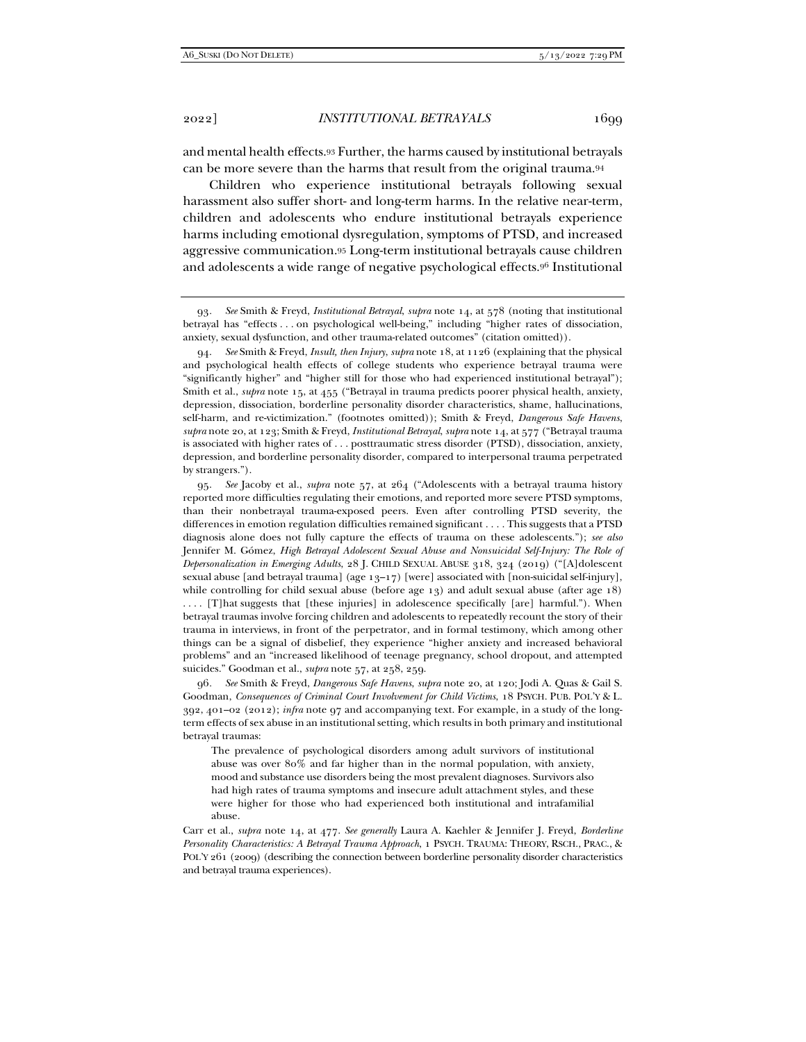and mental health effects.93 Further, the harms caused by institutional betrayals can be more severe than the harms that result from the original trauma.94

Children who experience institutional betrayals following sexual harassment also suffer short- and long-term harms. In the relative near-term, children and adolescents who endure institutional betrayals experience harms including emotional dysregulation, symptoms of PTSD, and increased aggressive communication.95 Long-term institutional betrayals cause children and adolescents a wide range of negative psychological effects.96 Institutional

 94. *See* Smith & Freyd, *Insult, then Injury*, *supra* note 18, at 1126 (explaining that the physical and psychological health effects of college students who experience betrayal trauma were "significantly higher" and "higher still for those who had experienced institutional betrayal"); Smith et al., *supra* note 15, at 455 ("Betrayal in trauma predicts poorer physical health, anxiety, depression, dissociation, borderline personality disorder characteristics, shame, hallucinations, self-harm, and re-victimization." (footnotes omitted)); Smith & Freyd, *Dangerous Safe Havens*, *supra* note 20, at 123; Smith & Freyd, *Institutional Betrayal*, *supra* note 14, at 577 ("Betrayal trauma is associated with higher rates of . . . posttraumatic stress disorder (PTSD), dissociation, anxiety, depression, and borderline personality disorder, compared to interpersonal trauma perpetrated by strangers.").

 95. *See* Jacoby et al., *supra* note 57, at 264 ("Adolescents with a betrayal trauma history reported more difficulties regulating their emotions, and reported more severe PTSD symptoms, than their nonbetrayal trauma-exposed peers. Even after controlling PTSD severity, the differences in emotion regulation difficulties remained significant . . . . This suggests that a PTSD diagnosis alone does not fully capture the effects of trauma on these adolescents."); *see also* Jennifer M. Gómez, *High Betrayal Adolescent Sexual Abuse and Nonsuicidal Self-Injury: The Role of Depersonalization in Emerging Adults*, 28 J. CHILD SEXUAL ABUSE 318, 324 (2019) ("[A]dolescent sexual abuse [and betrayal trauma] (age  $13-17$ ) [were] associated with [non-suicidal self-injury], while controlling for child sexual abuse (before age 13) and adult sexual abuse (after age 18) . . . . [T]hat suggests that [these injuries] in adolescence specifically [are] harmful."). When betrayal traumas involve forcing children and adolescents to repeatedly recount the story of their trauma in interviews, in front of the perpetrator, and in formal testimony, which among other things can be a signal of disbelief, they experience "higher anxiety and increased behavioral problems" and an "increased likelihood of teenage pregnancy, school dropout, and attempted

suicides." Goodman et al., *supra* note 57, at 258, 259.

96*. See* Smith & Freyd, *Dangerous Safe Havens*, *supra* note 20, at 120; Jodi A. Quas & Gail S. Goodman, *Consequences of Criminal Court Involvement for Child Victims*, 18 PSYCH. PUB. POL'Y & L. 392, 401–02 (2012); *infra* note 97 and accompanying text. For example, in a study of the longterm effects of sex abuse in an institutional setting, which results in both primary and institutional betrayal traumas:

The prevalence of psychological disorders among adult survivors of institutional abuse was over 80% and far higher than in the normal population, with anxiety, mood and substance use disorders being the most prevalent diagnoses. Survivors also had high rates of trauma symptoms and insecure adult attachment styles, and these were higher for those who had experienced both institutional and intrafamilial abuse.

Carr et al., *supra* note 14, at 477. *See generally* Laura A. Kaehler & Jennifer J. Freyd, *Borderline Personality Characteristics: A Betrayal Trauma Approach*, 1 PSYCH. TRAUMA: THEORY, RSCH., PRAC., & POL'Y 261 (2009) (describing the connection between borderline personality disorder characteristics and betrayal trauma experiences).

<sup>93</sup>*. See* Smith & Freyd, *Institutional Betrayal*, *supra* note 14, at 578 (noting that institutional betrayal has "effects . . . on psychological well-being," including "higher rates of dissociation, anxiety, sexual dysfunction, and other trauma-related outcomes" (citation omitted)).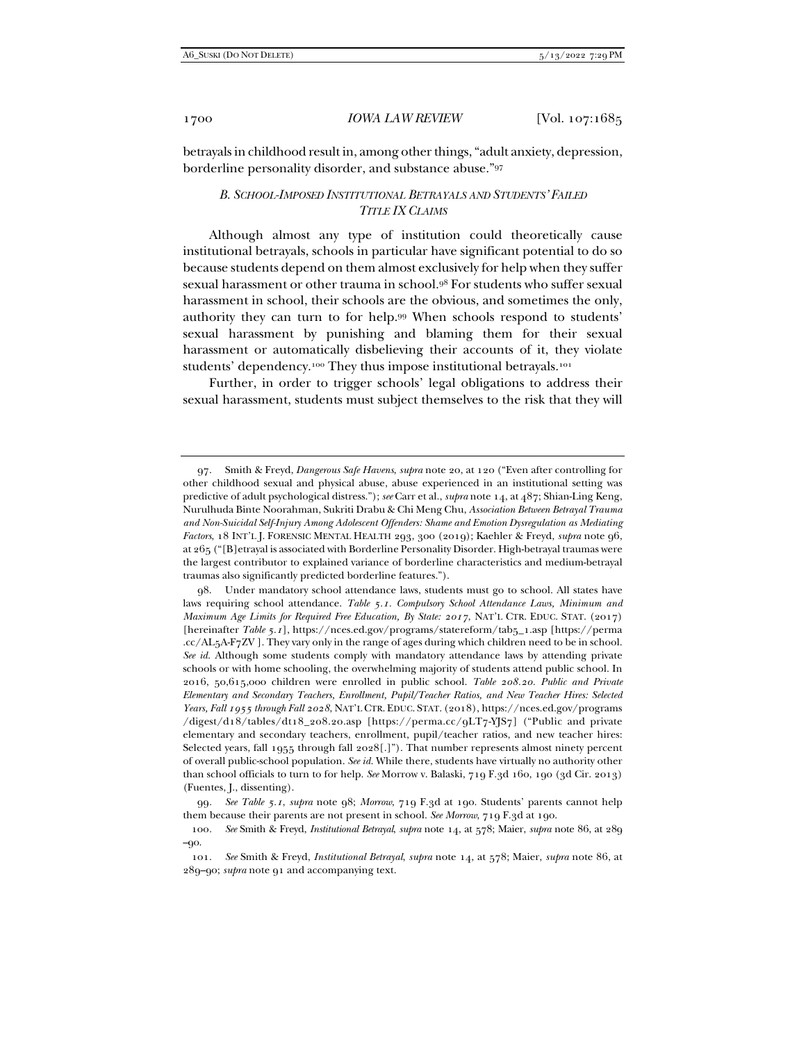betrayals in childhood result in, among other things, "adult anxiety, depression, borderline personality disorder, and substance abuse."97

## *B. SCHOOL-IMPOSED INSTITUTIONAL BETRAYALS AND STUDENTS' FAILED TITLE IX CLAIMS*

Although almost any type of institution could theoretically cause institutional betrayals, schools in particular have significant potential to do so because students depend on them almost exclusively for help when they suffer sexual harassment or other trauma in school.98 For students who suffer sexual harassment in school, their schools are the obvious, and sometimes the only, authority they can turn to for help.99 When schools respond to students' sexual harassment by punishing and blaming them for their sexual harassment or automatically disbelieving their accounts of it, they violate students' dependency.<sup>100</sup> They thus impose institutional betrayals.<sup>101</sup>

Further, in order to trigger schools' legal obligations to address their sexual harassment, students must subject themselves to the risk that they will

 98. Under mandatory school attendance laws, students must go to school. All states have laws requiring school attendance. *Table 5.1. Compulsory School Attendance Laws, Minimum and Maximum Age Limits for Required Free Education, By State: 2017*, NAT'L CTR. EDUC. STAT. (2017) [hereinafter *Table 5.1*], https://nces.ed.gov/programs/statereform/tab5\_1.asp [https://perma .cc/AL5A-F7ZV ]. They vary only in the range of ages during which children need to be in school. *See id.* Although some students comply with mandatory attendance laws by attending private schools or with home schooling, the overwhelming majority of students attend public school. In 2016, 50,615,000 children were enrolled in public school. *Table 208.20. Public and Private Elementary and Secondary Teachers, Enrollment, Pupil/Teacher Ratios, and New Teacher Hires: Selected Years, Fall 1955 through Fall 2028*, NAT'L CTR. EDUC. STAT. (2018), https://nces.ed.gov/programs /digest/d18/tables/dt18\_208.20.asp [https://perma.cc/9LT7-YJS7] ("Public and private elementary and secondary teachers, enrollment, pupil/teacher ratios, and new teacher hires: Selected years, fall 1955 through fall 2028[.]"). That number represents almost ninety percent of overall public-school population. *See id.* While there, students have virtually no authority other than school officials to turn to for help. *See* Morrow v. Balaski, 719 F.3d 160, 190 (3d Cir. 2013) (Fuentes, J., dissenting).

99*. See Table 5.1*, *supra* note 98; *Morrow*, 719 F.3d at 190. Students' parents cannot help them because their parents are not present in school. *See Morrow*, 719 F.3d at 190.

 <sup>97.</sup> Smith & Freyd, *Dangerous Safe Havens*, *supra* note 20, at 120 ("Even after controlling for other childhood sexual and physical abuse, abuse experienced in an institutional setting was predictive of adult psychological distress."); *see* Carr et al., *supra* note 14, at 487; Shian-Ling Keng, Nurulhuda Binte Noorahman, Sukriti Drabu & Chi Meng Chu, *Association Between Betrayal Trauma and Non-Suicidal Self-Injury Among Adolescent Offenders: Shame and Emotion Dysregulation as Mediating Factors*, 18 INT'L J. FORENSIC MENTAL HEALTH 293, 300 (2019); Kaehler & Freyd, *supra* note 96, at 265 ("[B]etrayal is associated with Borderline Personality Disorder. High-betrayal traumas were the largest contributor to explained variance of borderline characteristics and medium-betrayal traumas also significantly predicted borderline features.").

<sup>100</sup>*. See* Smith & Freyd, *Institutional Betrayal*, *supra* note 14, at 578; Maier, *supra* note 86, at 289 –90.

<sup>101.</sup> *See* Smith & Freyd, *Institutional Betrayal*, *supra* note 14, at 578; Maier, *supra* note 86, at 289–90; *supra* note 91 and accompanying text.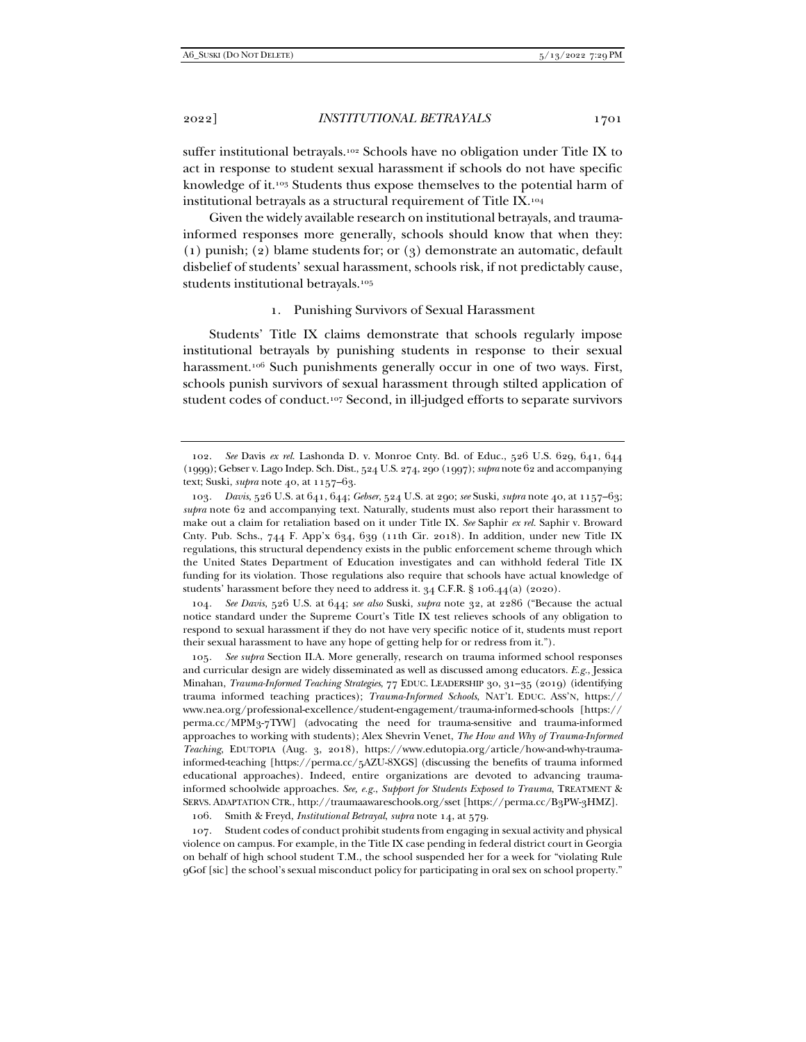suffer institutional betrayals.102 Schools have no obligation under Title IX to act in response to student sexual harassment if schools do not have specific knowledge of it.103 Students thus expose themselves to the potential harm of institutional betrayals as a structural requirement of Title IX.104

Given the widely available research on institutional betrayals, and traumainformed responses more generally, schools should know that when they: (1) punish; (2) blame students for; or (3) demonstrate an automatic, default disbelief of students' sexual harassment, schools risk, if not predictably cause, students institutional betrayals.105

#### 1. Punishing Survivors of Sexual Harassment

Students' Title IX claims demonstrate that schools regularly impose institutional betrayals by punishing students in response to their sexual harassment.<sup>106</sup> Such punishments generally occur in one of two ways. First, schools punish survivors of sexual harassment through stilted application of student codes of conduct.107 Second, in ill-judged efforts to separate survivors

104*. See Davis*, 526 U.S. at 644; *see also* Suski, *supra* note 32, at 2286 ("Because the actual notice standard under the Supreme Court's Title IX test relieves schools of any obligation to respond to sexual harassment if they do not have very specific notice of it, students must report their sexual harassment to have any hope of getting help for or redress from it.").

105*. See supra* Section II.A. More generally, research on trauma informed school responses and curricular design are widely disseminated as well as discussed among educators. *E.g.*, Jessica Minahan, *Trauma-Informed Teaching Strategies*, 77 EDUC. LEADERSHIP 30, 31–35 (2019) (identifying trauma informed teaching practices); *Trauma-Informed Schools*, NAT'L EDUC. ASS'N, https:// www.nea.org/professional-excellence/student-engagement/trauma-informed-schools [https:// perma.cc/MPM3-7TYW] (advocating the need for trauma-sensitive and trauma-informed approaches to working with students); Alex Shevrin Venet, *The How and Why of Trauma-Informed Teaching*, EDUTOPIA (Aug. 3, 2018), https://www.edutopia.org/article/how-and-why-traumainformed-teaching [https://perma.cc/5AZU-8XGS] (discussing the benefits of trauma informed educational approaches). Indeed, entire organizations are devoted to advancing traumainformed schoolwide approaches. *See, e.g.*, *Support for Students Exposed to Trauma*, TREATMENT & SERVS. ADAPTATION CTR., http://traumaawareschools.org/sset [https://perma.cc/B3PW-3HMZ].

106. Smith & Freyd, *Institutional Betrayal*, *supra* note 14, at 579.

 107. Student codes of conduct prohibit students from engaging in sexual activity and physical violence on campus. For example, in the Title IX case pending in federal district court in Georgia on behalf of high school student T.M., the school suspended her for a week for "violating Rule 9Gof [sic] the school's sexual misconduct policy for participating in oral sex on school property."

 <sup>102.</sup> *See* Davis *ex rel.* Lashonda D. v. Monroe Cnty. Bd. of Educ., 526 U.S. 629, 641, 644 (1999); Gebser v. Lago Indep. Sch. Dist., 524 U.S. 274, 290 (1997); *supra* note 62 and accompanying text; Suski, *supra* note 40, at 1157–63.

<sup>103</sup>*. Davis*, 526 U.S. at 641, 644; *Gebser*, 524 U.S. at 290; *see* Suski, *supra* note 40, at 1157–63; *supra* note 62 and accompanying text. Naturally, students must also report their harassment to make out a claim for retaliation based on it under Title IX. *See* Saphir *ex rel.* Saphir v. Broward Cnty. Pub. Schs., 744 F. App'x 634, 639 (11th Cir. 2018). In addition, under new Title IX regulations, this structural dependency exists in the public enforcement scheme through which the United States Department of Education investigates and can withhold federal Title IX funding for its violation. Those regulations also require that schools have actual knowledge of students' harassment before they need to address it. 34 C.F.R. § 106.44(a) (2020).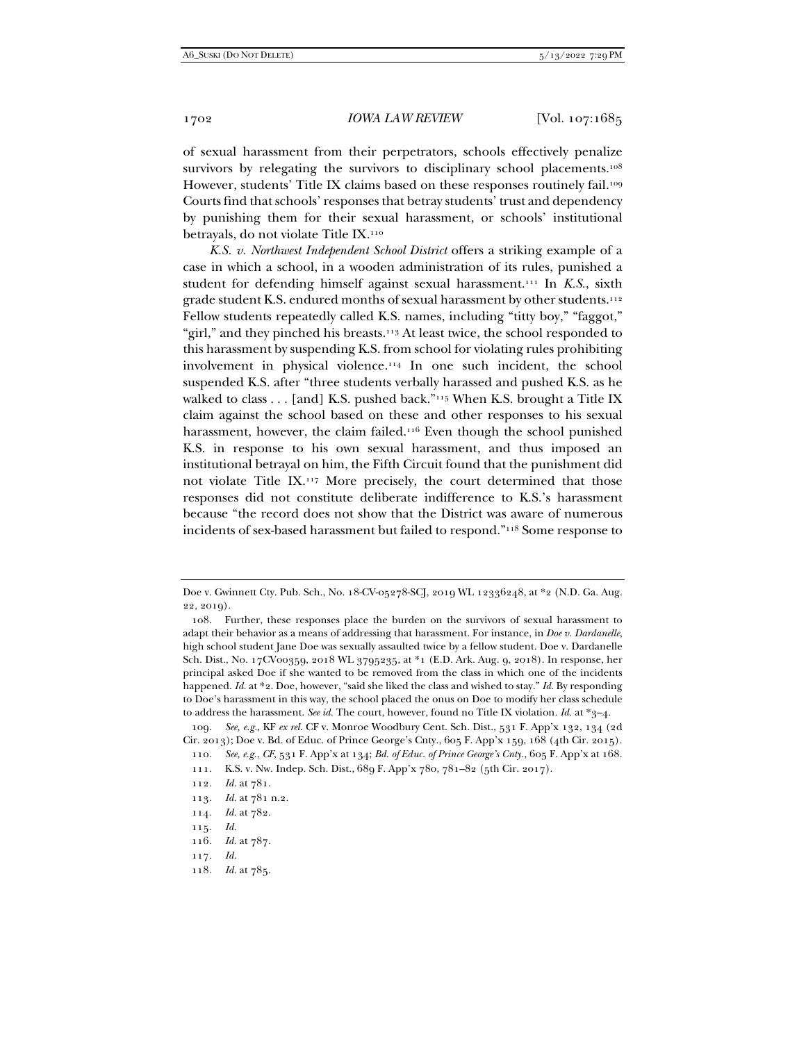of sexual harassment from their perpetrators, schools effectively penalize survivors by relegating the survivors to disciplinary school placements.<sup>108</sup> However, students' Title IX claims based on these responses routinely fail.<sup>109</sup> Courts find that schools' responses that betray students' trust and dependency by punishing them for their sexual harassment, or schools' institutional betrayals, do not violate Title IX.110

*K.S. v. Northwest Independent School District* offers a striking example of a case in which a school, in a wooden administration of its rules, punished a student for defending himself against sexual harassment.111 In *K.S.*, sixth grade student K.S. endured months of sexual harassment by other students.112 Fellow students repeatedly called K.S. names, including "titty boy," "faggot," "girl," and they pinched his breasts.<sup>113</sup> At least twice, the school responded to this harassment by suspending K.S. from school for violating rules prohibiting involvement in physical violence.114 In one such incident, the school suspended K.S. after "three students verbally harassed and pushed K.S. as he walked to class . . . [and] K.S. pushed back."<sup>115</sup> When K.S. brought a Title IX claim against the school based on these and other responses to his sexual harassment, however, the claim failed.<sup>116</sup> Even though the school punished K.S. in response to his own sexual harassment, and thus imposed an institutional betrayal on him, the Fifth Circuit found that the punishment did not violate Title IX.117 More precisely, the court determined that those responses did not constitute deliberate indifference to K.S.'s harassment because "the record does not show that the District was aware of numerous incidents of sex-based harassment but failed to respond."118 Some response to

- 113*. Id.* at 781 n.2.
- 114*. Id.* at 782.

- 116*. Id.* at 787.
- 117*. Id.*
- 118*. Id.* at 785.

Doe v. Gwinnett Cty. Pub. Sch., No. 18-CV-05278-SCJ, 2019 WL 12336248, at \*2 (N.D. Ga. Aug. 22, 2019).

 <sup>108.</sup> Further, these responses place the burden on the survivors of sexual harassment to adapt their behavior as a means of addressing that harassment. For instance, in *Doe v. Dardanelle*, high school student Jane Doe was sexually assaulted twice by a fellow student. Doe v. Dardanelle Sch. Dist., No. 17CV00359, 2018 WL 3795235, at \*1 (E.D. Ark. Aug. 9, 2018). In response, her principal asked Doe if she wanted to be removed from the class in which one of the incidents happened. *Id.* at \*2. Doe, however, "said she liked the class and wished to stay." *Id.* By responding to Doe's harassment in this way, the school placed the onus on Doe to modify her class schedule to address the harassment. *See id.* The court, however, found no Title IX violation. *Id.* at \*3–4.

<sup>109</sup>*. See, e.g.*, KF *ex rel.* CF v. Monroe Woodbury Cent. Sch. Dist., 531 F. App'x 132, 134 (2d Cir. 2013); Doe v. Bd. of Educ. of Prince George's Cnty., 605 F. App'x 159, 168 (4th Cir. 2015).

<sup>110</sup>*. See, e.g.*, *CF*, 531 F. App'x at 134; *Bd. of Educ. of Prince George's Cnty.*, 605 F. App'x at 168.

 <sup>111.</sup> K.S. v. Nw. Indep. Sch. Dist., 689 F. App'x 780, 781–82 (5th Cir. 2017).

<sup>112</sup>*. Id.* at 781.

<sup>115</sup>*. Id.*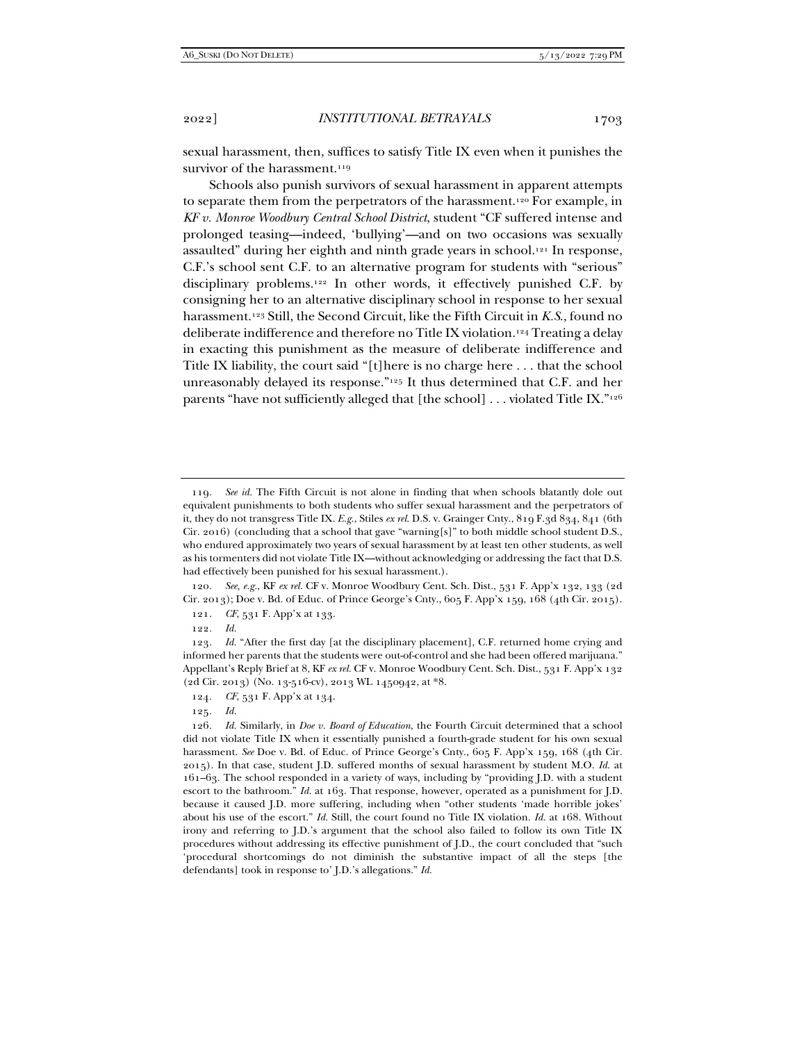Schools also punish survivors of sexual harassment in apparent attempts to separate them from the perpetrators of the harassment.120 For example, in *KF v. Monroe Woodbury Central School District*, student "CF suffered intense and prolonged teasing—indeed, 'bullying'—and on two occasions was sexually assaulted" during her eighth and ninth grade years in school.121 In response, C.F.'s school sent C.F. to an alternative program for students with "serious" disciplinary problems.122 In other words, it effectively punished C.F. by consigning her to an alternative disciplinary school in response to her sexual harassment.123 Still, the Second Circuit, like the Fifth Circuit in *K.S*., found no deliberate indifference and therefore no Title IX violation.124 Treating a delay in exacting this punishment as the measure of deliberate indifference and Title IX liability, the court said "[t]here is no charge here . . . that the school unreasonably delayed its response."125 It thus determined that C.F. and her parents "have not sufficiently alleged that [the school] . . . violated Title IX."126

120*. See, e.g.*, KF *ex rel.* CF v. Monroe Woodbury Cent. Sch. Dist., 531 F. App'x 132, 133 (2d Cir. 2013); Doe v. Bd. of Educ. of Prince George's Cnty., 605 F. App'x 159, 168 (4th Cir. 2015).

121*. CF*, 531 F. App'x at 133.

<sup>119</sup>*. See id.* The Fifth Circuit is not alone in finding that when schools blatantly dole out equivalent punishments to both students who suffer sexual harassment and the perpetrators of it, they do not transgress Title IX. *E.g.*, Stiles *ex rel.* D.S. v. Grainger Cnty., 819 F.3d 834, 841 (6th Cir. 2016) (concluding that a school that gave "warning[s]" to both middle school student D.S., who endured approximately two years of sexual harassment by at least ten other students, as well as his tormenters did not violate Title IX—without acknowledging or addressing the fact that D.S. had effectively been punished for his sexual harassment.).

<sup>122</sup>*. Id.*

<sup>123</sup>*. Id.* "After the first day [at the disciplinary placement], C.F. returned home crying and informed her parents that the students were out-of-control and she had been offered marijuana." Appellant's Reply Brief at 8, KF *ex rel.* CF v. Monroe Woodbury Cent. Sch. Dist., 531 F. App'x 132 (2d Cir. 2013) (No. 13-516-cv), 2013 WL 1450942, at \*8.

<sup>124</sup>*. CF*, 531 F. App'x at 134.

<sup>125</sup>*. Id.*

<sup>126</sup>*. Id.* Similarly, in *Doe v. Board of Education*, the Fourth Circuit determined that a school did not violate Title IX when it essentially punished a fourth-grade student for his own sexual harassment. *See* Doe v. Bd. of Educ. of Prince George's Cnty., 605 F. App'x 159, 168 (4th Cir. 2015). In that case, student J.D. suffered months of sexual harassment by student M.O. *Id.* at 161–63. The school responded in a variety of ways, including by "providing J.D. with a student escort to the bathroom." *Id.* at 163. That response, however, operated as a punishment for J.D. because it caused J.D. more suffering, including when "other students 'made horrible jokes' about his use of the escort." *Id.* Still, the court found no Title IX violation. *Id.* at 168. Without irony and referring to J.D.'s argument that the school also failed to follow its own Title IX procedures without addressing its effective punishment of J.D., the court concluded that "such 'procedural shortcomings do not diminish the substantive impact of all the steps [the defendants] took in response to' J.D.'s allegations." *Id.*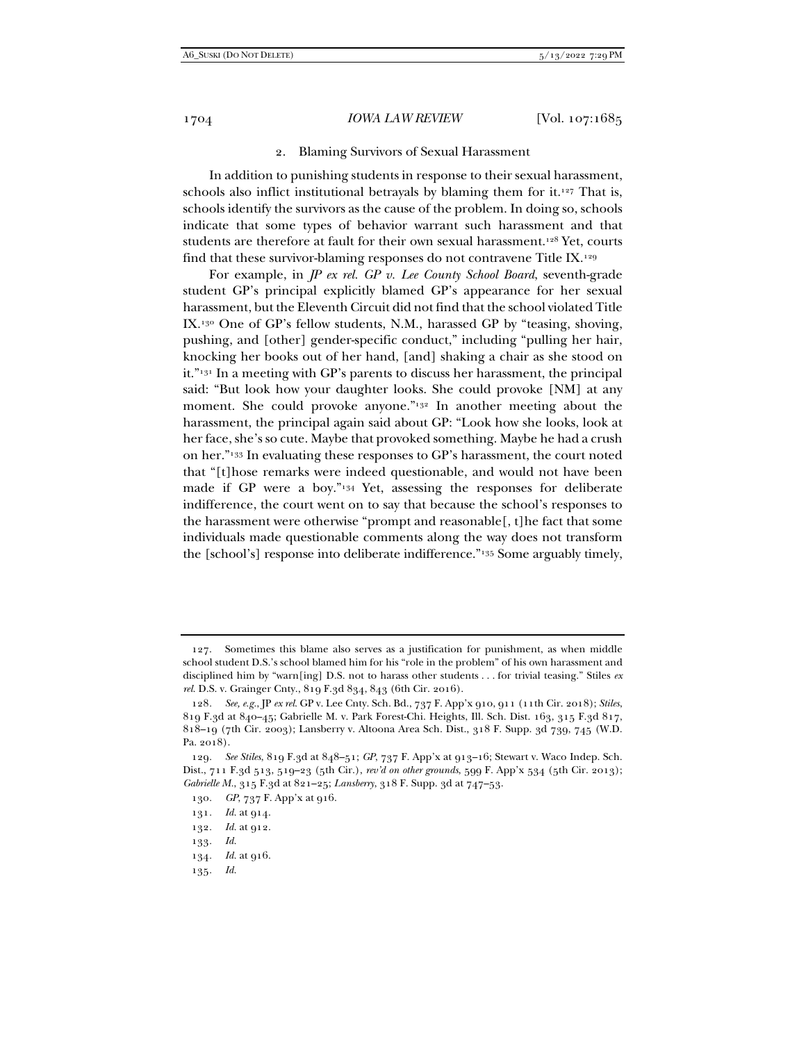#### 1704 *IOWA LAW REVIEW* [Vol. 107:1685

#### 2. Blaming Survivors of Sexual Harassment

In addition to punishing students in response to their sexual harassment, schools also inflict institutional betravals by blaming them for it.<sup>127</sup> That is, schools identify the survivors as the cause of the problem. In doing so, schools indicate that some types of behavior warrant such harassment and that students are therefore at fault for their own sexual harassment.<sup>128</sup> Yet, courts find that these survivor-blaming responses do not contravene Title IX.129

For example, in *JP ex rel. GP v. Lee County School Board*, seventh-grade student GP's principal explicitly blamed GP's appearance for her sexual harassment, but the Eleventh Circuit did not find that the school violated Title IX.130 One of GP's fellow students, N.M., harassed GP by "teasing, shoving, pushing, and [other] gender-specific conduct," including "pulling her hair, knocking her books out of her hand, [and] shaking a chair as she stood on it."131 In a meeting with GP's parents to discuss her harassment, the principal said: "But look how your daughter looks. She could provoke [NM] at any moment. She could provoke anyone."<sup>132</sup> In another meeting about the harassment, the principal again said about GP: "Look how she looks, look at her face, she's so cute. Maybe that provoked something. Maybe he had a crush on her."133 In evaluating these responses to GP's harassment, the court noted that "[t]hose remarks were indeed questionable, and would not have been made if GP were a boy."134 Yet, assessing the responses for deliberate indifference, the court went on to say that because the school's responses to the harassment were otherwise "prompt and reasonable[, t]he fact that some individuals made questionable comments along the way does not transform the [school's] response into deliberate indifference."135 Some arguably timely,

- 134*. Id.* at 916.
- 135*. Id.*

 <sup>127.</sup> Sometimes this blame also serves as a justification for punishment, as when middle school student D.S.'s school blamed him for his "role in the problem" of his own harassment and disciplined him by "warn[ing] D.S. not to harass other students . . . for trivial teasing." Stiles *ex rel.* D.S. v. Grainger Cnty., 819 F.3d 834, 843 (6th Cir. 2016).

<sup>128</sup>*. See, e.g.*, JP *ex rel.* GP v. Lee Cnty. Sch. Bd., 737 F. App'x 910, 911 (11th Cir. 2018); *Stiles*, 819 F.3d at 840–45; Gabrielle M. v. Park Forest-Chi. Heights, Ill. Sch. Dist. 163, 315 F.3d 817, 818–19 (7th Cir. 2003); Lansberry v. Altoona Area Sch. Dist., 318 F. Supp. 3d 739, 745 (W.D. Pa. 2018).

<sup>129</sup>*. See Stiles*, 819 F.3d at 848–51; *GP*, 737 F. App'x at 913–16; Stewart v. Waco Indep. Sch. Dist., 711 F.3d 513, 519–23 (5th Cir.), *rev'd on other grounds*, 599 F. App'x 534 (5th Cir. 2013); *Gabrielle M.*, 315 F.3d at 821–25; *Lansberry*, 318 F. Supp. 3d at 747–53.

<sup>130</sup>*. GP*, 737 F. App'x at 916.

<sup>131</sup>*. Id.* at 914.

<sup>132</sup>*. Id.* at 912.

<sup>133</sup>*. Id.*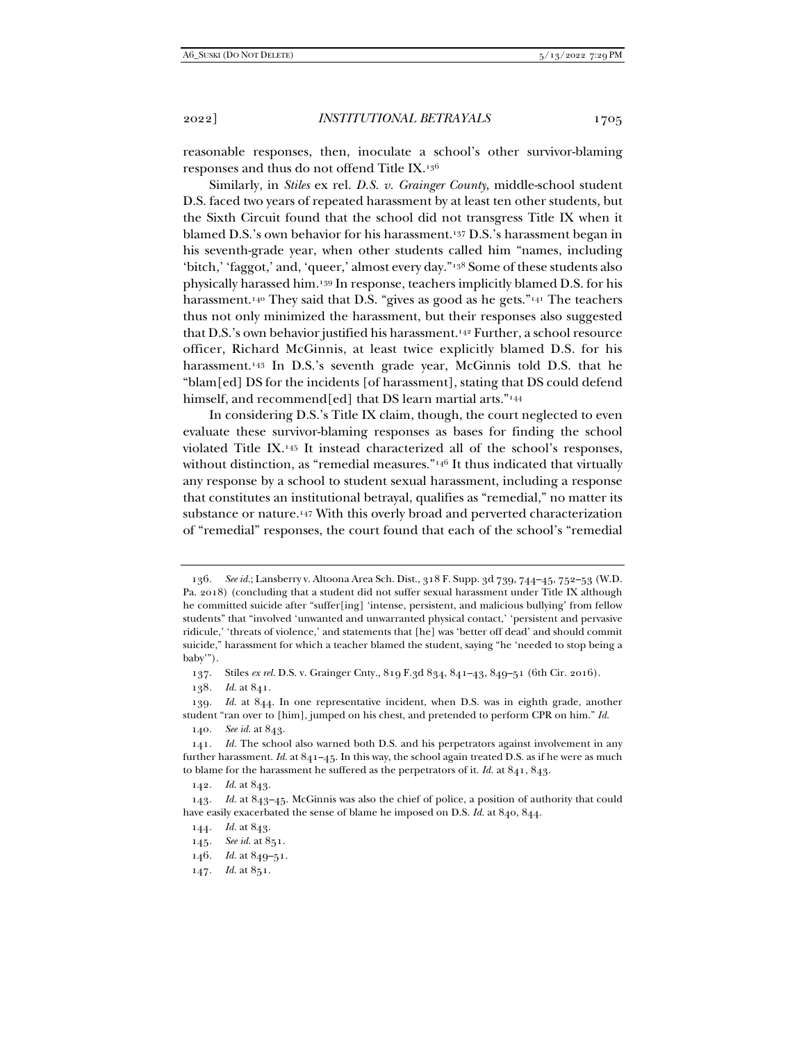reasonable responses, then, inoculate a school's other survivor-blaming responses and thus do not offend Title IX.136

Similarly, in *Stiles* ex rel. *D.S. v. Grainger County*, middle-school student D.S. faced two years of repeated harassment by at least ten other students, but the Sixth Circuit found that the school did not transgress Title IX when it blamed D.S.'s own behavior for his harassment.137 D.S.'s harassment began in his seventh-grade year, when other students called him "names, including 'bitch,' 'faggot,' and, 'queer,' almost every day."138 Some of these students also physically harassed him.139 In response, teachers implicitly blamed D.S. for his harassment.<sup>140</sup> They said that D.S. "gives as good as he gets."<sup>141</sup> The teachers thus not only minimized the harassment, but their responses also suggested that D.S.'s own behavior justified his harassment.<sup>142</sup> Further, a school resource officer, Richard McGinnis, at least twice explicitly blamed D.S. for his harassment.<sup>143</sup> In D.S.'s seventh grade year, McGinnis told D.S. that he "blam[ed] DS for the incidents [of harassment], stating that DS could defend himself, and recommend[ed] that DS learn martial arts."<sup>144</sup>

In considering D.S.'s Title IX claim, though, the court neglected to even evaluate these survivor-blaming responses as bases for finding the school violated Title IX.145 It instead characterized all of the school's responses, without distinction, as "remedial measures."<sup>146</sup> It thus indicated that virtually any response by a school to student sexual harassment, including a response that constitutes an institutional betrayal, qualifies as "remedial," no matter its substance or nature.147 With this overly broad and perverted characterization of "remedial" responses, the court found that each of the school's "remedial

138*. Id.* at 841.

- 146*. Id.* at 849–51.
- 147*. Id.* at 851.

<sup>136</sup>*. See id.*; Lansberry v. Altoona Area Sch. Dist., 318 F. Supp. 3d 739, 744–45, 752–53 (W.D. Pa. 2018) (concluding that a student did not suffer sexual harassment under Title IX although he committed suicide after "suffer[ing] 'intense, persistent, and malicious bullying' from fellow students" that "involved 'unwanted and unwarranted physical contact,' 'persistent and pervasive ridicule,' 'threats of violence,' and statements that [he] was 'better off dead' and should commit suicide," harassment for which a teacher blamed the student, saying "he 'needed to stop being a baby'").

 <sup>137.</sup> Stiles *ex rel.* D.S. v. Grainger Cnty., 819 F.3d 834, 841–43, 849–51 (6th Cir. 2016).

<sup>139</sup>*. Id.* at 844. In one representative incident, when D.S. was in eighth grade, another student "ran over to [him], jumped on his chest, and pretended to perform CPR on him." *Id.*

<sup>140</sup>*. See id.* at 843.

<sup>141</sup>*. Id.* The school also warned both D.S. and his perpetrators against involvement in any further harassment. *Id.* at 841–45. In this way, the school again treated D.S. as if he were as much to blame for the harassment he suffered as the perpetrators of it. *Id.* at 841, 843.

<sup>142</sup>*. Id.* at 843.

<sup>143</sup>*. Id.* at 843–45. McGinnis was also the chief of police, a position of authority that could have easily exacerbated the sense of blame he imposed on D.S. *Id.* at 840, 844.

<sup>144</sup>*. Id.* at 843.

<sup>145</sup>*. See id.* at 851.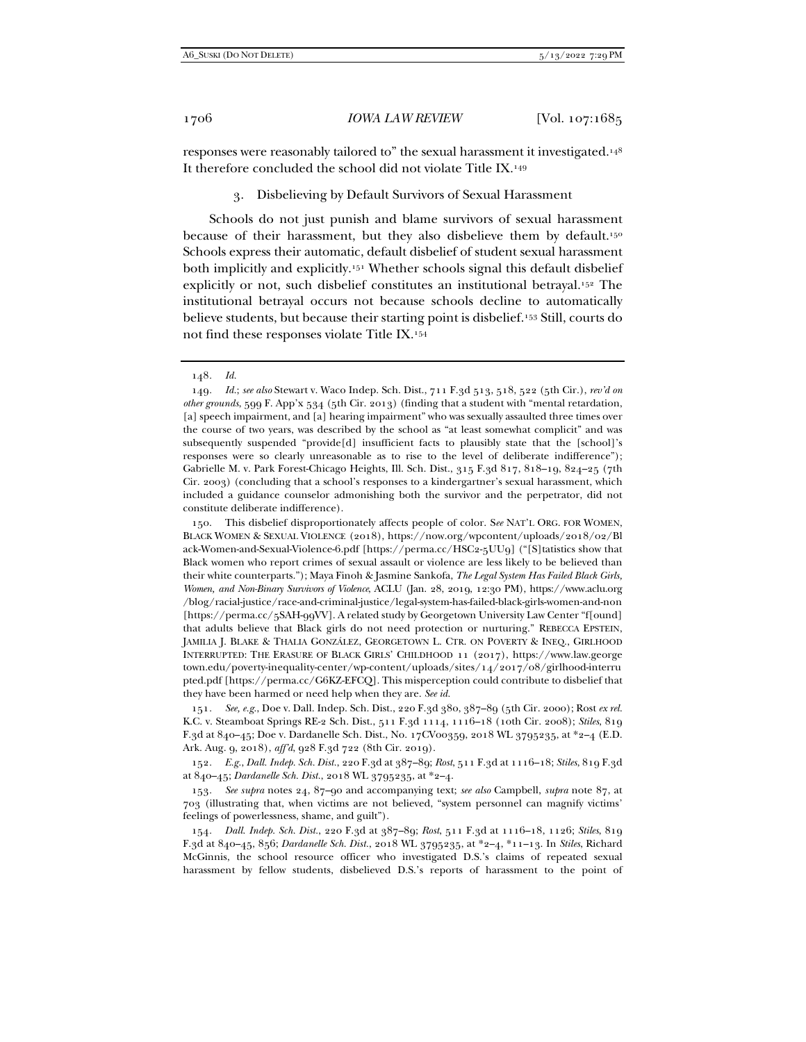responses were reasonably tailored to" the sexual harassment it investigated.148 It therefore concluded the school did not violate Title IX.149

3. Disbelieving by Default Survivors of Sexual Harassment

Schools do not just punish and blame survivors of sexual harassment because of their harassment, but they also disbelieve them by default.<sup>150</sup> Schools express their automatic, default disbelief of student sexual harassment both implicitly and explicitly.151 Whether schools signal this default disbelief explicitly or not, such disbelief constitutes an institutional betrayal.152 The institutional betrayal occurs not because schools decline to automatically believe students, but because their starting point is disbelief.153 Still, courts do not find these responses violate Title IX.154

 150. This disbelief disproportionately affects people of color. S*ee* NAT'L ORG. FOR WOMEN, BLACK WOMEN & SEXUAL VIOLENCE (2018), https://now.org/wpcontent/uploads/2018/02/Bl ack-Women-and-Sexual-Violence-6.pdf [https://perma.cc/HSC2-5UU9] ("[S]tatistics show that Black women who report crimes of sexual assault or violence are less likely to be believed than their white counterparts."); Maya Finoh & Jasmine Sankofa, *The Legal System Has Failed Black Girls, Women, and Non-Binary Survivors of Violence*, ACLU (Jan. 28, 2019, 12:30 PM), https://www.aclu.org /blog/racial-justice/race-and-criminal-justice/legal-system-has-failed-black-girls-women-and-non [https://perma.cc/5SAH-99VV]. A related study by Georgetown University Law Center "f[ound] that adults believe that Black girls do not need protection or nurturing." REBECCA EPSTEIN, JAMILIA J. BLAKE & THALIA GONZÁLEZ, GEORGETOWN L. CTR. ON POVERTY & INEQ., GIRLHOOD INTERRUPTED: THE ERASURE OF BLACK GIRLS' CHILDHOOD 11 (2017), https://www.law.george town.edu/poverty-inequality-center/wp-content/uploads/sites/14/2017/08/girlhood-interru pted.pdf [https://perma.cc/G6KZ-EFCQ]. This misperception could contribute to disbelief that they have been harmed or need help when they are. *See id.*

151*. See, e.g.*, Doe v. Dall. Indep. Sch. Dist., 220 F.3d 380, 387–89 (5th Cir. 2000); Rost *ex rel.* K.C. v. Steamboat Springs RE-2 Sch. Dist., 511 F.3d 1114, 1116–18 (10th Cir. 2008); *Stiles*, 819 F.3d at 840–45; Doe v. Dardanelle Sch. Dist., No. 17CV00359, 2018 WL 3795235, at \*2–4 (E.D. Ark. Aug. 9, 2018), *aff'd*, 928 F.3d 722 (8th Cir. 2019).

152*. E.g.*, *Dall. Indep. Sch. Dist.*, 220 F.3d at 387–89; *Rost*, 511 F.3d at 1116–18; *Stiles*, 819 F.3d at 840–45; *Dardanelle Sch. Dist.*, 2018 WL 3795235, at \*2–4.

153*. See supra* notes 24, 87–90 and accompanying text; *see also* Campbell, *supra* note 87, at 703 (illustrating that, when victims are not believed, "system personnel can magnify victims' feelings of powerlessness, shame, and guilt").

154*. Dall. Indep. Sch. Dist.*, 220 F.3d at 387–89; *Rost*, 511 F.3d at 1116–18, 1126; *Stiles*, 819 F.3d at 840–45, 856; *Dardanelle Sch. Dist.*, 2018 WL 3795235, at \*2–4, \*11–13. In *Stiles*, Richard McGinnis, the school resource officer who investigated D.S.'s claims of repeated sexual harassment by fellow students, disbelieved D.S.'s reports of harassment to the point of

<sup>148</sup>*. Id.*

<sup>149</sup>*. Id.*; *see also* Stewart v. Waco Indep. Sch. Dist., 711 F.3d 513, 518, 522 (5th Cir.), *rev'd on other grounds*, 599 F. App'x 534 (5th Cir. 2013) (finding that a student with "mental retardation, [a] speech impairment, and [a] hearing impairment" who was sexually assaulted three times over the course of two years, was described by the school as "at least somewhat complicit" and was subsequently suspended "provide[d] insufficient facts to plausibly state that the [school]'s responses were so clearly unreasonable as to rise to the level of deliberate indifference"); Gabrielle M. v. Park Forest-Chicago Heights, Ill. Sch. Dist., 315 F.3d 817, 818–19, 824–25 (7th Cir. 2003) (concluding that a school's responses to a kindergartner's sexual harassment, which included a guidance counselor admonishing both the survivor and the perpetrator, did not constitute deliberate indifference).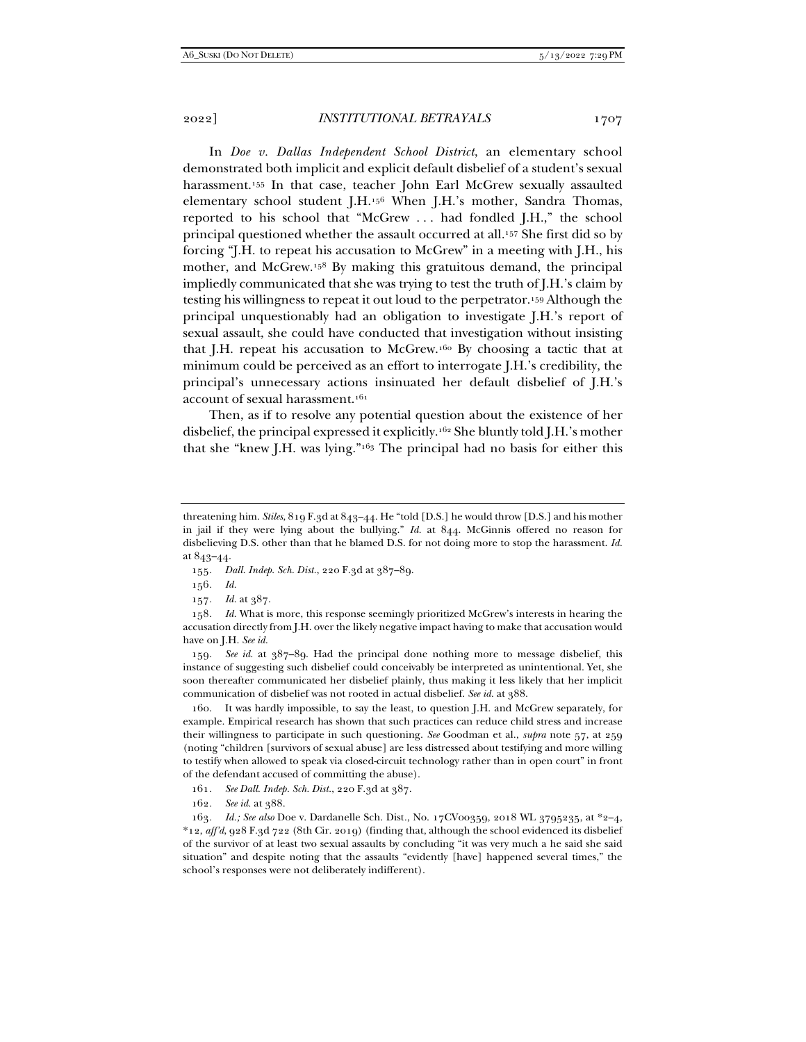In *Doe v. Dallas Independent School District*, an elementary school demonstrated both implicit and explicit default disbelief of a student's sexual harassment.155 In that case, teacher John Earl McGrew sexually assaulted elementary school student J.H.156 When J.H.'s mother, Sandra Thomas, reported to his school that "McGrew . . . had fondled J.H.," the school principal questioned whether the assault occurred at all.157 She first did so by forcing "J.H. to repeat his accusation to McGrew" in a meeting with J.H., his mother, and McGrew.158 By making this gratuitous demand, the principal impliedly communicated that she was trying to test the truth of J.H.'s claim by testing his willingness to repeat it out loud to the perpetrator.159 Although the principal unquestionably had an obligation to investigate J.H.'s report of sexual assault, she could have conducted that investigation without insisting that J.H. repeat his accusation to McGrew.160 By choosing a tactic that at minimum could be perceived as an effort to interrogate J.H.'s credibility, the principal's unnecessary actions insinuated her default disbelief of J.H.'s account of sexual harassment.161

Then, as if to resolve any potential question about the existence of her disbelief, the principal expressed it explicitly.162 She bluntly told J.H.'s mother that she "knew J.H. was lying."163 The principal had no basis for either this

157*. Id.* at 387.

158*. Id.* What is more, this response seemingly prioritized McGrew's interests in hearing the accusation directly from J.H. over the likely negative impact having to make that accusation would have on J.H. *See id.*

159*. See id.* at 387–89. Had the principal done nothing more to message disbelief, this instance of suggesting such disbelief could conceivably be interpreted as unintentional. Yet, she soon thereafter communicated her disbelief plainly, thus making it less likely that her implicit communication of disbelief was not rooted in actual disbelief. *See id.* at 388.

It was hardly impossible, to say the least, to question J.H. and McGrew separately, for example. Empirical research has shown that such practices can reduce child stress and increase their willingness to participate in such questioning. *See* Goodman et al., *supra* note 57, at 259 (noting "children [survivors of sexual abuse] are less distressed about testifying and more willing to testify when allowed to speak via closed-circuit technology rather than in open court" in front of the defendant accused of committing the abuse).

161*. See Dall. Indep. Sch. Dist.*, 220 F.3d at 387.

162*. See id.* at 388.

163*. Id.; See also* Doe v. Dardanelle Sch. Dist*.*, No. 17CV00359, 2018 WL 3795235, at \*2–4, \*12, *aff'd*, 928 F.3d 722 (8th Cir. 2019) (finding that, although the school evidenced its disbelief of the survivor of at least two sexual assaults by concluding "it was very much a he said she said situation" and despite noting that the assaults "evidently [have] happened several times," the school's responses were not deliberately indifferent).

threatening him. *Stiles*, 819 F.3d at 843–44. He "told [D.S.] he would throw [D.S.] and his mother in jail if they were lying about the bullying." *Id.* at 844. McGinnis offered no reason for disbelieving D.S. other than that he blamed D.S. for not doing more to stop the harassment. *Id.* at 843–44.

<sup>155</sup>*. Dall. Indep. Sch. Dist.*, 220 F.3d at 387–89.

<sup>156</sup>*. Id.*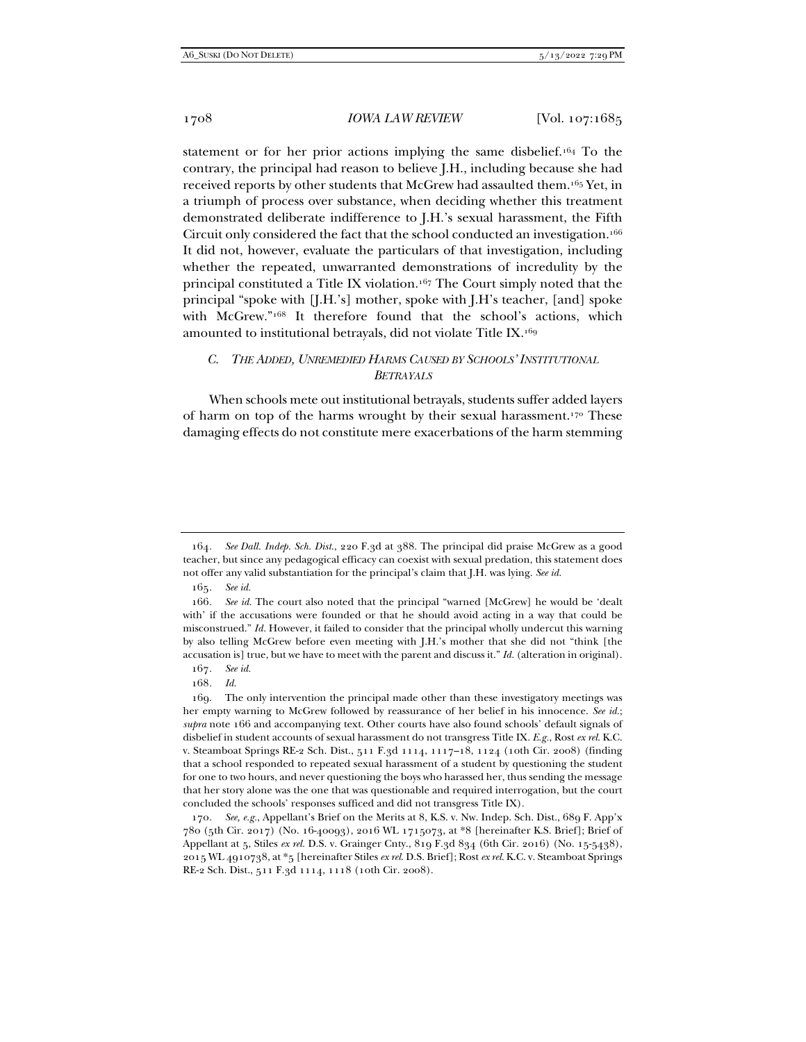statement or for her prior actions implying the same disbelief.164 To the contrary, the principal had reason to believe J.H., including because she had received reports by other students that McGrew had assaulted them.165 Yet, in a triumph of process over substance, when deciding whether this treatment demonstrated deliberate indifference to J.H.'s sexual harassment, the Fifth Circuit only considered the fact that the school conducted an investigation.166 It did not, however, evaluate the particulars of that investigation, including whether the repeated, unwarranted demonstrations of incredulity by the principal constituted a Title IX violation.167 The Court simply noted that the principal "spoke with [J.H.'s] mother, spoke with J.H's teacher, [and] spoke with McGrew."168 It therefore found that the school's actions, which amounted to institutional betrayals, did not violate Title IX.169

# *C. THE ADDED, UNREMEDIED HARMS CAUSED BY SCHOOLS' INSTITUTIONAL BETRAYALS*

When schools mete out institutional betrayals, students suffer added layers of harm on top of the harms wrought by their sexual harassment.170 These damaging effects do not constitute mere exacerbations of the harm stemming

- 167*. See id.*
- 168*. Id.*

 169. The only intervention the principal made other than these investigatory meetings was her empty warning to McGrew followed by reassurance of her belief in his innocence. *See id.*; *supra* note 166 and accompanying text. Other courts have also found schools' default signals of disbelief in student accounts of sexual harassment do not transgress Title IX. *E.g.*, Rost *ex rel.* K.C. v. Steamboat Springs RE-2 Sch. Dist., 511 F.3d 1114, 1117–18, 1124 (10th Cir. 2008) (finding that a school responded to repeated sexual harassment of a student by questioning the student for one to two hours, and never questioning the boys who harassed her, thus sending the message that her story alone was the one that was questionable and required interrogation, but the court concluded the schools' responses sufficed and did not transgress Title IX).

170*. See, e.g.*, Appellant's Brief on the Merits at 8, K.S. v. Nw. Indep. Sch. Dist., 689 F. App'x 780 (5th Cir. 2017) (No. 16-40093), 2016 WL 1715073, at \*8 [hereinafter K.S. Brief]; Brief of Appellant at 5, Stiles *ex rel.* D.S. v. Grainger Cnty., 819 F.3d 834 (6th Cir. 2016) (No. 15-5438), 2015 WL 4910738, at \*5 [hereinafter Stiles *ex rel.* D.S. Brief]; Rost *ex rel.* K.C. v. Steamboat Springs RE-2 Sch. Dist., 511 F.3d 1114, 1118 (10th Cir. 2008).

<sup>164</sup>*. See Dall. Indep. Sch. Dist.*, 220 F.3d at 388. The principal did praise McGrew as a good teacher, but since any pedagogical efficacy can coexist with sexual predation, this statement does not offer any valid substantiation for the principal's claim that J.H. was lying. *See id.*

<sup>165</sup>*. See id.*

<sup>166</sup>*. See id.* The court also noted that the principal "warned [McGrew] he would be 'dealt with' if the accusations were founded or that he should avoid acting in a way that could be misconstrued." *Id.* However, it failed to consider that the principal wholly undercut this warning by also telling McGrew before even meeting with J.H.'s mother that she did not "think [the accusation is] true, but we have to meet with the parent and discuss it." *Id.* (alteration in original).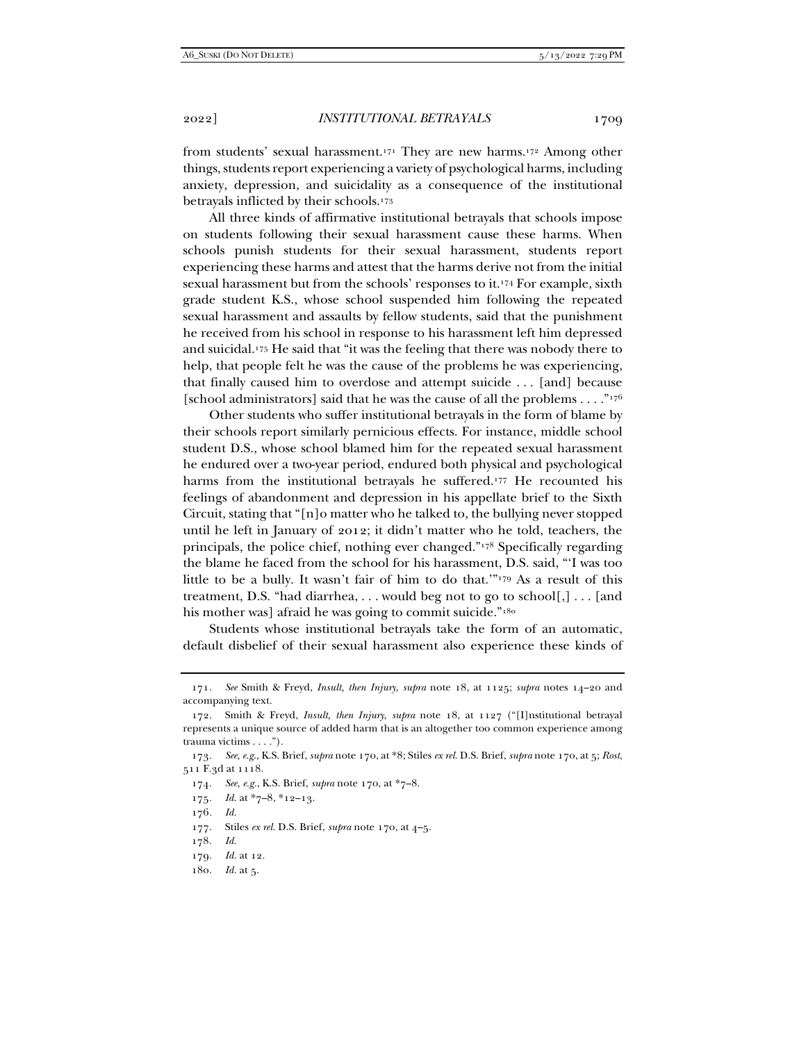from students' sexual harassment.171 They are new harms.172 Among other things, students report experiencing a variety of psychological harms, including anxiety, depression, and suicidality as a consequence of the institutional betrayals inflicted by their schools.173

All three kinds of affirmative institutional betrayals that schools impose on students following their sexual harassment cause these harms. When schools punish students for their sexual harassment, students report experiencing these harms and attest that the harms derive not from the initial sexual harassment but from the schools' responses to it.<sup>174</sup> For example, sixth grade student K.S., whose school suspended him following the repeated sexual harassment and assaults by fellow students, said that the punishment he received from his school in response to his harassment left him depressed and suicidal.175 He said that "it was the feeling that there was nobody there to help, that people felt he was the cause of the problems he was experiencing, that finally caused him to overdose and attempt suicide . . . [and] because [school administrators] said that he was the cause of all the problems  $\dots$ ."<sup>176</sup>

Other students who suffer institutional betrayals in the form of blame by their schools report similarly pernicious effects. For instance, middle school student D.S., whose school blamed him for the repeated sexual harassment he endured over a two-year period, endured both physical and psychological harms from the institutional betrayals he suffered.177 He recounted his feelings of abandonment and depression in his appellate brief to the Sixth Circuit, stating that "[n]o matter who he talked to, the bullying never stopped until he left in January of 2012; it didn't matter who he told, teachers, the principals, the police chief, nothing ever changed."178 Specifically regarding the blame he faced from the school for his harassment, D.S. said, "'I was too little to be a bully. It wasn't fair of him to do that.'"179 As a result of this treatment, D.S. "had diarrhea, . . . would beg not to go to school[,] . . . [and his mother was] afraid he was going to commit suicide."<sup>180</sup>

Students whose institutional betrayals take the form of an automatic, default disbelief of their sexual harassment also experience these kinds of

- 178*. Id.*
- 179*. Id.* at 12.
- 180*. Id.* at 5.

<sup>171</sup>*. See* Smith & Freyd, *Insult, then Injury*, *supra* note 18, at 1125; *supra* notes 14–20 and accompanying text.

 <sup>172.</sup> Smith & Freyd, *Insult, then Injury*, *supra* note 18, at 1127 ("[I]nstitutional betrayal represents a unique source of added harm that is an altogether too common experience among trauma victims . . . .").

<sup>173</sup>*. See, e.g.*, K.S. Brief, *supra* note 170, at \*8; Stiles *ex rel.* D.S. Brief, *supra* note 170, at 5; *Rost*, 511 F.3d at 1118.

<sup>174</sup>*. See, e.g.*, K.S. Brief, *supra* note 170, at \*7–8.

<sup>175</sup>*. Id.* at \*7–8, \*12–13.

<sup>176</sup>*. Id.*

 <sup>177.</sup> Stiles *ex rel.* D.S. Brief, *supra* note 170, at 4–5.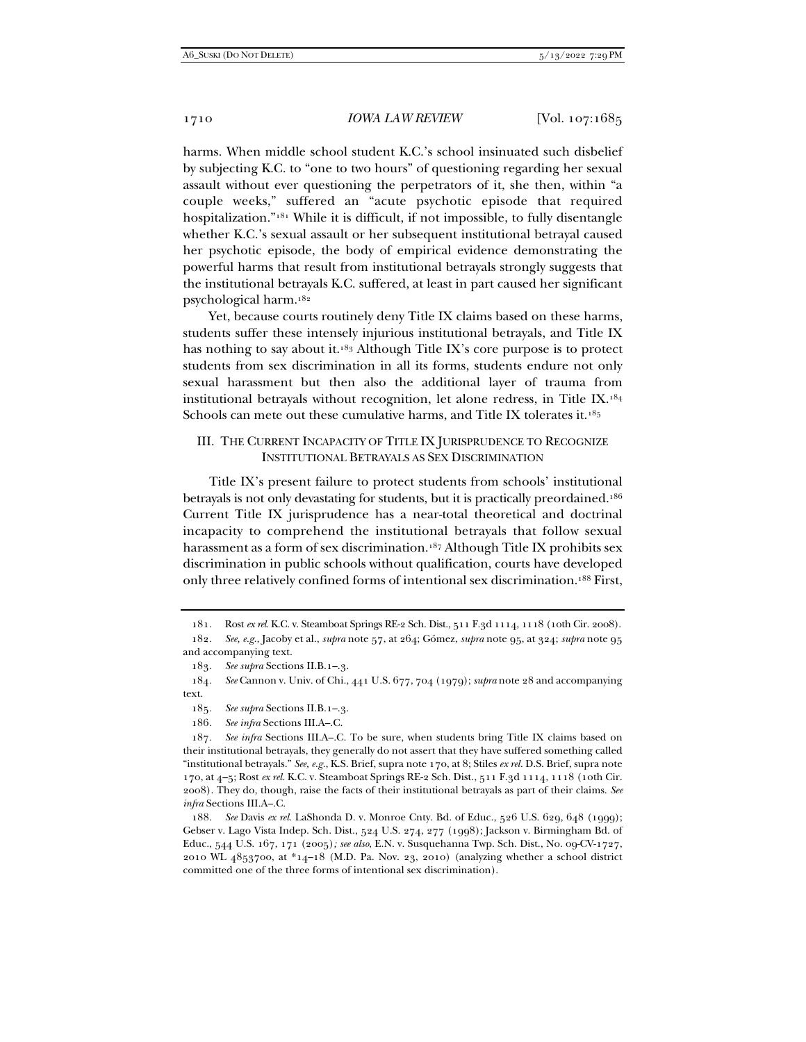harms. When middle school student K.C.'s school insinuated such disbelief by subjecting K.C. to "one to two hours" of questioning regarding her sexual assault without ever questioning the perpetrators of it, she then, within "a couple weeks," suffered an "acute psychotic episode that required hospitalization."181 While it is difficult, if not impossible, to fully disentangle whether K.C.'s sexual assault or her subsequent institutional betrayal caused her psychotic episode, the body of empirical evidence demonstrating the powerful harms that result from institutional betrayals strongly suggests that the institutional betrayals K.C. suffered, at least in part caused her significant psychological harm.182

Yet, because courts routinely deny Title IX claims based on these harms, students suffer these intensely injurious institutional betrayals, and Title IX has nothing to say about it.183 Although Title IX's core purpose is to protect students from sex discrimination in all its forms, students endure not only sexual harassment but then also the additional layer of trauma from institutional betrayals without recognition, let alone redress, in Title IX.184 Schools can mete out these cumulative harms, and Title IX tolerates it.<sup>185</sup>

# III. THE CURRENT INCAPACITY OF TITLE IX JURISPRUDENCE TO RECOGNIZE INSTITUTIONAL BETRAYALS AS SEX DISCRIMINATION

Title IX's present failure to protect students from schools' institutional betrayals is not only devastating for students, but it is practically preordained.186 Current Title IX jurisprudence has a near-total theoretical and doctrinal incapacity to comprehend the institutional betrayals that follow sexual harassment as a form of sex discrimination.<sup>187</sup> Although Title IX prohibits sex discrimination in public schools without qualification, courts have developed only three relatively confined forms of intentional sex discrimination.188 First,

 <sup>181.</sup> Rost *ex rel.* K.C. v. Steamboat Springs RE-2 Sch. Dist., 511 F.3d 1114, 1118 (10th Cir. 2008).

<sup>182</sup>*. See, e.g.*, Jacoby et al., *supra* note 57, at 264; Gómez, *supra* note 95, at 324; *supra* note 95 and accompanying text.

<sup>183</sup>*. See supra* Sections II.B.1–.3.

<sup>184</sup>*. See* Cannon v. Univ. of Chi., 441 U.S. 677, 704 (1979); *supra* note 28 and accompanying text.

<sup>185</sup>*. See supra* Sections II.B.1–.3.

<sup>186</sup>*. See infra* Sections III.A–.C.

<sup>187</sup>*. See infra* Sections III.A–.C. To be sure, when students bring Title IX claims based on their institutional betrayals, they generally do not assert that they have suffered something called "institutional betrayals." *See, e.g.*, K.S. Brief, supra note 170, at 8; Stiles *ex rel.* D.S. Brief, supra note 170, at 4–5; Rost *ex rel.* K.C. v. Steamboat Springs RE-2 Sch. Dist., 511 F.3d 1114, 1118 (10th Cir. 2008). They do, though, raise the facts of their institutional betrayals as part of their claims. *See infra* Sections III.A–.C.

 <sup>188.</sup> *See* Davis *ex rel.* LaShonda D. v. Monroe Cnty. Bd. of Educ., 526 U.S. 629, 648 (1999); Gebser v. Lago Vista Indep. Sch. Dist., 524 U.S. 274, 277 (1998); Jackson v. Birmingham Bd. of Educ., 544 U.S. 167, 171 (2005)*; see also*, E.N. v. Susquehanna Twp. Sch. Dist., No. 09-CV-1727, 2010 WL 4853700, at \*14–18 (M.D. Pa. Nov. 23, 2010) (analyzing whether a school district committed one of the three forms of intentional sex discrimination).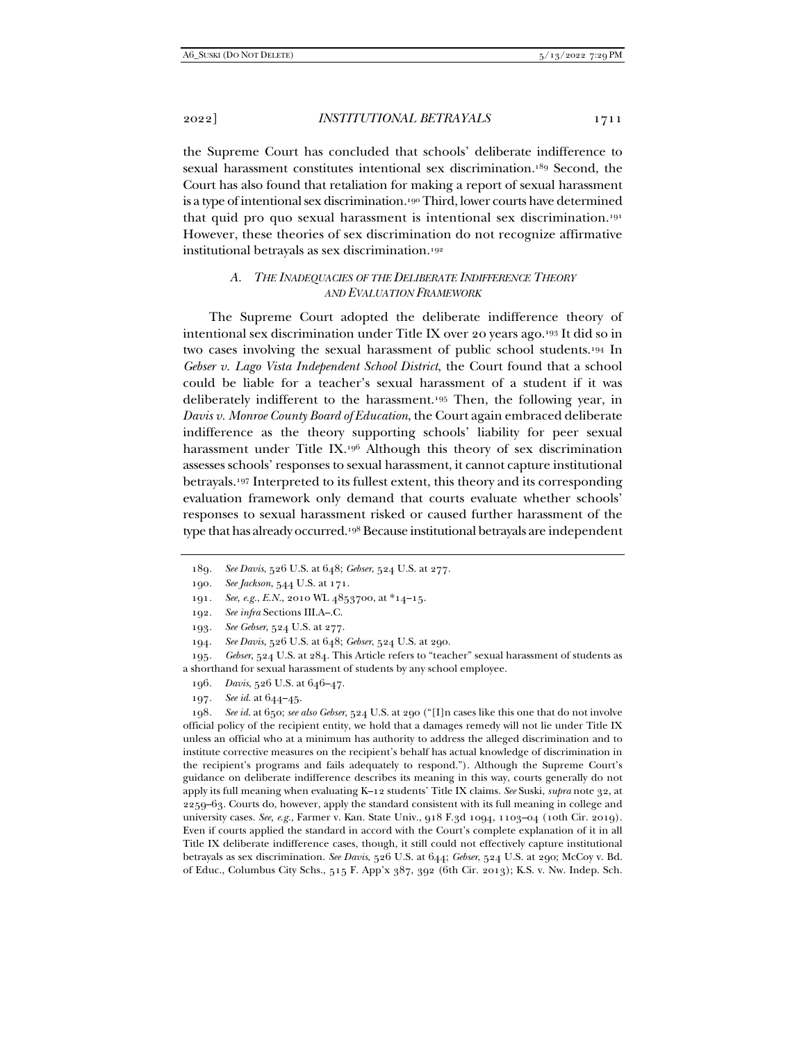the Supreme Court has concluded that schools' deliberate indifference to sexual harassment constitutes intentional sex discrimination.<sup>189</sup> Second, the Court has also found that retaliation for making a report of sexual harassment is a type of intentional sex discrimination.<sup>190</sup> Third, lower courts have determined that quid pro quo sexual harassment is intentional sex discrimination.191 However, these theories of sex discrimination do not recognize affirmative institutional betrayals as sex discrimination.192

# *A. THE INADEQUACIES OF THE DELIBERATE INDIFFERENCE THEORY AND EVALUATION FRAMEWORK*

The Supreme Court adopted the deliberate indifference theory of intentional sex discrimination under Title IX over 20 years ago.193 It did so in two cases involving the sexual harassment of public school students.194 In *Gebser v. Lago Vista Independent School District*, the Court found that a school could be liable for a teacher's sexual harassment of a student if it was deliberately indifferent to the harassment.195 Then, the following year, in *Davis v. Monroe County Board of Education*, the Court again embraced deliberate indifference as the theory supporting schools' liability for peer sexual harassment under Title IX.196 Although this theory of sex discrimination assesses schools' responses to sexual harassment, it cannot capture institutional betrayals.197 Interpreted to its fullest extent, this theory and its corresponding evaluation framework only demand that courts evaluate whether schools' responses to sexual harassment risked or caused further harassment of the type that has already occurred.<sup>198</sup> Because institutional betrayals are independent

191*. See, e.g.*, *E.N.*, 2010 WL 4853700, at \*14–15.

194*. See Davis*, 526 U.S. at 648; *Gebser*, 524 U.S. at 290.

195*. Gebser*, 524 U.S. at 284. This Article refers to "teacher" sexual harassment of students as a shorthand for sexual harassment of students by any school employee.

- 196*. Davis*, 526 U.S. at 646–47.
- 197*. See id.* at 644–45.

198*. See id.* at 650; *see also Gebser*, 524 U.S. at 290 ("[I]n cases like this one that do not involve official policy of the recipient entity, we hold that a damages remedy will not lie under Title IX unless an official who at a minimum has authority to address the alleged discrimination and to institute corrective measures on the recipient's behalf has actual knowledge of discrimination in the recipient's programs and fails adequately to respond."). Although the Supreme Court's guidance on deliberate indifference describes its meaning in this way, courts generally do not apply its full meaning when evaluating K–12 students' Title IX claims. *See* Suski, *supra* note 32, at 2259–63. Courts do, however, apply the standard consistent with its full meaning in college and university cases. *See, e.g.*, Farmer v. Kan. State Univ., 918 F.3d 1094, 1103–04 (10th Cir. 2019). Even if courts applied the standard in accord with the Court's complete explanation of it in all Title IX deliberate indifference cases, though, it still could not effectively capture institutional betrayals as sex discrimination. *See Davis*, 526 U.S. at 644; *Gebser*, 524 U.S. at 290; McCoy v. Bd. of Educ., Columbus City Schs., 515 F. App'x 387, 392 (6th Cir. 2013); K.S. v. Nw. Indep. Sch.

<sup>189</sup>*. See Davis*, 526 U.S. at 648; *Gebser*, 524 U.S. at 277.

<sup>190</sup>*. See Jackson*, 544 U.S. at 171.

<sup>192</sup>*. See infra* Sections III.A–.C.

<sup>193</sup>*. See Gebser*, 524 U.S. at 277.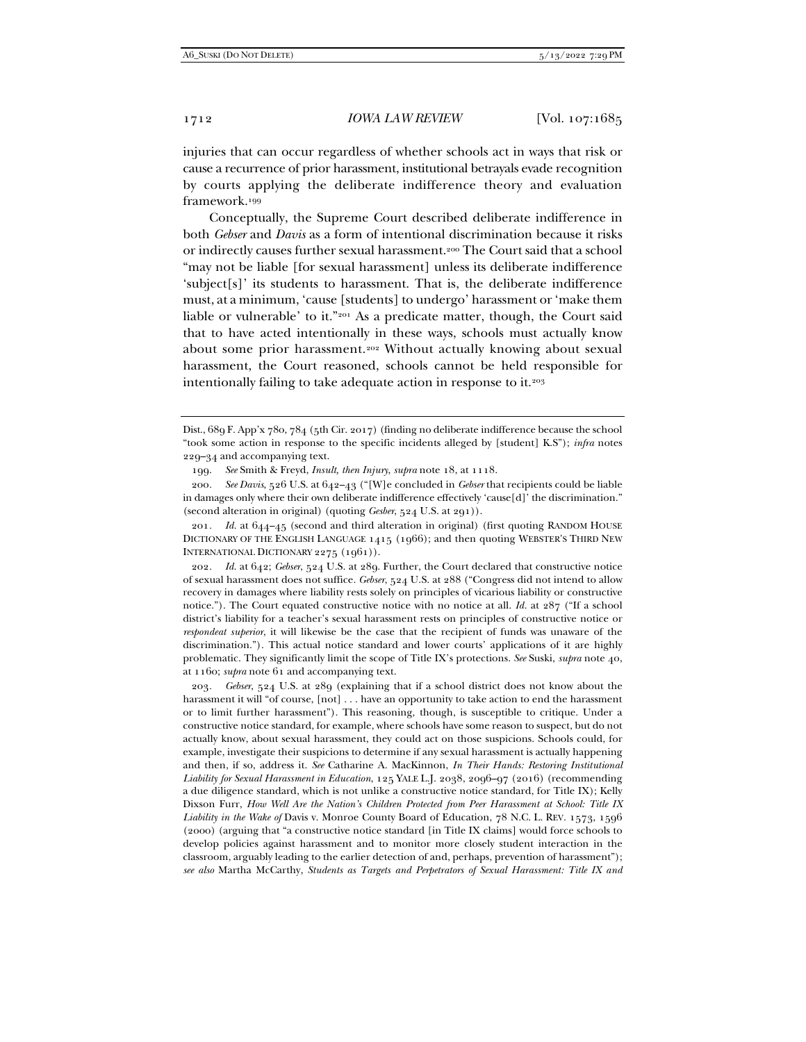injuries that can occur regardless of whether schools act in ways that risk or cause a recurrence of prior harassment, institutional betrayals evade recognition by courts applying the deliberate indifference theory and evaluation framework.199

Conceptually, the Supreme Court described deliberate indifference in both *Gebser* and *Davis* as a form of intentional discrimination because it risks or indirectly causes further sexual harassment.200 The Court said that a school "may not be liable [for sexual harassment] unless its deliberate indifference 'subject[s]' its students to harassment. That is, the deliberate indifference must, at a minimum, 'cause [students] to undergo' harassment or 'make them liable or vulnerable' to it."201 As a predicate matter, though, the Court said that to have acted intentionally in these ways, schools must actually know about some prior harassment.202 Without actually knowing about sexual harassment, the Court reasoned, schools cannot be held responsible for intentionally failing to take adequate action in response to it.203

201*. Id.* at 644–45 (second and third alteration in original) (first quoting RANDOM HOUSE DICTIONARY OF THE ENGLISH LANGUAGE 1415 (1966); and then quoting WEBSTER'S THIRD NEW INTERNATIONAL DICTIONARY 2275 (1961)).

202*. Id.* at 642; *Gebser*, 524 U.S. at 289. Further, the Court declared that constructive notice of sexual harassment does not suffice. *Gebser*, 524 U.S. at 288 ("Congress did not intend to allow recovery in damages where liability rests solely on principles of vicarious liability or constructive notice."). The Court equated constructive notice with no notice at all. *Id.* at 287 ("If a school district's liability for a teacher's sexual harassment rests on principles of constructive notice or *respondeat superior*, it will likewise be the case that the recipient of funds was unaware of the discrimination."). This actual notice standard and lower courts' applications of it are highly problematic. They significantly limit the scope of Title IX's protections. *See* Suski, *supra* note 40, at 1160; *supra* note 61 and accompanying text.

203*. Gebser*, 524 U.S. at 289 (explaining that if a school district does not know about the harassment it will "of course, [not] . . . have an opportunity to take action to end the harassment or to limit further harassment"). This reasoning, though, is susceptible to critique. Under a constructive notice standard, for example, where schools have some reason to suspect, but do not actually know, about sexual harassment, they could act on those suspicions. Schools could, for example, investigate their suspicions to determine if any sexual harassment is actually happening and then, if so, address it. *See* Catharine A. MacKinnon, *In Their Hands: Restoring Institutional Liability for Sexual Harassment in Education*, 125 YALE L.J. 2038, 2096–97 (2016) (recommending a due diligence standard, which is not unlike a constructive notice standard, for Title IX); Kelly Dixson Furr, *How Well Are the Nation's Children Protected from Peer Harassment at School: Title IX Liability in the Wake of* Davis v. Monroe County Board of Education, 78 N.C. L. REV. 1573, 1596 (2000) (arguing that "a constructive notice standard [in Title IX claims] would force schools to develop policies against harassment and to monitor more closely student interaction in the classroom, arguably leading to the earlier detection of and, perhaps, prevention of harassment"); *see also* Martha McCarthy, *Students as Targets and Perpetrators of Sexual Harassment: Title IX and* 

Dist., 689 F. App'x 780, 784 (5th Cir. 2017) (finding no deliberate indifference because the school "took some action in response to the specific incidents alleged by [student] K.S"); *infra* notes 229–34 and accompanying text.

 <sup>199.</sup> *See* Smith & Freyd, *Insult, then Injury*, *supra* note 18, at 1118.

<sup>200</sup>*. See Davis*, 526 U.S. at 642–43 ("[W]e concluded in *Gebser* that recipients could be liable in damages only where their own deliberate indifference effectively 'cause[d]' the discrimination." (second alteration in original) (quoting *Gesber*, 524 U.S. at 291)).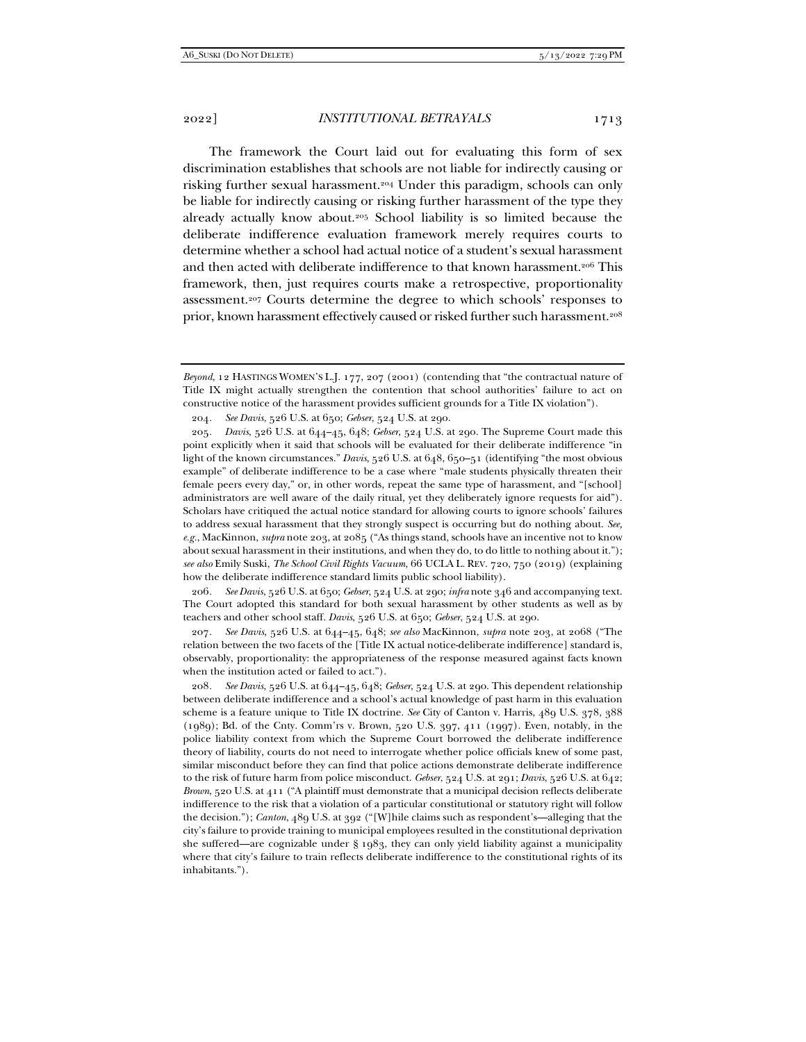The framework the Court laid out for evaluating this form of sex discrimination establishes that schools are not liable for indirectly causing or risking further sexual harassment.204 Under this paradigm, schools can only be liable for indirectly causing or risking further harassment of the type they already actually know about.205 School liability is so limited because the deliberate indifference evaluation framework merely requires courts to determine whether a school had actual notice of a student's sexual harassment and then acted with deliberate indifference to that known harassment.206 This framework, then, just requires courts make a retrospective, proportionality assessment.207 Courts determine the degree to which schools' responses to prior, known harassment effectively caused or risked further such harassment.<sup>208</sup>

204*. See Davis*, 526 U.S. at 650; *Gebser*, 524 U.S. at 290.

205*. Davis*, 526 U.S. at 644–45, 648; *Gebser*, 524 U.S. at 290. The Supreme Court made this point explicitly when it said that schools will be evaluated for their deliberate indifference "in light of the known circumstances." *Davis*, 526 U.S. at 648, 650–51 (identifying "the most obvious example" of deliberate indifference to be a case where "male students physically threaten their female peers every day," or, in other words, repeat the same type of harassment, and "[school] administrators are well aware of the daily ritual, yet they deliberately ignore requests for aid"). Scholars have critiqued the actual notice standard for allowing courts to ignore schools' failures to address sexual harassment that they strongly suspect is occurring but do nothing about. *See, e.g.*, MacKinnon, *supra* note 203, at 2085 ("As things stand, schools have an incentive not to know about sexual harassment in their institutions, and when they do, to do little to nothing about it."); *see also* Emily Suski, *The School Civil Rights Vacuum*, 66 UCLA L. REV. 720, 750 (2019) (explaining how the deliberate indifference standard limits public school liability).

206*. See Davis*, 526 U.S. at 650; *Gebser*, 524 U.S. at 290; *infra* note 346 and accompanying text. The Court adopted this standard for both sexual harassment by other students as well as by teachers and other school staff. *Davis*, 526 U.S. at 650; *Gebser*, 524 U.S. at 290.

207*. See Davis*, 526 U.S. at 644–45, 648; *see also* MacKinnon, *supra* note 203, at 2068 ("The relation between the two facets of the [Title IX actual notice-deliberate indifference] standard is, observably, proportionality: the appropriateness of the response measured against facts known when the institution acted or failed to act.").

208*. See Davis*, 526 U.S. at 644–45, 648; *Gebser*, 524 U.S. at 290. This dependent relationship between deliberate indifference and a school's actual knowledge of past harm in this evaluation scheme is a feature unique to Title IX doctrine. *See* City of Canton v. Harris, 489 U.S. 378, 388 (1989); Bd. of the Cnty. Comm'rs v. Brown, 520 U.S. 397, 411 (1997). Even, notably, in the police liability context from which the Supreme Court borrowed the deliberate indifference theory of liability, courts do not need to interrogate whether police officials knew of some past, similar misconduct before they can find that police actions demonstrate deliberate indifference to the risk of future harm from police misconduct. *Gebser*, 524 U.S. at 291; *Davis*, 526 U.S. at 642; *Brown*, 520 U.S. at 411 ("A plaintiff must demonstrate that a municipal decision reflects deliberate indifference to the risk that a violation of a particular constitutional or statutory right will follow the decision."); *Canton*, 489 U.S. at 392 ("[W]hile claims such as respondent's—alleging that the city's failure to provide training to municipal employees resulted in the constitutional deprivation she suffered—are cognizable under § 1983, they can only yield liability against a municipality where that city's failure to train reflects deliberate indifference to the constitutional rights of its inhabitants.").

*Beyond*, 12 HASTINGS WOMEN'S L.J. 177, 207 (2001) (contending that "the contractual nature of Title IX might actually strengthen the contention that school authorities' failure to act on constructive notice of the harassment provides sufficient grounds for a Title IX violation").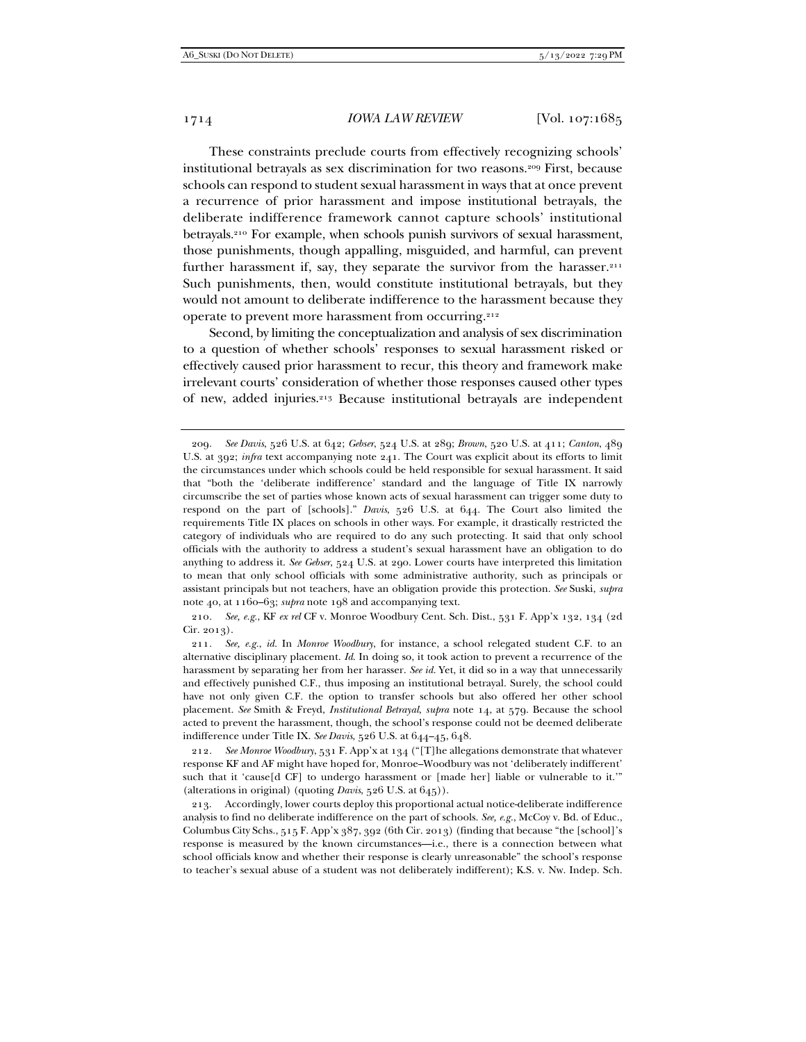These constraints preclude courts from effectively recognizing schools' institutional betrayals as sex discrimination for two reasons.209 First, because schools can respond to student sexual harassment in ways that at once prevent a recurrence of prior harassment and impose institutional betrayals, the deliberate indifference framework cannot capture schools' institutional betrayals.210 For example, when schools punish survivors of sexual harassment, those punishments, though appalling, misguided, and harmful, can prevent further harassment if, say, they separate the survivor from the harasser.<sup>211</sup> Such punishments, then, would constitute institutional betrayals, but they would not amount to deliberate indifference to the harassment because they operate to prevent more harassment from occurring.212

Second, by limiting the conceptualization and analysis of sex discrimination to a question of whether schools' responses to sexual harassment risked or effectively caused prior harassment to recur, this theory and framework make irrelevant courts' consideration of whether those responses caused other types of new, added injuries.213 Because institutional betrayals are independent

210*. See, e.g.*, KF *ex rel* CF v. Monroe Woodbury Cent. Sch. Dist., 531 F. App'x 132, 134 (2d Cir. 2013).

211*. See, e.g.*, *id.* In *Monroe Woodbury*, for instance, a school relegated student C.F. to an alternative disciplinary placement. *Id*. In doing so, it took action to prevent a recurrence of the harassment by separating her from her harasser. *See id.* Yet, it did so in a way that unnecessarily and effectively punished C.F., thus imposing an institutional betrayal. Surely, the school could have not only given C.F. the option to transfer schools but also offered her other school placement. *See* Smith & Freyd, *Institutional Betrayal*, *supra* note 14, at 579. Because the school acted to prevent the harassment, though, the school's response could not be deemed deliberate indifference under Title IX. *See Davis*, 526 U.S. at 644–45, 648.

212*. See Monroe Woodbury*, 531 F. App'x at 134 ("[T]he allegations demonstrate that whatever response KF and AF might have hoped for, Monroe–Woodbury was not 'deliberately indifferent' such that it 'cause[d CF] to undergo harassment or [made her] liable or vulnerable to it.'" (alterations in original) (quoting *Davis*, 526 U.S. at 645)).

 213. Accordingly, lower courts deploy this proportional actual notice-deliberate indifference analysis to find no deliberate indifference on the part of schools. *See, e.g.*, McCoy v. Bd. of Educ., Columbus City Schs., 515 F. App'x 387, 392 (6th Cir. 2013) (finding that because "the [school]'s response is measured by the known circumstances—i.e., there is a connection between what school officials know and whether their response is clearly unreasonable" the school's response to teacher's sexual abuse of a student was not deliberately indifferent); K.S. v. Nw. Indep. Sch.

<sup>209</sup>*. See Davis*, 526 U.S. at 642; *Gebser*, 524 U.S. at 289; *Brown*, 520 U.S. at 411; *Canton*, 489 U.S. at 392; *infra* text accompanying note 241. The Court was explicit about its efforts to limit the circumstances under which schools could be held responsible for sexual harassment. It said that "both the 'deliberate indifference' standard and the language of Title IX narrowly circumscribe the set of parties whose known acts of sexual harassment can trigger some duty to respond on the part of [schools]." *Davis*, 526 U.S. at 644. The Court also limited the requirements Title IX places on schools in other ways. For example, it drastically restricted the category of individuals who are required to do any such protecting. It said that only school officials with the authority to address a student's sexual harassment have an obligation to do anything to address it. *See Gebser*, 524 U.S. at 290. Lower courts have interpreted this limitation to mean that only school officials with some administrative authority, such as principals or assistant principals but not teachers, have an obligation provide this protection. *See* Suski, *supra* note 40, at 1160–63; *supra* note 198 and accompanying text.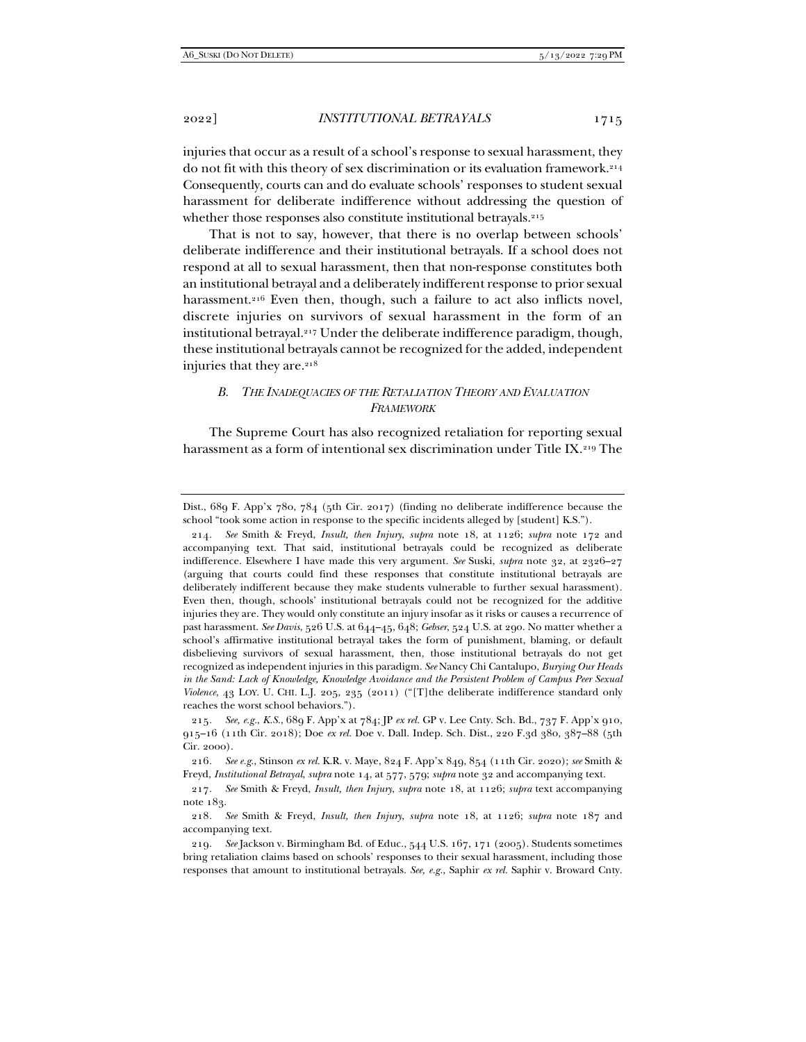injuries that occur as a result of a school's response to sexual harassment, they do not fit with this theory of sex discrimination or its evaluation framework.214 Consequently, courts can and do evaluate schools' responses to student sexual harassment for deliberate indifference without addressing the question of whether those responses also constitute institutional betrayals.<sup>215</sup>

That is not to say, however, that there is no overlap between schools' deliberate indifference and their institutional betrayals. If a school does not respond at all to sexual harassment, then that non-response constitutes both an institutional betrayal and a deliberately indifferent response to prior sexual harassment.<sup>216</sup> Even then, though, such a failure to act also inflicts novel, discrete injuries on survivors of sexual harassment in the form of an institutional betrayal.217 Under the deliberate indifference paradigm, though, these institutional betrayals cannot be recognized for the added, independent injuries that they are.<sup>218</sup>

# *B. THE INADEQUACIES OF THE RETALIATION THEORY AND EVALUATION FRAMEWORK*

The Supreme Court has also recognized retaliation for reporting sexual harassment as a form of intentional sex discrimination under Title IX.219 The

Dist., 689 F. App'x 780, 784 (5th Cir. 2017) (finding no deliberate indifference because the school "took some action in response to the specific incidents alleged by [student] K.S.").

<sup>214</sup>*. See* Smith & Freyd, *Insult, then Injury*, *supra* note 18, at 1126; *supra* note 172 and accompanying text. That said, institutional betrayals could be recognized as deliberate indifference. Elsewhere I have made this very argument. *See* Suski, *supra* note 32, at 2326–27 (arguing that courts could find these responses that constitute institutional betrayals are deliberately indifferent because they make students vulnerable to further sexual harassment). Even then, though, schools' institutional betrayals could not be recognized for the additive injuries they are. They would only constitute an injury insofar as it risks or causes a recurrence of past harassment. *See Davis*, 526 U.S. at 644–45, 648; *Gebser*, 524 U.S. at 290. No matter whether a school's affirmative institutional betrayal takes the form of punishment, blaming, or default disbelieving survivors of sexual harassment, then, those institutional betrayals do not get recognized as independent injuries in this paradigm. *See* Nancy Chi Cantalupo, *Burying Our Heads in the Sand: Lack of Knowledge, Knowledge Avoidance and the Persistent Problem of Campus Peer Sexual Violence*, 43 LOY. U. CHI. L.J. 205, 235 (2011) ("[T]the deliberate indifference standard only reaches the worst school behaviors.").

<sup>215</sup>*. See, e.g.*, *K.S.*, 689 F. App'x at 784; JP *ex rel.* GP v. Lee Cnty. Sch. Bd., 737 F. App'x 910, 915–16 (11th Cir. 2018); Doe *ex rel.* Doe v. Dall. Indep. Sch. Dist., 220 F.3d 380, 387–88 (5th Cir. 2000).

<sup>216</sup>*. See e.g.*, Stinson *ex rel.* K.R. v. Maye, 824 F. App'x 849, 854 (11th Cir. 2020); *see* Smith & Freyd, *Institutional Betrayal*, *supra* note 14, at 577, 579; *supra* note 32 and accompanying text.

<sup>217</sup>*. See* Smith & Freyd, *Insult, then Injury*, *supra* note 18, at 1126; *supra* text accompanying note 183.

<sup>218</sup>*. See* Smith & Freyd, *Insult, then Injury*, *supra* note 18, at 1126; *supra* note 187 and accompanying text.

<sup>219</sup>*. See* Jackson v. Birmingham Bd. of Educ., 544 U.S. 167, 171 (2005). Students sometimes bring retaliation claims based on schools' responses to their sexual harassment, including those responses that amount to institutional betrayals. *See, e.g.*, Saphir *ex rel.* Saphir v. Broward Cnty.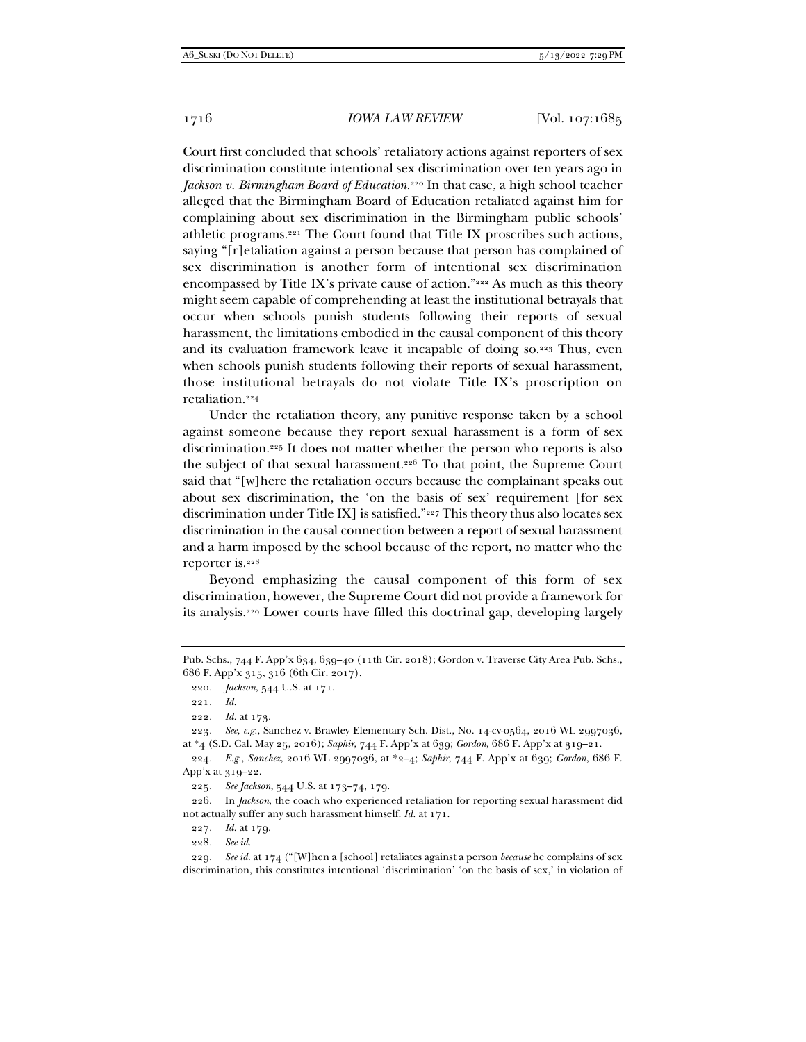Court first concluded that schools' retaliatory actions against reporters of sex discrimination constitute intentional sex discrimination over ten years ago in *Jackson v. Birmingham Board of Education*.220 In that case, a high school teacher alleged that the Birmingham Board of Education retaliated against him for complaining about sex discrimination in the Birmingham public schools' athletic programs.221 The Court found that Title IX proscribes such actions, saying "[r]etaliation against a person because that person has complained of sex discrimination is another form of intentional sex discrimination encompassed by Title IX's private cause of action."222 As much as this theory might seem capable of comprehending at least the institutional betrayals that occur when schools punish students following their reports of sexual harassment, the limitations embodied in the causal component of this theory and its evaluation framework leave it incapable of doing so.223 Thus, even when schools punish students following their reports of sexual harassment, those institutional betrayals do not violate Title IX's proscription on retaliation.224

Under the retaliation theory, any punitive response taken by a school against someone because they report sexual harassment is a form of sex discrimination.225 It does not matter whether the person who reports is also the subject of that sexual harassment.226 To that point, the Supreme Court said that "[w]here the retaliation occurs because the complainant speaks out about sex discrimination, the 'on the basis of sex' requirement [for sex discrimination under Title IX] is satisfied."227 This theory thus also locates sex discrimination in the causal connection between a report of sexual harassment and a harm imposed by the school because of the report, no matter who the reporter is.228

Beyond emphasizing the causal component of this form of sex discrimination, however, the Supreme Court did not provide a framework for its analysis.229 Lower courts have filled this doctrinal gap, developing largely

223*. See, e.g.*, Sanchez v. Brawley Elementary Sch. Dist., No. 14-cv-0564, 2016 WL 2997036, at \*4 (S.D. Cal. May 25, 2016); *Saphir*, 744 F. App'x at 639; *Gordon*, 686 F. App'x at 319–21.

224*. E.g.*, *Sanchez*, 2016 WL 2997036, at \*2–4; *Saphir*, 744 F. App'x at 639; *Gordon*, 686 F. App'x at 319–22.

225*. See Jackson*, 544 U.S. at 173–74, 179.

 226. In *Jackson*, the coach who experienced retaliation for reporting sexual harassment did not actually suffer any such harassment himself. *Id.* at 171.

227*. Id.* at 179.

228*. See id.*

229*. See id.* at 174 ("[W]hen a [school] retaliates against a person *because* he complains of sex discrimination, this constitutes intentional 'discrimination' 'on the basis of sex,' in violation of

Pub. Schs., 744 F. App'x 634, 639–40 (11th Cir. 2018); Gordon v. Traverse City Area Pub. Schs., 686 F. App'x 315, 316 (6th Cir. 2017).

<sup>220</sup>*. Jackson*, 544 U.S. at 171.

<sup>221</sup>*. Id.*

<sup>222</sup>*. Id.* at 173.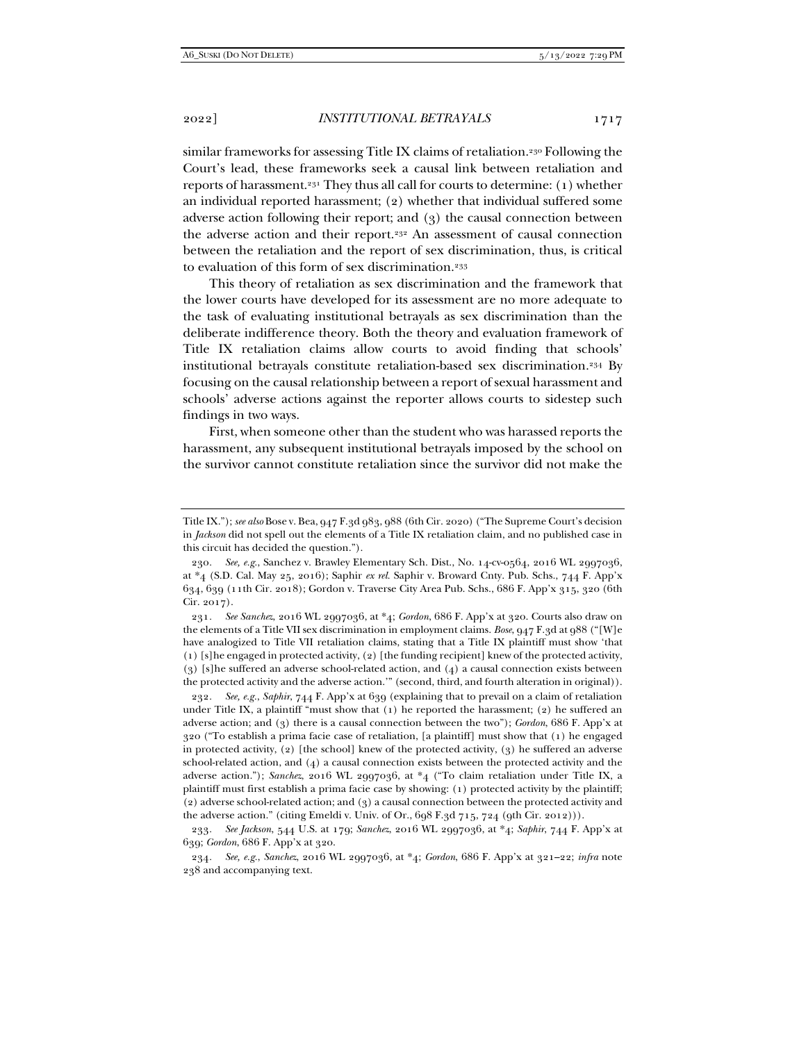similar frameworks for assessing Title IX claims of retaliation.<sup>230</sup> Following the Court's lead, these frameworks seek a causal link between retaliation and reports of harassment.231 They thus all call for courts to determine: (1) whether an individual reported harassment; (2) whether that individual suffered some adverse action following their report; and (3) the causal connection between the adverse action and their report.<sup>232</sup> An assessment of causal connection between the retaliation and the report of sex discrimination, thus, is critical to evaluation of this form of sex discrimination.<sup>233</sup>

This theory of retaliation as sex discrimination and the framework that the lower courts have developed for its assessment are no more adequate to the task of evaluating institutional betrayals as sex discrimination than the deliberate indifference theory. Both the theory and evaluation framework of Title IX retaliation claims allow courts to avoid finding that schools' institutional betrayals constitute retaliation-based sex discrimination.234 By focusing on the causal relationship between a report of sexual harassment and schools' adverse actions against the reporter allows courts to sidestep such findings in two ways.

First, when someone other than the student who was harassed reports the harassment, any subsequent institutional betrayals imposed by the school on the survivor cannot constitute retaliation since the survivor did not make the

231*. See Sanchez*, 2016 WL 2997036, at \*4; *Gordon*, 686 F. App'x at 320. Courts also draw on the elements of a Title VII sex discrimination in employment claims. *Bose*, 947 F.3d at 988 ("[W]e have analogized to Title VII retaliation claims, stating that a Title IX plaintiff must show 'that (1) [s]he engaged in protected activity, (2) [the funding recipient] knew of the protected activity, (3) [s]he suffered an adverse school-related action, and (4) a causal connection exists between the protected activity and the adverse action.'" (second, third, and fourth alteration in original)).

232*. See, e.g.*, *Saphir*, 744 F. App'x at 639 (explaining that to prevail on a claim of retaliation under Title IX, a plaintiff "must show that  $(1)$  he reported the harassment;  $(2)$  he suffered an adverse action; and (3) there is a causal connection between the two"); *Gordon*, 686 F. App'x at 320 ("To establish a prima facie case of retaliation, [a plaintiff] must show that (1) he engaged in protected activity, (2) [the school] knew of the protected activity, (3) he suffered an adverse school-related action, and (4) a causal connection exists between the protected activity and the adverse action."); *Sanchez*, 2016 WL 2997036, at \*4 ("To claim retaliation under Title IX, a plaintiff must first establish a prima facie case by showing: (1) protected activity by the plaintiff; (2) adverse school-related action; and (3) a causal connection between the protected activity and the adverse action." (citing Emeldi v. Univ. of Or., 698 F.3d 715, 724 (9th Cir. 2012))).

233*. See Jackson*, 544 U.S. at 179; *Sanchez*, 2016 WL 2997036, at \*4; *Saphir*, 744 F. App'x at 639; *Gordon*, 686 F. App'x at 320.

234*. See, e.g.*, *Sanchez*, 2016 WL 2997036, at \*4; *Gordon*, 686 F. App'x at 321–22; *infra* note 238 and accompanying text.

Title IX."); *see also* Bose v. Bea, 947 F.3d 983, 988 (6th Cir. 2020) ("The Supreme Court's decision in *Jackson* did not spell out the elements of a Title IX retaliation claim, and no published case in this circuit has decided the question.").

<sup>230</sup>*. See, e.g.*, Sanchez v. Brawley Elementary Sch. Dist., No. 14-cv-0564, 2016 WL 2997036, at \*4 (S.D. Cal. May 25, 2016); Saphir *ex rel.* Saphir v. Broward Cnty. Pub. Schs., 744 F. App'x 634, 639 (11th Cir. 2018); Gordon v. Traverse City Area Pub. Schs., 686 F. App'x 315, 320 (6th Cir. 2017).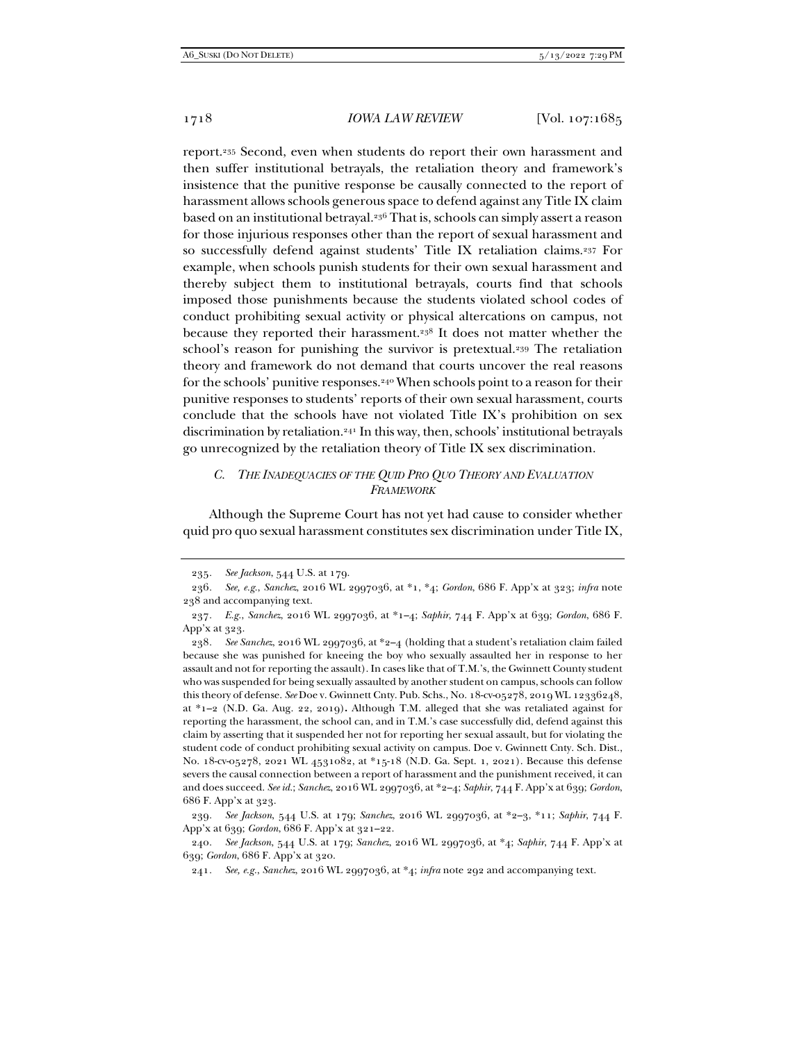report.235 Second, even when students do report their own harassment and then suffer institutional betrayals, the retaliation theory and framework's insistence that the punitive response be causally connected to the report of harassment allows schools generous space to defend against any Title IX claim based on an institutional betrayal.236 That is, schools can simply assert a reason for those injurious responses other than the report of sexual harassment and so successfully defend against students' Title IX retaliation claims.237 For example, when schools punish students for their own sexual harassment and thereby subject them to institutional betrayals, courts find that schools imposed those punishments because the students violated school codes of conduct prohibiting sexual activity or physical altercations on campus, not because they reported their harassment.<sup>238</sup> It does not matter whether the school's reason for punishing the survivor is pretextual.<sup>239</sup> The retaliation theory and framework do not demand that courts uncover the real reasons for the schools' punitive responses.240 When schools point to a reason for their punitive responses to students' reports of their own sexual harassment, courts conclude that the schools have not violated Title IX's prohibition on sex discrimination by retaliation.241 In this way, then, schools' institutional betrayals go unrecognized by the retaliation theory of Title IX sex discrimination.

## *C. THE INADEQUACIES OF THE QUID PRO QUO THEORY AND EVALUATION FRAMEWORK*

Although the Supreme Court has not yet had cause to consider whether quid pro quo sexual harassment constitutes sex discrimination under Title IX,

239*. See Jackson*, 544 U.S. at 179; *Sanchez*, 2016 WL 2997036, at \*2–3, \*11; *Saphir*, 744 F. App'x at 639; *Gordon*, 686 F. App'x at 321–22.

<sup>235</sup>*. See Jackson*, 544 U.S. at 179.

<sup>236</sup>*. See, e.g.*, *Sanchez*, 2016 WL 2997036, at \*1, \*4; *Gordon*, 686 F. App'x at 323; *infra* note 238 and accompanying text.

<sup>237</sup>*. E.g.*, *Sanchez*, 2016 WL 2997036, at \*1–4; *Saphir*, 744 F. App'x at 639; *Gordon*, 686 F. App'x at 323.

<sup>238</sup>*. See Sanchez*, 2016 WL 2997036, at \*2–4 (holding that a student's retaliation claim failed because she was punished for kneeing the boy who sexually assaulted her in response to her assault and not for reporting the assault). In cases like that of T.M.'s, the Gwinnett County student who was suspended for being sexually assaulted by another student on campus, schools can follow this theory of defense. *See* Doe v. Gwinnett Cnty. Pub. Schs., No. 18-cv-05278, 2019 WL 12336248, at \*1–2 (N.D. Ga. Aug. 22, 2019)**.** Although T.M. alleged that she was retaliated against for reporting the harassment, the school can, and in T.M.'s case successfully did, defend against this claim by asserting that it suspended her not for reporting her sexual assault, but for violating the student code of conduct prohibiting sexual activity on campus. Doe v. Gwinnett Cnty. Sch. Dist., No. 18-cv-05278, 2021 WL 4531082, at \*15-18 (N.D. Ga. Sept. 1, 2021). Because this defense severs the causal connection between a report of harassment and the punishment received, it can and does succeed. *See id.*; *Sanchez*, 2016 WL 2997036, at \*2–4; *Saphir*, 744 F. App'x at 639; *Gordon*, 686 F. App'x at 323.

<sup>240</sup>*. See Jackson*, 544 U.S. at 179; *Sanchez*, 2016 WL 2997036, at \*4; *Saphir*, 744 F. App'x at 639; *Gordon*, 686 F. App'x at 320.

<sup>241</sup>*. See, e.g.*, *Sanchez*, 2016 WL 2997036, at \*4; *infra* note 292 and accompanying text.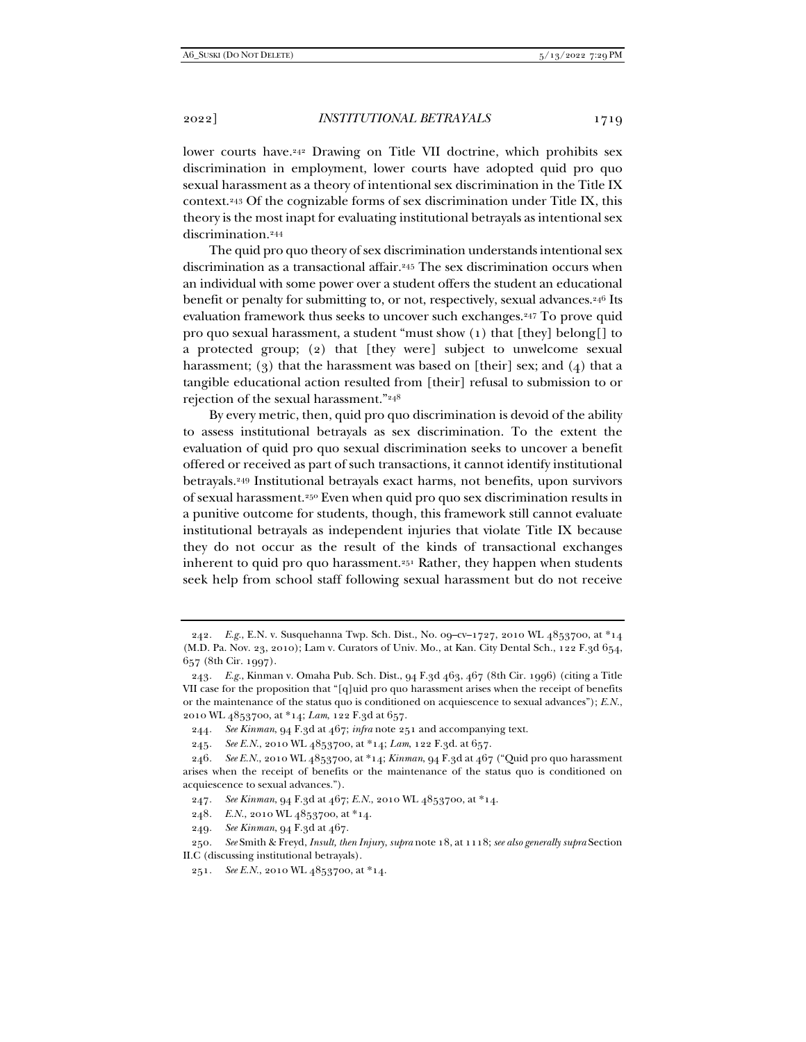lower courts have.242 Drawing on Title VII doctrine, which prohibits sex discrimination in employment, lower courts have adopted quid pro quo sexual harassment as a theory of intentional sex discrimination in the Title IX context.243 Of the cognizable forms of sex discrimination under Title IX, this theory is the most inapt for evaluating institutional betrayals as intentional sex discrimination.244

The quid pro quo theory of sex discrimination understands intentional sex discrimination as a transactional affair.245 The sex discrimination occurs when an individual with some power over a student offers the student an educational benefit or penalty for submitting to, or not, respectively, sexual advances.<sup>246</sup> Its evaluation framework thus seeks to uncover such exchanges.<sup>247</sup> To prove quid pro quo sexual harassment, a student "must show (1) that [they] belong[] to a protected group; (2) that [they were] subject to unwelcome sexual harassment; (3) that the harassment was based on [their] sex; and (4) that a tangible educational action resulted from [their] refusal to submission to or rejection of the sexual harassment."248

By every metric, then, quid pro quo discrimination is devoid of the ability to assess institutional betrayals as sex discrimination. To the extent the evaluation of quid pro quo sexual discrimination seeks to uncover a benefit offered or received as part of such transactions, it cannot identify institutional betrayals.249 Institutional betrayals exact harms, not benefits, upon survivors of sexual harassment.250 Even when quid pro quo sex discrimination results in a punitive outcome for students, though, this framework still cannot evaluate institutional betrayals as independent injuries that violate Title IX because they do not occur as the result of the kinds of transactional exchanges inherent to quid pro quo harassment.251 Rather, they happen when students seek help from school staff following sexual harassment but do not receive

<sup>242</sup>*. E.g.*, E.N. v. Susquehanna Twp. Sch. Dist., No. 09–cv–1727, 2010 WL 4853700, at \*14 (M.D. Pa. Nov. 23, 2010); Lam v. Curators of Univ. Mo., at Kan. City Dental Sch., 122 F.3d 654, 657 (8th Cir. 1997).

<sup>243</sup>*. E.g.*, Kinman v. Omaha Pub. Sch. Dist., 94 F.3d 463, 467 (8th Cir. 1996) (citing a Title VII case for the proposition that "[q]uid pro quo harassment arises when the receipt of benefits or the maintenance of the status quo is conditioned on acquiescence to sexual advances"); *E.N.*, 2010 WL 4853700, at \*14; *Lam*, 122 F.3d at 657.

<sup>244</sup>*. See Kinman*, 94 F.3d at 467; *infra* note 251 and accompanying text.

<sup>245</sup>*. See E.N.*, 2010 WL 4853700, at \*14; *Lam*, 122 F.3d. at 657.

<sup>246</sup>*. See E.N.*, 2010 WL 4853700, at \*14; *Kinman*, 94 F.3d at 467 ("Quid pro quo harassment arises when the receipt of benefits or the maintenance of the status quo is conditioned on acquiescence to sexual advances.").

<sup>247</sup>*. See Kinman*, 94 F.3d at 467; *E.N.*, 2010 WL 4853700, at \*14.

<sup>248</sup>*. E.N.*, 2010 WL 4853700, at \*14.

<sup>249</sup>*. See Kinman*, 94 F.3d at 467.

<sup>250</sup>*. See* Smith & Freyd, *Insult, then Injury*, *supra* note 18, at 1118; *see also generally supra* Section II.C (discussing institutional betrayals).

<sup>251</sup>*. See E.N.*, 2010 WL 4853700, at \*14.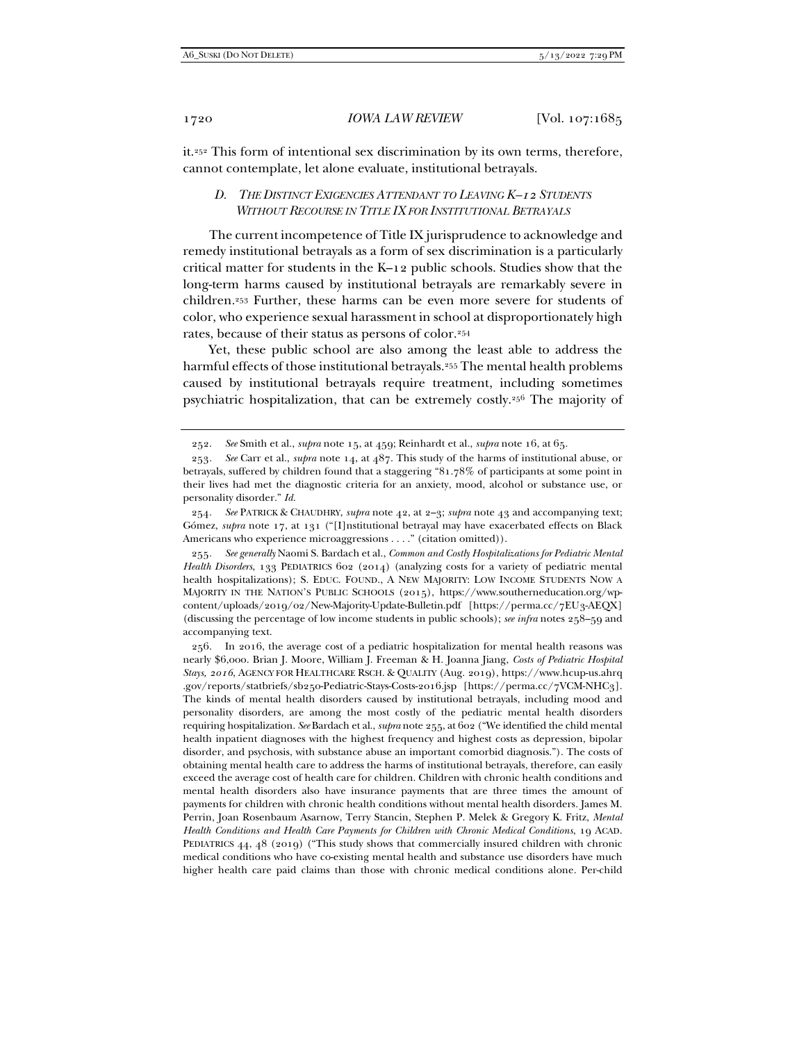it.252 This form of intentional sex discrimination by its own terms, therefore, cannot contemplate, let alone evaluate, institutional betrayals.

# *D. THE DISTINCT EXIGENCIES ATTENDANT TO LEAVING K–12 STUDENTS WITHOUT RECOURSE IN TITLE IX FOR INSTITUTIONAL BETRAYALS*

The current incompetence of Title IX jurisprudence to acknowledge and remedy institutional betrayals as a form of sex discrimination is a particularly critical matter for students in the K–12 public schools. Studies show that the long-term harms caused by institutional betrayals are remarkably severe in children.253 Further, these harms can be even more severe for students of color, who experience sexual harassment in school at disproportionately high rates, because of their status as persons of color.254

Yet, these public school are also among the least able to address the harmful effects of those institutional betrayals.<sup>255</sup> The mental health problems caused by institutional betrayals require treatment, including sometimes psychiatric hospitalization, that can be extremely costly.256 The majority of

 256. In 2016, the average cost of a pediatric hospitalization for mental health reasons was nearly \$6,000. Brian J. Moore, William J. Freeman & H. Joanna Jiang, *Costs of Pediatric Hospital Stays, 2016*, AGENCY FOR HEALTHCARE RSCH. & QUALITY (Aug. 2019), https://www.hcup-us.ahrq .gov/reports/statbriefs/sb250-Pediatric-Stays-Costs-2016.jsp [https://perma.cc/7VCM-NHC3]. The kinds of mental health disorders caused by institutional betrayals, including mood and personality disorders, are among the most costly of the pediatric mental health disorders requiring hospitalization. *See* Bardach et al., *supra* note 255, at 602 ("We identified the child mental health inpatient diagnoses with the highest frequency and highest costs as depression, bipolar disorder, and psychosis, with substance abuse an important comorbid diagnosis."). The costs of obtaining mental health care to address the harms of institutional betrayals, therefore, can easily exceed the average cost of health care for children. Children with chronic health conditions and mental health disorders also have insurance payments that are three times the amount of payments for children with chronic health conditions without mental health disorders. James M. Perrin, Joan Rosenbaum Asarnow, Terry Stancin, Stephen P. Melek & Gregory K. Fritz, *Mental Health Conditions and Health Care Payments for Children with Chronic Medical Conditions*, 19 ACAD. PEDIATRICS 44, 48 (2019) ("This study shows that commercially insured children with chronic medical conditions who have co-existing mental health and substance use disorders have much higher health care paid claims than those with chronic medical conditions alone. Per-child

 <sup>252.</sup> *See* Smith et al., *supra* note 15, at 459; Reinhardt et al., *supra* note 16, at 65.

<sup>253</sup>*. See* Carr et al., *supra* note 14, at 487. This study of the harms of institutional abuse, or betrayals, suffered by children found that a staggering "81.78% of participants at some point in their lives had met the diagnostic criteria for an anxiety, mood, alcohol or substance use, or personality disorder." *Id.*

<sup>254</sup>*. See* PATRICK & CHAUDHRY, *supra* note 42, at 2–3; *supra* note 43 and accompanying text; Gómez, *supra* note 17, at 131 ("[I]nstitutional betrayal may have exacerbated effects on Black Americans who experience microaggressions . . . . " (citation omitted)).

<sup>255</sup>*. See generally* Naomi S. Bardach et al., *Common and Costly Hospitalizations for Pediatric Mental Health Disorders*, 133 PEDIATRICS 602 (2014) (analyzing costs for a variety of pediatric mental health hospitalizations); S. EDUC. FOUND., A NEW MAJORITY: LOW INCOME STUDENTS NOW A MAJORITY IN THE NATION'S PUBLIC SCHOOLS (2015), https://www.southerneducation.org/wpcontent/uploads/2019/02/New-Majority-Update-Bulletin.pdf [https://perma.cc/7EU3-AEQX] (discussing the percentage of low income students in public schools); *see infra* notes 258–59 and accompanying text.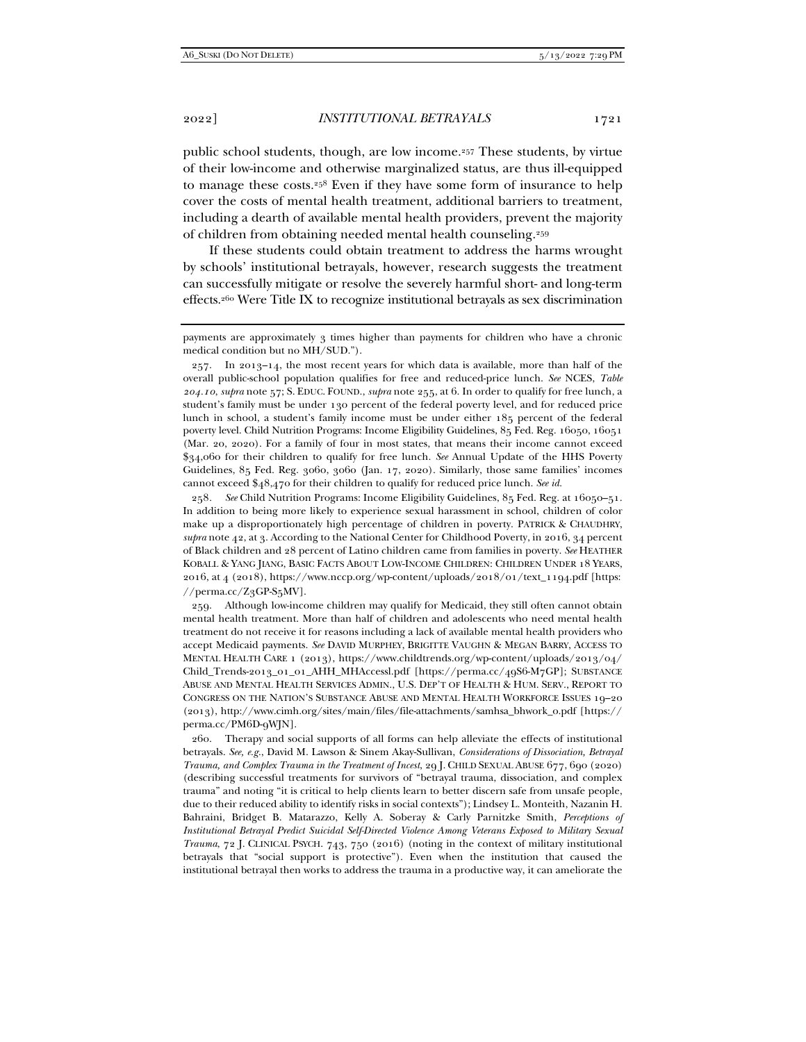public school students, though, are low income.257 These students, by virtue of their low-income and otherwise marginalized status, are thus ill-equipped to manage these costs.258 Even if they have some form of insurance to help cover the costs of mental health treatment, additional barriers to treatment, including a dearth of available mental health providers, prevent the majority of children from obtaining needed mental health counseling.259

If these students could obtain treatment to address the harms wrought by schools' institutional betrayals, however, research suggests the treatment can successfully mitigate or resolve the severely harmful short- and long-term effects.260 Were Title IX to recognize institutional betrayals as sex discrimination

 $257.$  In  $2013-14$ , the most recent years for which data is available, more than half of the overall public-school population qualifies for free and reduced-price lunch. *See* NCES, *Table 204.10*, *supra* note 57; S. EDUC. FOUND., *supra* note 255, at 6. In order to qualify for free lunch, a student's family must be under 130 percent of the federal poverty level, and for reduced price lunch in school, a student's family income must be under either 185 percent of the federal poverty level. Child Nutrition Programs: Income Eligibility Guidelines, 85 Fed. Reg. 16050, 16051 (Mar. 20, 2020). For a family of four in most states, that means their income cannot exceed \$34,060 for their children to qualify for free lunch. *See* Annual Update of the HHS Poverty Guidelines, 85 Fed. Reg. 3060, 3060 (Jan. 17, 2020). Similarly, those same families' incomes cannot exceed \$48,470 for their children to qualify for reduced price lunch. *See id.*

258*. See* Child Nutrition Programs: Income Eligibility Guidelines, 85 Fed. Reg. at 16050–51. In addition to being more likely to experience sexual harassment in school, children of color make up a disproportionately high percentage of children in poverty. PATRICK & CHAUDHRY, *supra* note 42, at 3. According to the National Center for Childhood Poverty, in 2016, 34 percent of Black children and 28 percent of Latino children came from families in poverty. *See* HEATHER KOBALL & YANG JIANG, BASIC FACTS ABOUT LOW-INCOME CHILDREN: CHILDREN UNDER 18 YEARS, 2016, at 4 (2018), https://www.nccp.org/wp-content/uploads/2018/01/text\_1194.pdf [https:  $//$ perma.cc/Z3GP-S5MV].

 259. Although low-income children may qualify for Medicaid, they still often cannot obtain mental health treatment. More than half of children and adolescents who need mental health treatment do not receive it for reasons including a lack of available mental health providers who accept Medicaid payments. *See* DAVID MURPHEY, BRIGITTE VAUGHN & MEGAN BARRY, ACCESS TO MENTAL HEALTH CARE 1 (2013), https://www.childtrends.org/wp-content/uploads/2013/04/ Child\_Trends-2013\_01\_01\_AHH\_MHAccessl.pdf [https://perma.cc/49S6-M7GP]; SUBSTANCE ABUSE AND MENTAL HEALTH SERVICES ADMIN., U.S. DEP'T OF HEALTH & HUM. SERV., REPORT TO CONGRESS ON THE NATION'S SUBSTANCE ABUSE AND MENTAL HEALTH WORKFORCE ISSUES 19–20 (2013), http://www.cimh.org/sites/main/files/file-attachments/samhsa\_bhwork\_0.pdf [https:// perma.cc/PM6D-9WJN].

 260. Therapy and social supports of all forms can help alleviate the effects of institutional betrayals. *See, e.g.*, David M. Lawson & Sinem Akay-Sullivan, *Considerations of Dissociation, Betrayal Trauma, and Complex Trauma in the Treatment of Incest*, 29 J. CHILD SEXUAL ABUSE 677, 690 (2020) (describing successful treatments for survivors of "betrayal trauma, dissociation, and complex trauma" and noting "it is critical to help clients learn to better discern safe from unsafe people, due to their reduced ability to identify risks in social contexts"); Lindsey L. Monteith, Nazanin H. Bahraini, Bridget B. Matarazzo, Kelly A. Soberay & Carly Parnitzke Smith, *Perceptions of Institutional Betrayal Predict Suicidal Self-Directed Violence Among Veterans Exposed to Military Sexual Trauma*, 72 J. CLINICAL PSYCH. 743, 750 (2016) (noting in the context of military institutional betrayals that "social support is protective"). Even when the institution that caused the institutional betrayal then works to address the trauma in a productive way, it can ameliorate the

payments are approximately 3 times higher than payments for children who have a chronic medical condition but no MH/SUD.").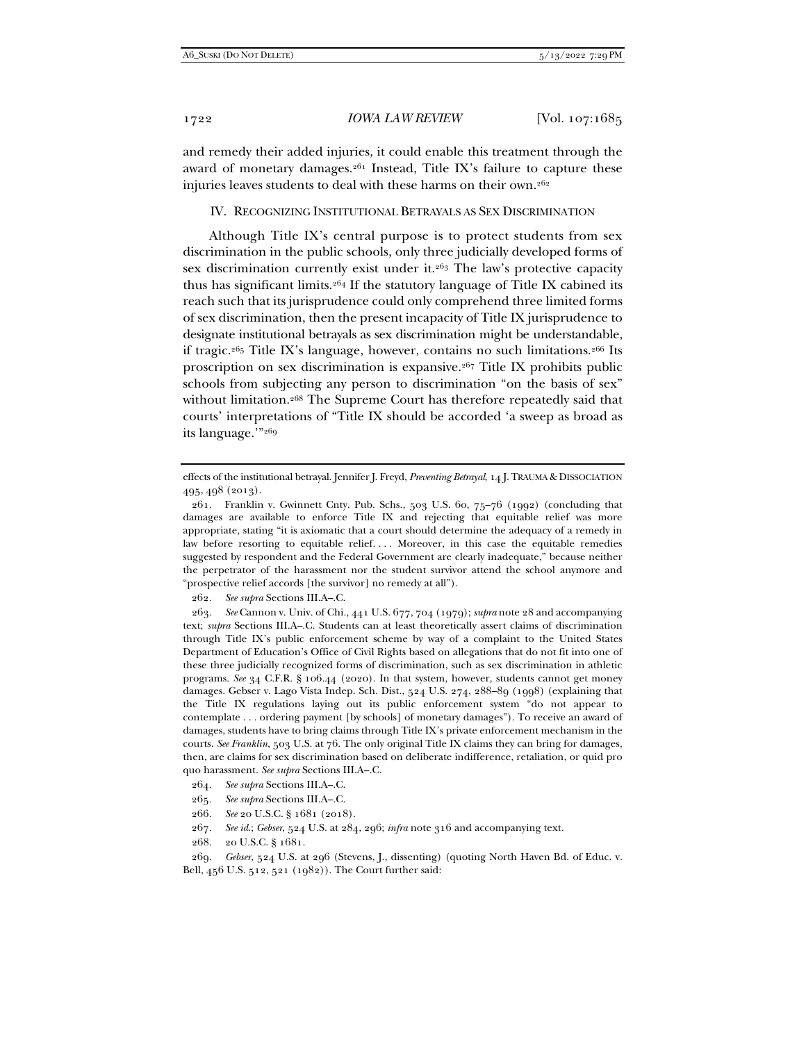and remedy their added injuries, it could enable this treatment through the award of monetary damages. $261$  Instead, Title IX's failure to capture these injuries leaves students to deal with these harms on their own.<sup>262</sup>

#### IV. RECOGNIZING INSTITUTIONAL BETRAYALS AS SEX DISCRIMINATION

Although Title IX's central purpose is to protect students from sex discrimination in the public schools, only three judicially developed forms of sex discrimination currently exist under it.263 The law's protective capacity thus has significant limits.264 If the statutory language of Title IX cabined its reach such that its jurisprudence could only comprehend three limited forms of sex discrimination, then the present incapacity of Title IX jurisprudence to designate institutional betrayals as sex discrimination might be understandable, if tragic.<sup>265</sup> Title IX's language, however, contains no such limitations.<sup>266</sup> Its proscription on sex discrimination is expansive.267 Title IX prohibits public schools from subjecting any person to discrimination "on the basis of sex" without limitation.<sup>268</sup> The Supreme Court has therefore repeatedly said that courts' interpretations of "Title IX should be accorded 'a sweep as broad as its language.'"269

262*. See supra* Sections III.A–.C.

effects of the institutional betrayal. Jennifer J. Freyd, *Preventing Betrayal*, 14 J. TRAUMA & DISSOCIATION 495, 498 (2013).

 <sup>261.</sup> Franklin v. Gwinnett Cnty. Pub. Schs., 503 U.S. 60, 75–76 (1992) (concluding that damages are available to enforce Title IX and rejecting that equitable relief was more appropriate, stating "it is axiomatic that a court should determine the adequacy of a remedy in law before resorting to equitable relief. . . . Moreover, in this case the equitable remedies suggested by respondent and the Federal Government are clearly inadequate," because neither the perpetrator of the harassment nor the student survivor attend the school anymore and "prospective relief accords [the survivor] no remedy at all").

 <sup>263.</sup> *See* Cannon v. Univ. of Chi., 441 U.S. 677, 704 (1979); *supra* note 28 and accompanying text; *supra* Sections III.A–.C. Students can at least theoretically assert claims of discrimination through Title IX's public enforcement scheme by way of a complaint to the United States Department of Education's Office of Civil Rights based on allegations that do not fit into one of these three judicially recognized forms of discrimination, such as sex discrimination in athletic programs. *See* 34 C.F.R. § 106.44 (2020). In that system, however, students cannot get money damages. Gebser v. Lago Vista Indep. Sch. Dist., 524 U.S. 274, 288–89 (1998) (explaining that the Title IX regulations laying out its public enforcement system "do not appear to contemplate . . . ordering payment [by schools] of monetary damages"). To receive an award of damages, students have to bring claims through Title IX's private enforcement mechanism in the courts. *See Franklin*, 503 U.S. at 76. The only original Title IX claims they can bring for damages, then, are claims for sex discrimination based on deliberate indifference, retaliation, or quid pro quo harassment. *See supra* Sections III.A–.C.

<sup>264</sup>*. See supra* Sections III.A–.C.

<sup>265</sup>*. See supra* Sections III.A–.C.

<sup>266</sup>*. See* 20 U.S.C. § 1681 (2018).

<sup>267</sup>*. See id*.; *Gebser*, 524 U.S. at 284, 296; *infra* note 316 and accompanying text.

 <sup>268. 20</sup> U.S.C. § 1681.

<sup>269</sup>*. Gebser*, 524 U.S. at 296 (Stevens, J., dissenting) (quoting North Haven Bd. of Educ. v. Bell, 456 U.S. 512, 521 (1982)). The Court further said: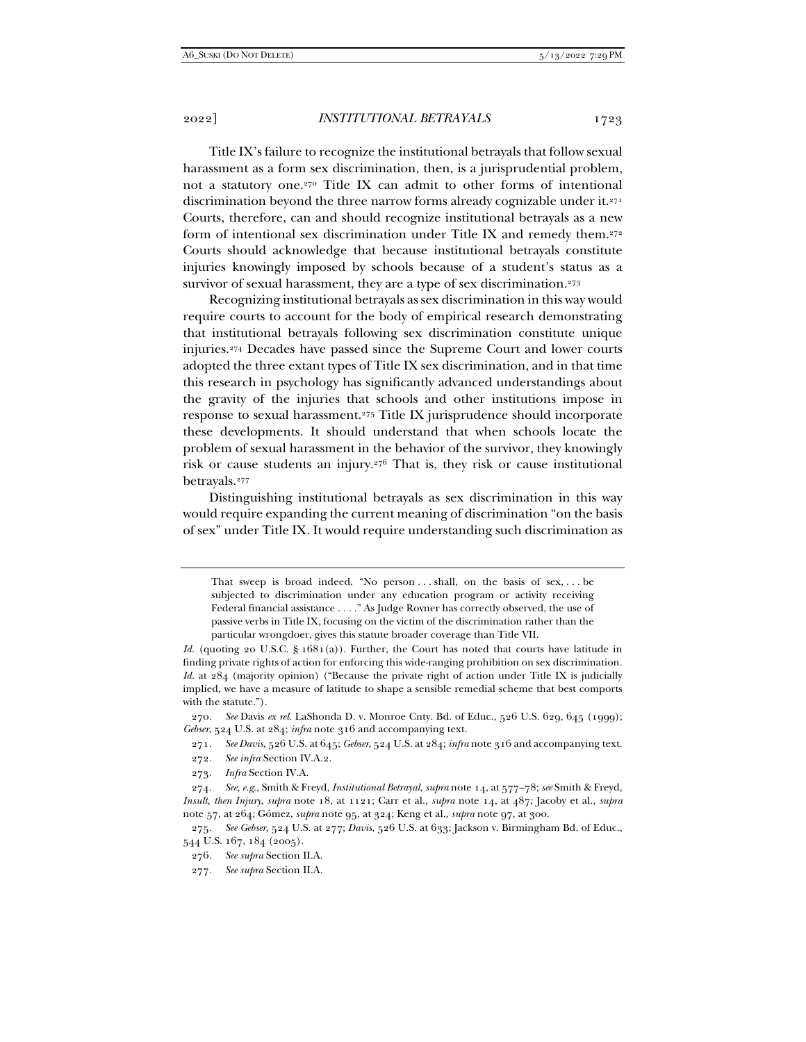Title IX's failure to recognize the institutional betrayals that follow sexual harassment as a form sex discrimination, then, is a jurisprudential problem, not a statutory one.270 Title IX can admit to other forms of intentional discrimination beyond the three narrow forms already cognizable under it.271 Courts, therefore, can and should recognize institutional betrayals as a new form of intentional sex discrimination under Title IX and remedy them.272 Courts should acknowledge that because institutional betrayals constitute injuries knowingly imposed by schools because of a student's status as a survivor of sexual harassment, they are a type of sex discrimination.<sup>273</sup>

Recognizing institutional betrayals as sex discrimination in this way would require courts to account for the body of empirical research demonstrating that institutional betrayals following sex discrimination constitute unique injuries.274 Decades have passed since the Supreme Court and lower courts adopted the three extant types of Title IX sex discrimination, and in that time this research in psychology has significantly advanced understandings about the gravity of the injuries that schools and other institutions impose in response to sexual harassment.275 Title IX jurisprudence should incorporate these developments. It should understand that when schools locate the problem of sexual harassment in the behavior of the survivor, they knowingly risk or cause students an injury.276 That is, they risk or cause institutional betrayals.277

Distinguishing institutional betrayals as sex discrimination in this way would require expanding the current meaning of discrimination "on the basis of sex" under Title IX. It would require understanding such discrimination as

That sweep is broad indeed. "No person . . . shall, on the basis of sex, . . . be subjected to discrimination under any education program or activity receiving Federal financial assistance . . . ." As Judge Rovner has correctly observed, the use of passive verbs in Title IX, focusing on the victim of the discrimination rather than the particular wrongdoer, gives this statute broader coverage than Title VII.

*Id.* (quoting 20 U.S.C. § 1681(a)). Further, the Court has noted that courts have latitude in finding private rights of action for enforcing this wide-ranging prohibition on sex discrimination. *Id.* at 284 (majority opinion) ("Because the private right of action under Title IX is judicially implied, we have a measure of latitude to shape a sensible remedial scheme that best comports with the statute.").

270*. See* Davis *ex rel.* LaShonda D. v. Monroe Cnty. Bd. of Educ., 526 U.S. 629, 645 (1999); *Gebser*, 524 U.S. at 284; *infra* note 316 and accompanying text.

271*. See Davis*, 526 U.S. at 645; *Gebser*, 524 U.S. at 284; *infra* note 316 and accompanying text.

272*. See infra* Section IV.A.2.

273*. Infra* Section IV.A.

274*. See, e.g.*, Smith & Freyd, *Institutional Betrayal*, *supra* note 14, at 577–78; *see* Smith & Freyd, *Insult, then Injury*, *supra* note 18, at 1121; Carr et al., *supra* note 14, at 487; Jacoby et al., *supra* note 57, at 264; Gómez, *supra* note 95, at 324; Keng et al., *supra* note 97, at 300.

275*. See Gebser*, 524 U.S. at 277; *Davis*, 526 U.S. at 633; Jackson v. Birmingham Bd. of Educ., 544 U.S. 167, 184 (2005).

<sup>276</sup>*. See supra* Section II.A.

<sup>277</sup>*. See supra* Section II.A.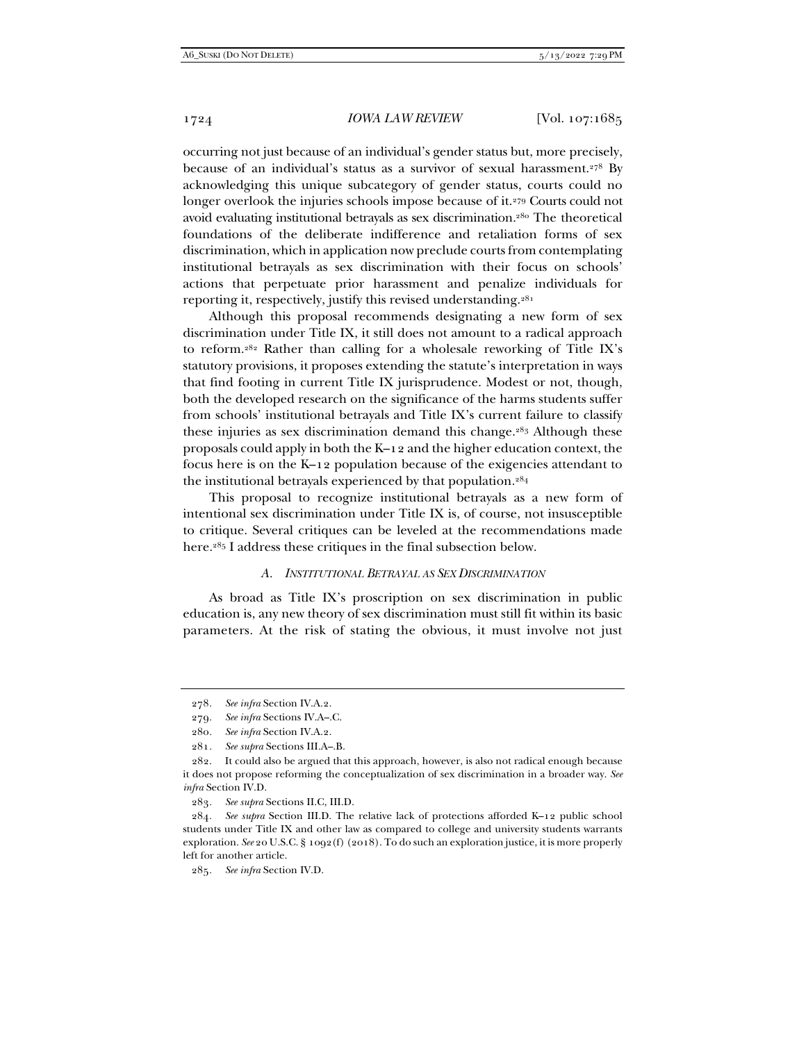occurring not just because of an individual's gender status but, more precisely, because of an individual's status as a survivor of sexual harassment.<sup>278</sup> By acknowledging this unique subcategory of gender status, courts could no longer overlook the injuries schools impose because of it.279 Courts could not avoid evaluating institutional betrayals as sex discrimination.280 The theoretical foundations of the deliberate indifference and retaliation forms of sex discrimination, which in application now preclude courts from contemplating institutional betrayals as sex discrimination with their focus on schools' actions that perpetuate prior harassment and penalize individuals for reporting it, respectively, justify this revised understanding.281

Although this proposal recommends designating a new form of sex discrimination under Title IX, it still does not amount to a radical approach to reform.282 Rather than calling for a wholesale reworking of Title IX's statutory provisions, it proposes extending the statute's interpretation in ways that find footing in current Title IX jurisprudence. Modest or not, though, both the developed research on the significance of the harms students suffer from schools' institutional betrayals and Title IX's current failure to classify these injuries as sex discrimination demand this change.283 Although these proposals could apply in both the K–12 and the higher education context, the focus here is on the K–12 population because of the exigencies attendant to the institutional betrayals experienced by that population.284

This proposal to recognize institutional betrayals as a new form of intentional sex discrimination under Title IX is, of course, not insusceptible to critique. Several critiques can be leveled at the recommendations made here.285 I address these critiques in the final subsection below.

#### *A. INSTITUTIONAL BETRAYAL AS SEX DISCRIMINATION*

As broad as Title IX's proscription on sex discrimination in public education is, any new theory of sex discrimination must still fit within its basic parameters. At the risk of stating the obvious, it must involve not just

283*. See supra* Sections II.C, III.D.

284*. See supra* Section III.D. The relative lack of protections afforded K–12 public school students under Title IX and other law as compared to college and university students warrants exploration. *See* 20 U.S.C. § 1092(f) (2018). To do such an exploration justice, it is more properly left for another article.

<sup>278</sup>*. See infra* Section IV.A.2.

<sup>279</sup>*. See infra* Sections IV.A–.C.

<sup>280</sup>*. See infra* Section IV.A.2.

<sup>281</sup>*. See supra* Sections III.A–.B.

 <sup>282.</sup> It could also be argued that this approach, however, is also not radical enough because it does not propose reforming the conceptualization of sex discrimination in a broader way. *See infra* Section IV.D.

<sup>285</sup>*. See infra* Section IV.D.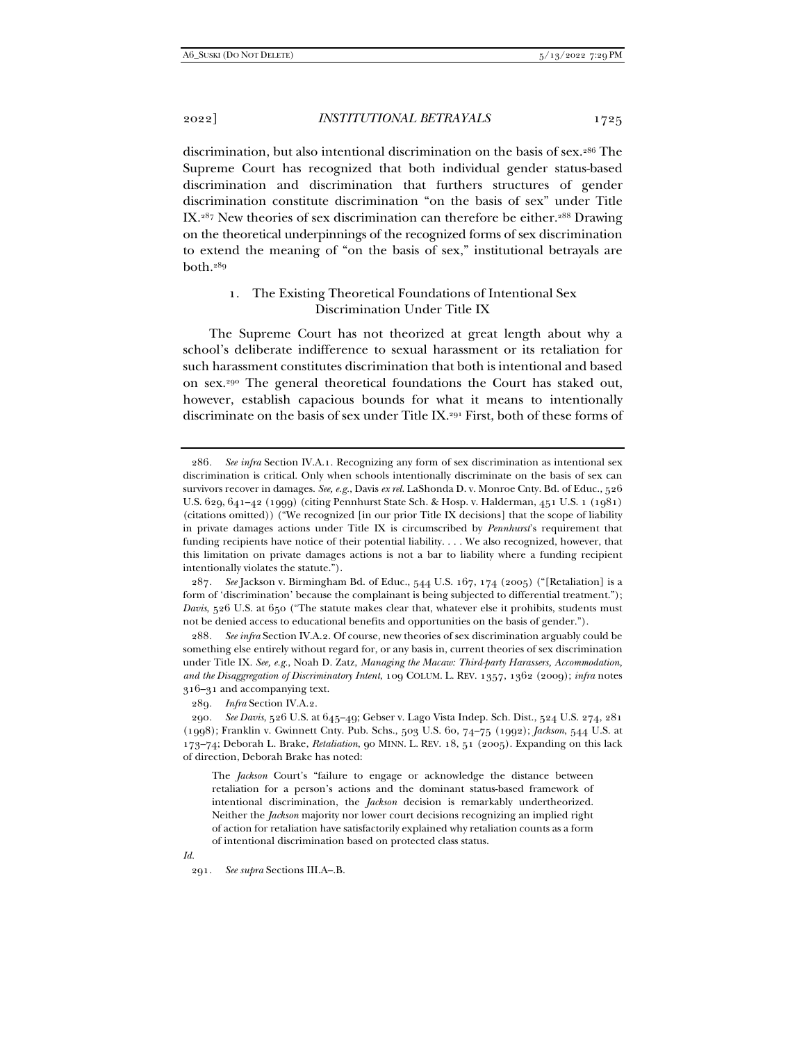discrimination, but also intentional discrimination on the basis of sex.286 The Supreme Court has recognized that both individual gender status-based discrimination and discrimination that furthers structures of gender discrimination constitute discrimination "on the basis of sex" under Title IX.287 New theories of sex discrimination can therefore be either.288 Drawing on the theoretical underpinnings of the recognized forms of sex discrimination to extend the meaning of "on the basis of sex," institutional betrayals are both.289

# 1. The Existing Theoretical Foundations of Intentional Sex Discrimination Under Title IX

The Supreme Court has not theorized at great length about why a school's deliberate indifference to sexual harassment or its retaliation for such harassment constitutes discrimination that both is intentional and based on sex.290 The general theoretical foundations the Court has staked out, however, establish capacious bounds for what it means to intentionally discriminate on the basis of sex under Title IX.<sup>291</sup> First, both of these forms of

287*. See* Jackson v. Birmingham Bd. of Educ., 544 U.S. 167, 174 (2005) ("[Retaliation] is a form of 'discrimination' because the complainant is being subjected to differential treatment."); *Davis*, 526 U.S. at 650 ("The statute makes clear that, whatever else it prohibits, students must not be denied access to educational benefits and opportunities on the basis of gender.").

288*. See infra* Section IV.A.2. Of course, new theories of sex discrimination arguably could be something else entirely without regard for, or any basis in, current theories of sex discrimination under Title IX. *See, e.g.*, Noah D. Zatz, *Managing the Macaw: Third-party Harassers, Accommodation, and the Disaggregation of Discriminatory Intent*, 109 COLUM. L. REV. 1357, 1362 (2009); *infra* notes 316–31 and accompanying text.

*Id.*

<sup>286</sup>*. See infra* Section IV.A.1. Recognizing any form of sex discrimination as intentional sex discrimination is critical. Only when schools intentionally discriminate on the basis of sex can survivors recover in damages. *See, e.g.*, Davis *ex rel.* LaShonda D. v. Monroe Cnty. Bd. of Educ., 526 U.S. 629, 641–42 (1999) (citing Pennhurst State Sch. & Hosp. v. Halderman, 451 U.S. 1 (1981) (citations omitted)) ("We recognized [in our prior Title IX decisions] that the scope of liability in private damages actions under Title IX is circumscribed by *Pennhurst*'s requirement that funding recipients have notice of their potential liability. . . . We also recognized, however, that this limitation on private damages actions is not a bar to liability where a funding recipient intentionally violates the statute.").

<sup>289</sup>*. Infra* Section IV.A.2.

<sup>290</sup>*. See Davis*, 526 U.S. at 645–49; Gebser v. Lago Vista Indep. Sch. Dist., 524 U.S. 274, 281 (1998); Franklin v. Gwinnett Cnty. Pub. Schs., 503 U.S. 60, 74–75 (1992); *Jackson*, 544 U.S. at 173–74; Deborah L. Brake, *Retaliation*, 90 MINN. L. REV. 18, 51 (2005). Expanding on this lack of direction, Deborah Brake has noted:

The *Jackson* Court's "failure to engage or acknowledge the distance between retaliation for a person's actions and the dominant status-based framework of intentional discrimination, the *Jackson* decision is remarkably undertheorized. Neither the *Jackson* majority nor lower court decisions recognizing an implied right of action for retaliation have satisfactorily explained why retaliation counts as a form of intentional discrimination based on protected class status.

<sup>291</sup>*. See supra* Sections III.A–.B.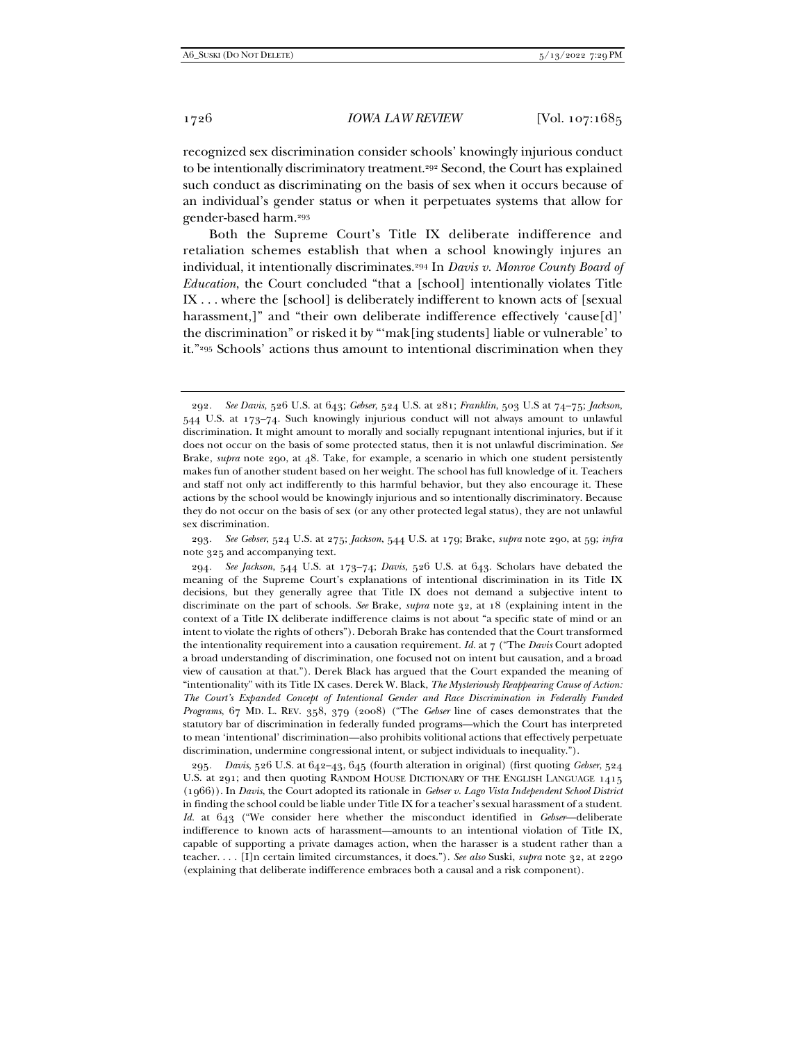recognized sex discrimination consider schools' knowingly injurious conduct to be intentionally discriminatory treatment.<sup>292</sup> Second, the Court has explained such conduct as discriminating on the basis of sex when it occurs because of an individual's gender status or when it perpetuates systems that allow for gender-based harm.293

Both the Supreme Court's Title IX deliberate indifference and retaliation schemes establish that when a school knowingly injures an individual, it intentionally discriminates.294 In *Davis v. Monroe County Board of Education*, the Court concluded "that a [school] intentionally violates Title IX . . . where the [school] is deliberately indifferent to known acts of [sexual harassment,]" and "their own deliberate indifference effectively 'cause[d]' the discrimination" or risked it by "'mak[ing students] liable or vulnerable' to it."295 Schools' actions thus amount to intentional discrimination when they

293*. See Gebser*, 524 U.S. at 275; *Jackson*, 544 U.S. at 179; Brake, *supra* note 290, at 59; *infra* note 325 and accompanying text.

294*. See Jackson*, 544 U.S. at 173–74; *Davis*, 526 U.S. at 643. Scholars have debated the meaning of the Supreme Court's explanations of intentional discrimination in its Title IX decisions, but they generally agree that Title IX does not demand a subjective intent to discriminate on the part of schools. *See* Brake, *supra* note 32, at 18 (explaining intent in the context of a Title IX deliberate indifference claims is not about "a specific state of mind or an intent to violate the rights of others"). Deborah Brake has contended that the Court transformed the intentionality requirement into a causation requirement. *Id.* at 7 ("The *Davis* Court adopted a broad understanding of discrimination, one focused not on intent but causation, and a broad view of causation at that."). Derek Black has argued that the Court expanded the meaning of "intentionality" with its Title IX cases. Derek W. Black, *The Mysteriously Reappearing Cause of Action: The Court's Expanded Concept of Intentional Gender and Race Discrimination in Federally Funded Programs*, 67 MD. L. REV. 358, 379 (2008) ("The *Gebser* line of cases demonstrates that the statutory bar of discrimination in federally funded programs—which the Court has interpreted to mean 'intentional' discrimination—also prohibits volitional actions that effectively perpetuate discrimination, undermine congressional intent, or subject individuals to inequality.").

295*. Davis*, 526 U.S. at 642–43, 645 (fourth alteration in original) (first quoting *Gebser*, 524 U.S. at 291; and then quoting RANDOM HOUSE DICTIONARY OF THE ENGLISH LANGUAGE 1415 (1966)). In *Davis*, the Court adopted its rationale in *Gebser v. Lago Vista Independent School District* in finding the school could be liable under Title IX for a teacher's sexual harassment of a student. *Id.* at 643 ("We consider here whether the misconduct identified in *Gebser*—deliberate indifference to known acts of harassment—amounts to an intentional violation of Title IX, capable of supporting a private damages action, when the harasser is a student rather than a teacher. . . . [I]n certain limited circumstances, it does."). *See also* Suski, *supra* note 32, at 2290 (explaining that deliberate indifference embraces both a causal and a risk component).

<sup>292</sup>*. See Davis*, 526 U.S. at 643; *Gebser*, 524 U.S. at 281; *Franklin*, 503 U.S at 74–75; *Jackson*, 544 U.S. at 173–74. Such knowingly injurious conduct will not always amount to unlawful discrimination. It might amount to morally and socially repugnant intentional injuries, but if it does not occur on the basis of some protected status, then it is not unlawful discrimination. *See* Brake, *supra* note 290, at 48. Take, for example, a scenario in which one student persistently makes fun of another student based on her weight. The school has full knowledge of it. Teachers and staff not only act indifferently to this harmful behavior, but they also encourage it. These actions by the school would be knowingly injurious and so intentionally discriminatory. Because they do not occur on the basis of sex (or any other protected legal status), they are not unlawful sex discrimination.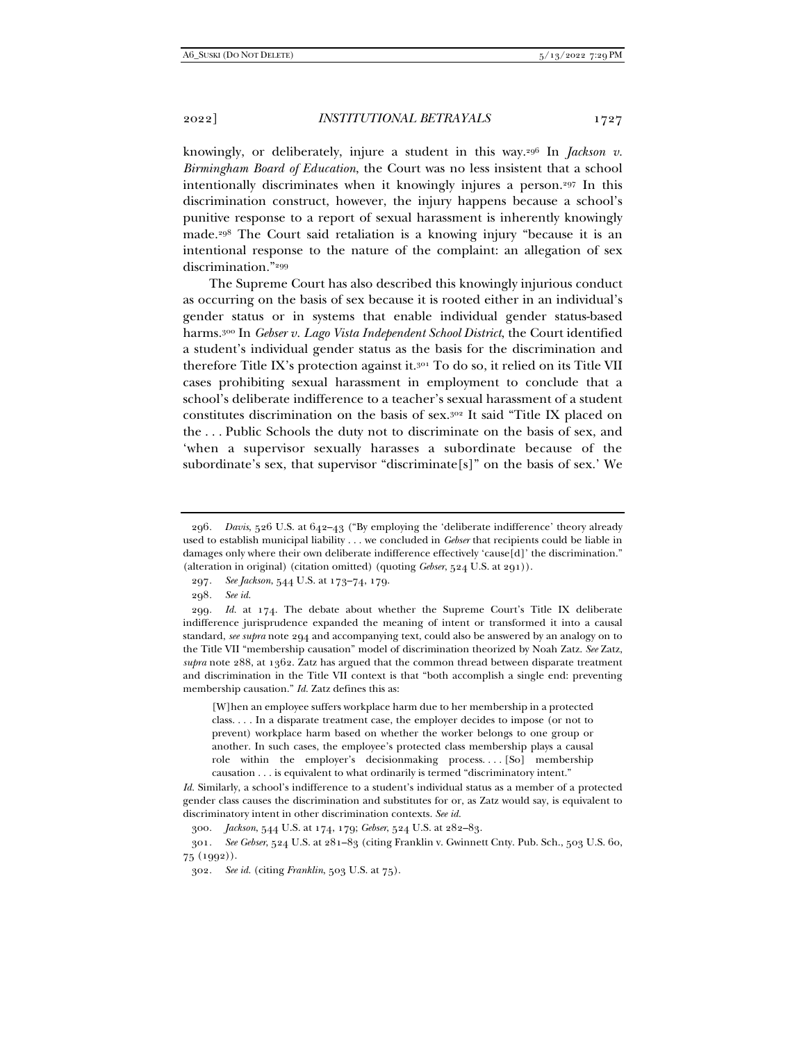knowingly, or deliberately, injure a student in this way.296 In *Jackson v. Birmingham Board of Education*, the Court was no less insistent that a school intentionally discriminates when it knowingly injures a person.297 In this discrimination construct, however, the injury happens because a school's punitive response to a report of sexual harassment is inherently knowingly made.298 The Court said retaliation is a knowing injury "because it is an intentional response to the nature of the complaint: an allegation of sex discrimination."299

The Supreme Court has also described this knowingly injurious conduct as occurring on the basis of sex because it is rooted either in an individual's gender status or in systems that enable individual gender status-based harms.300 In *Gebser v. Lago Vista Independent School District*, the Court identified a student's individual gender status as the basis for the discrimination and therefore Title IX's protection against it.301 To do so, it relied on its Title VII cases prohibiting sexual harassment in employment to conclude that a school's deliberate indifference to a teacher's sexual harassment of a student constitutes discrimination on the basis of sex.302 It said "Title IX placed on the . . . Public Schools the duty not to discriminate on the basis of sex, and 'when a supervisor sexually harasses a subordinate because of the subordinate's sex, that supervisor "discriminate $[s]$ " on the basis of sex.' We

298*. See id.*

299*. Id.* at 174. The debate about whether the Supreme Court's Title IX deliberate indifference jurisprudence expanded the meaning of intent or transformed it into a causal standard, *see supra* note 294 and accompanying text, could also be answered by an analogy on to the Title VII "membership causation" model of discrimination theorized by Noah Zatz. *See* Zatz, *supra* note 288, at 1362. Zatz has argued that the common thread between disparate treatment and discrimination in the Title VII context is that "both accomplish a single end: preventing membership causation." *Id.* Zatz defines this as:

[W]hen an employee suffers workplace harm due to her membership in a protected class. . . . In a disparate treatment case, the employer decides to impose (or not to prevent) workplace harm based on whether the worker belongs to one group or another. In such cases, the employee's protected class membership plays a causal role within the employer's decisionmaking process. . . . [So] membership causation . . . is equivalent to what ordinarily is termed "discriminatory intent."

*Id.* Similarly, a school's indifference to a student's individual status as a member of a protected gender class causes the discrimination and substitutes for or, as Zatz would say, is equivalent to discriminatory intent in other discrimination contexts. *See id.*

300*. Jackson*, 544 U.S. at 174, 179; *Gebser*, 524 U.S. at 282–83.

301*. See Gebser*, 524 U.S. at 281–83 (citing Franklin v. Gwinnett Cnty. Pub. Sch., 503 U.S. 60, 75 (1992)).

<sup>296</sup>*. Davis*, 526 U.S. at 642–43 ("By employing the 'deliberate indifference' theory already used to establish municipal liability . . . we concluded in *Gebser* that recipients could be liable in damages only where their own deliberate indifference effectively 'cause[d]' the discrimination." (alteration in original) (citation omitted) (quoting *Gebser*, 524 U.S. at 291)).

<sup>297</sup>*. See Jackson*, 544 U.S. at 173–74, 179.

<sup>302</sup>*. See id.* (citing *Franklin*, 503 U.S. at 75).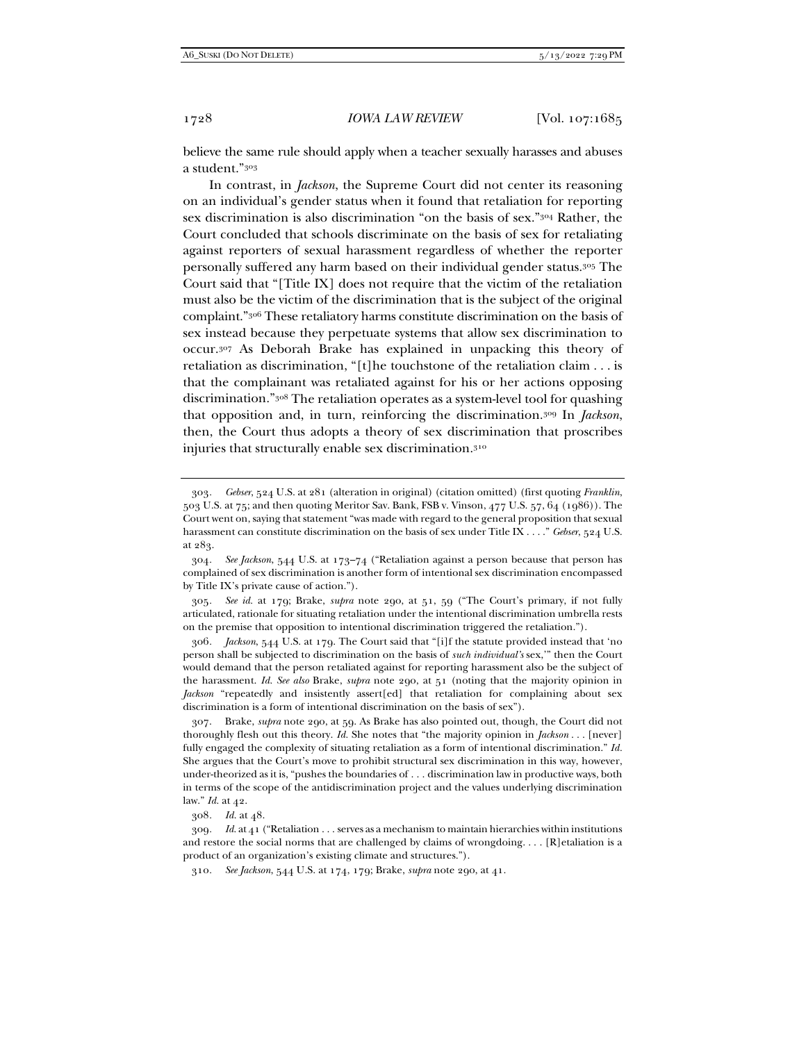believe the same rule should apply when a teacher sexually harasses and abuses a student."303

In contrast, in *Jackson*, the Supreme Court did not center its reasoning on an individual's gender status when it found that retaliation for reporting sex discrimination is also discrimination "on the basis of sex."304 Rather, the Court concluded that schools discriminate on the basis of sex for retaliating against reporters of sexual harassment regardless of whether the reporter personally suffered any harm based on their individual gender status.305 The Court said that "[Title IX] does not require that the victim of the retaliation must also be the victim of the discrimination that is the subject of the original complaint."306 These retaliatory harms constitute discrimination on the basis of sex instead because they perpetuate systems that allow sex discrimination to occur.307 As Deborah Brake has explained in unpacking this theory of retaliation as discrimination, "[t]he touchstone of the retaliation claim . . . is that the complainant was retaliated against for his or her actions opposing discrimination."308 The retaliation operates as a system-level tool for quashing that opposition and, in turn, reinforcing the discrimination.309 In *Jackson*, then, the Court thus adopts a theory of sex discrimination that proscribes injuries that structurally enable sex discrimination.310

305*. See id.* at 179; Brake, *supra* note 290, at 51, 59 ("The Court's primary, if not fully articulated, rationale for situating retaliation under the intentional discrimination umbrella rests on the premise that opposition to intentional discrimination triggered the retaliation.").

306*. Jackson*, 544 U.S. at 179. The Court said that "[i]f the statute provided instead that 'no person shall be subjected to discrimination on the basis of *such individual's* sex,'" then the Court would demand that the person retaliated against for reporting harassment also be the subject of the harassment. *Id. See also* Brake, *supra* note 290, at 51 (noting that the majority opinion in *Jackson* "repeatedly and insistently assert[ed] that retaliation for complaining about sex discrimination is a form of intentional discrimination on the basis of sex").

 307. Brake, *supra* note 290, at 59. As Brake has also pointed out, though, the Court did not thoroughly flesh out this theory. *Id.* She notes that "the majority opinion in *Jackson* . . . [never] fully engaged the complexity of situating retaliation as a form of intentional discrimination." *Id.* She argues that the Court's move to prohibit structural sex discrimination in this way, however, under-theorized as it is, "pushes the boundaries of . . . discrimination law in productive ways, both in terms of the scope of the antidiscrimination project and the values underlying discrimination law." *Id.* at 42.

308*. Id.* at 48.

309*. Id.* at 41 ("Retaliation . . . serves as a mechanism to maintain hierarchies within institutions and restore the social norms that are challenged by claims of wrongdoing....  $[R]$ etaliation is a product of an organization's existing climate and structures.").

310*. See Jackson*, 544 U.S. at 174, 179; Brake, *supra* note 290, at 41.

<sup>303</sup>*. Gebser*, 524 U.S. at 281 (alteration in original) (citation omitted) (first quoting *Franklin*, 503 U.S. at 75; and then quoting Meritor Sav. Bank, FSB v. Vinson, 477 U.S. 57, 64 (1986)). The Court went on, saying that statement "was made with regard to the general proposition that sexual harassment can constitute discrimination on the basis of sex under Title IX . . . ." *Gebser*, 524 U.S. at 283.

<sup>304</sup>*. See Jackson*, 544 U.S. at 173–74 ("Retaliation against a person because that person has complained of sex discrimination is another form of intentional sex discrimination encompassed by Title IX's private cause of action.").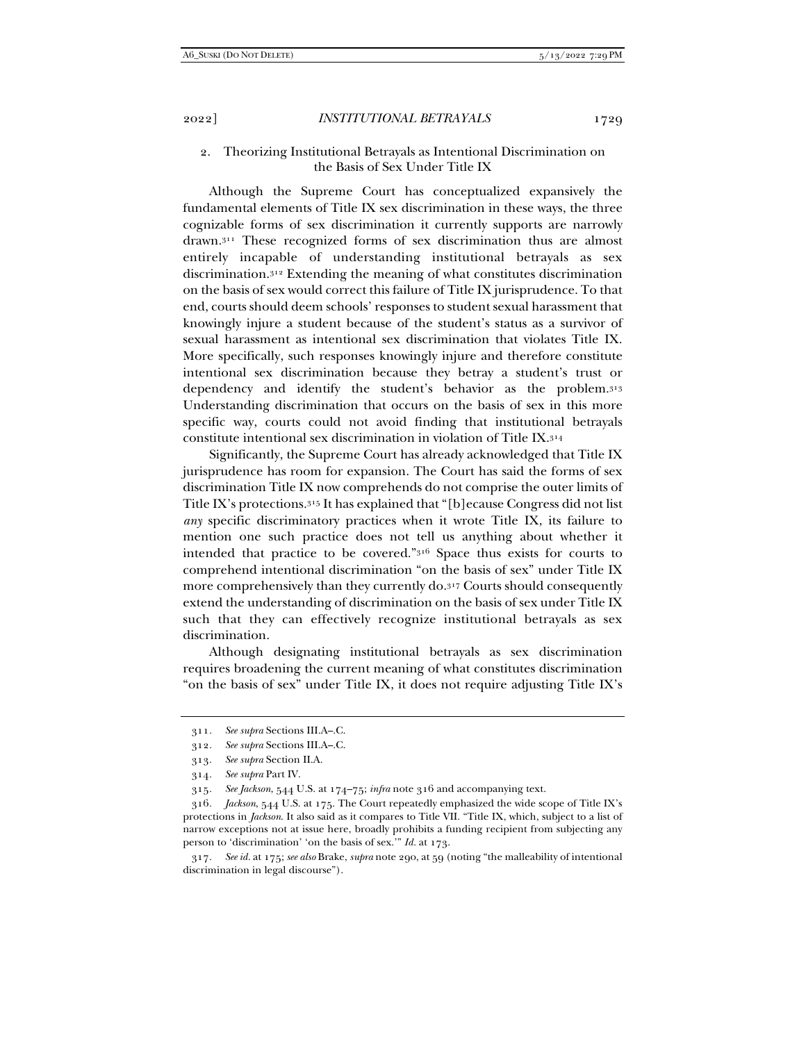# 2. Theorizing Institutional Betrayals as Intentional Discrimination on the Basis of Sex Under Title IX

Although the Supreme Court has conceptualized expansively the fundamental elements of Title IX sex discrimination in these ways, the three cognizable forms of sex discrimination it currently supports are narrowly drawn.311 These recognized forms of sex discrimination thus are almost entirely incapable of understanding institutional betrayals as sex discrimination.312 Extending the meaning of what constitutes discrimination on the basis of sex would correct this failure of Title IX jurisprudence. To that end, courts should deem schools' responses to student sexual harassment that knowingly injure a student because of the student's status as a survivor of sexual harassment as intentional sex discrimination that violates Title IX. More specifically, such responses knowingly injure and therefore constitute intentional sex discrimination because they betray a student's trust or dependency and identify the student's behavior as the problem.313 Understanding discrimination that occurs on the basis of sex in this more specific way, courts could not avoid finding that institutional betrayals constitute intentional sex discrimination in violation of Title IX.314

Significantly, the Supreme Court has already acknowledged that Title IX jurisprudence has room for expansion. The Court has said the forms of sex discrimination Title IX now comprehends do not comprise the outer limits of Title IX's protections.315 It has explained that "[b]ecause Congress did not list *any* specific discriminatory practices when it wrote Title IX, its failure to mention one such practice does not tell us anything about whether it intended that practice to be covered."316 Space thus exists for courts to comprehend intentional discrimination "on the basis of sex" under Title IX more comprehensively than they currently do.317 Courts should consequently extend the understanding of discrimination on the basis of sex under Title IX such that they can effectively recognize institutional betrayals as sex discrimination.

Although designating institutional betrayals as sex discrimination requires broadening the current meaning of what constitutes discrimination "on the basis of sex" under Title IX, it does not require adjusting Title IX's

317*. See id.* at 175; *see also* Brake, *supra* note 290, at 59 (noting "the malleability of intentional discrimination in legal discourse").

<sup>311</sup>*. See supra* Sections III.A–.C.

<sup>312</sup>*. See supra* Sections III.A–.C.

<sup>313</sup>*. See supra* Section II.A.

<sup>314</sup>*. See supra* Part IV.

<sup>315</sup>*. See Jackson*, 544 U.S. at 174–75; *infra* note 316 and accompanying text.

<sup>316</sup>*. Jackson*, 544 U.S. at 175. The Court repeatedly emphasized the wide scope of Title IX's protections in *Jackson*. It also said as it compares to Title VII. "Title IX, which, subject to a list of narrow exceptions not at issue here, broadly prohibits a funding recipient from subjecting any person to 'discrimination' 'on the basis of sex.'" *Id.* at 173.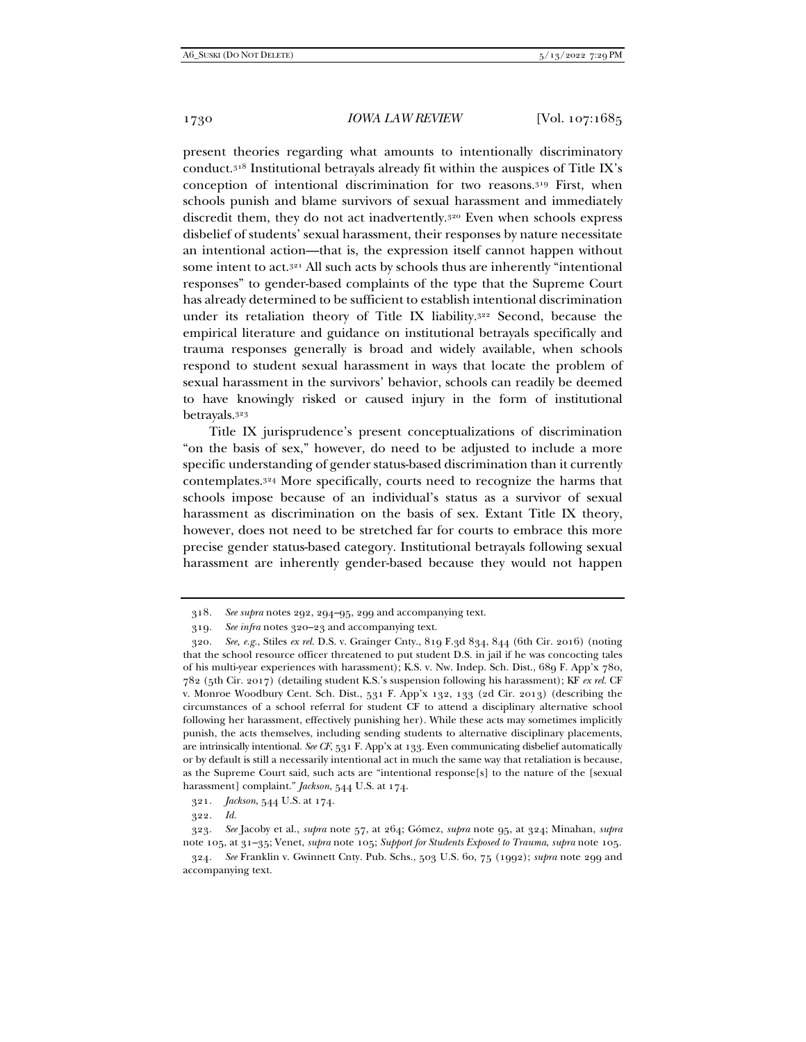present theories regarding what amounts to intentionally discriminatory conduct.318 Institutional betrayals already fit within the auspices of Title IX's conception of intentional discrimination for two reasons.319 First, when schools punish and blame survivors of sexual harassment and immediately discredit them, they do not act inadvertently.<sup>320</sup> Even when schools express disbelief of students' sexual harassment, their responses by nature necessitate an intentional action—that is, the expression itself cannot happen without some intent to act.321 All such acts by schools thus are inherently "intentional responses" to gender-based complaints of the type that the Supreme Court has already determined to be sufficient to establish intentional discrimination under its retaliation theory of Title IX liability.322 Second, because the empirical literature and guidance on institutional betrayals specifically and trauma responses generally is broad and widely available, when schools respond to student sexual harassment in ways that locate the problem of sexual harassment in the survivors' behavior, schools can readily be deemed to have knowingly risked or caused injury in the form of institutional betrayals.323

Title IX jurisprudence's present conceptualizations of discrimination "on the basis of sex," however, do need to be adjusted to include a more specific understanding of gender status-based discrimination than it currently contemplates.324 More specifically, courts need to recognize the harms that schools impose because of an individual's status as a survivor of sexual harassment as discrimination on the basis of sex. Extant Title IX theory, however, does not need to be stretched far for courts to embrace this more precise gender status-based category. Institutional betrayals following sexual harassment are inherently gender-based because they would not happen

<sup>318</sup>*. See supra* notes 292, 294–95, 299 and accompanying text.

<sup>319</sup>*. See infra* notes 320–23 and accompanying text.

<sup>320</sup>*. See, e.g.*, Stiles *ex rel.* D.S. v. Grainger Cnty., 819 F.3d 834, 844 (6th Cir. 2016) (noting that the school resource officer threatened to put student D.S. in jail if he was concocting tales of his multi-year experiences with harassment); K.S. v. Nw. Indep. Sch. Dist., 689 F. App'x 780, 782 (5th Cir. 2017) (detailing student K.S.'s suspension following his harassment); KF *ex rel.* CF v. Monroe Woodbury Cent. Sch. Dist., 531 F. App'x 132, 133 (2d Cir. 2013) (describing the circumstances of a school referral for student CF to attend a disciplinary alternative school following her harassment, effectively punishing her). While these acts may sometimes implicitly punish, the acts themselves, including sending students to alternative disciplinary placements, are intrinsically intentional. *See CF*, 531 F. App'x at 133. Even communicating disbelief automatically or by default is still a necessarily intentional act in much the same way that retaliation is because, as the Supreme Court said, such acts are "intentional response[s] to the nature of the [sexual harassment] complaint." *Jackson*, 544 U.S. at 174.

<sup>321</sup>*. Jackson*, 544 U.S. at 174.

<sup>322</sup>*. Id.*

<sup>323</sup>*. See* Jacoby et al., *supra* note 57, at 264; Gómez, *supra* note 95, at 324; Minahan, *supra* note 105, at 31–35; Venet, *supra* note 105; *Support for Students Exposed to Trauma*, *supra* note 105.

<sup>324</sup>*. See* Franklin v. Gwinnett Cnty. Pub. Schs., 503 U.S. 60, 75 (1992); *supra* note 299 and accompanying text.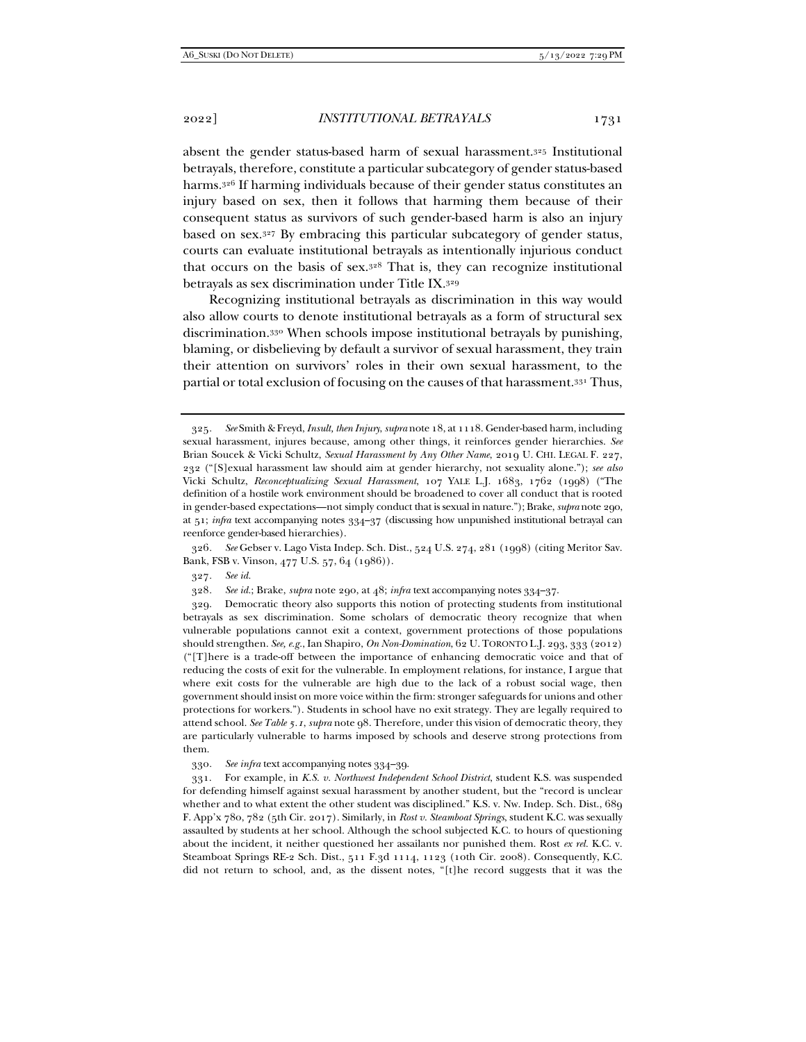absent the gender status-based harm of sexual harassment.325 Institutional betrayals, therefore, constitute a particular subcategory of gender status-based harms.326 If harming individuals because of their gender status constitutes an injury based on sex, then it follows that harming them because of their consequent status as survivors of such gender-based harm is also an injury based on sex.327 By embracing this particular subcategory of gender status, courts can evaluate institutional betrayals as intentionally injurious conduct that occurs on the basis of sex.328 That is, they can recognize institutional betrayals as sex discrimination under Title IX.329

Recognizing institutional betrayals as discrimination in this way would also allow courts to denote institutional betrayals as a form of structural sex discrimination.330 When schools impose institutional betrayals by punishing, blaming, or disbelieving by default a survivor of sexual harassment, they train their attention on survivors' roles in their own sexual harassment, to the partial or total exclusion of focusing on the causes of that harassment.331 Thus,

326*. See* Gebser v. Lago Vista Indep. Sch. Dist., 524 U.S. 274, 281 (1998) (citing Meritor Sav. Bank, FSB v. Vinson, 477 U.S. 57, 64 (1986)).

327*. See id.*

328*. See id.*; Brake, *supra* note 290, at 48; *infra* text accompanying notes 334–37.

 329. Democratic theory also supports this notion of protecting students from institutional betrayals as sex discrimination. Some scholars of democratic theory recognize that when vulnerable populations cannot exit a context, government protections of those populations should strengthen. *See, e.g.*, Ian Shapiro, *On Non-Domination*, 62 U. TORONTO L.J. 293, 333 (2012) ("[T]here is a trade-off between the importance of enhancing democratic voice and that of reducing the costs of exit for the vulnerable. In employment relations, for instance, I argue that where exit costs for the vulnerable are high due to the lack of a robust social wage, then government should insist on more voice within the firm: stronger safeguards for unions and other protections for workers."). Students in school have no exit strategy. They are legally required to attend school. *See Table 5.1*, *supra* note 98. Therefore, under this vision of democratic theory, they are particularly vulnerable to harms imposed by schools and deserve strong protections from them.

330*. See infra* text accompanying notes 334–39.

 331. For example, in *K.S. v. Northwest Independent School District*, student K.S. was suspended for defending himself against sexual harassment by another student, but the "record is unclear whether and to what extent the other student was disciplined." K.S. v. Nw. Indep. Sch. Dist., 689 F. App'x 780, 782 (5th Cir. 2017). Similarly, in *Rost v. Steamboat Springs*, student K.C. was sexually assaulted by students at her school. Although the school subjected K.C. to hours of questioning about the incident, it neither questioned her assailants nor punished them. Rost *ex rel.* K.C. v. Steamboat Springs RE-2 Sch. Dist., 511 F.3d 1114, 1123 (10th Cir. 2008). Consequently, K.C. did not return to school, and, as the dissent notes, "[t]he record suggests that it was the

<sup>325</sup>*. See* Smith & Freyd, *Insult, then Injury*, *supra* note 18, at 1118. Gender-based harm, including sexual harassment, injures because, among other things, it reinforces gender hierarchies. *See* Brian Soucek & Vicki Schultz, *Sexual Harassment by Any Other Name*, 2019 U. CHI. LEGAL F. 227, 232 ("[S]exual harassment law should aim at gender hierarchy, not sexuality alone."); *see also* Vicki Schultz, *Reconceptualizing Sexual Harassment*, 107 YALE L.J. 1683, 1762 (1998) ("The definition of a hostile work environment should be broadened to cover all conduct that is rooted in gender-based expectations—not simply conduct that is sexual in nature."); Brake, *supra* note 290, at 51; *infra* text accompanying notes 334–37 (discussing how unpunished institutional betrayal can reenforce gender-based hierarchies).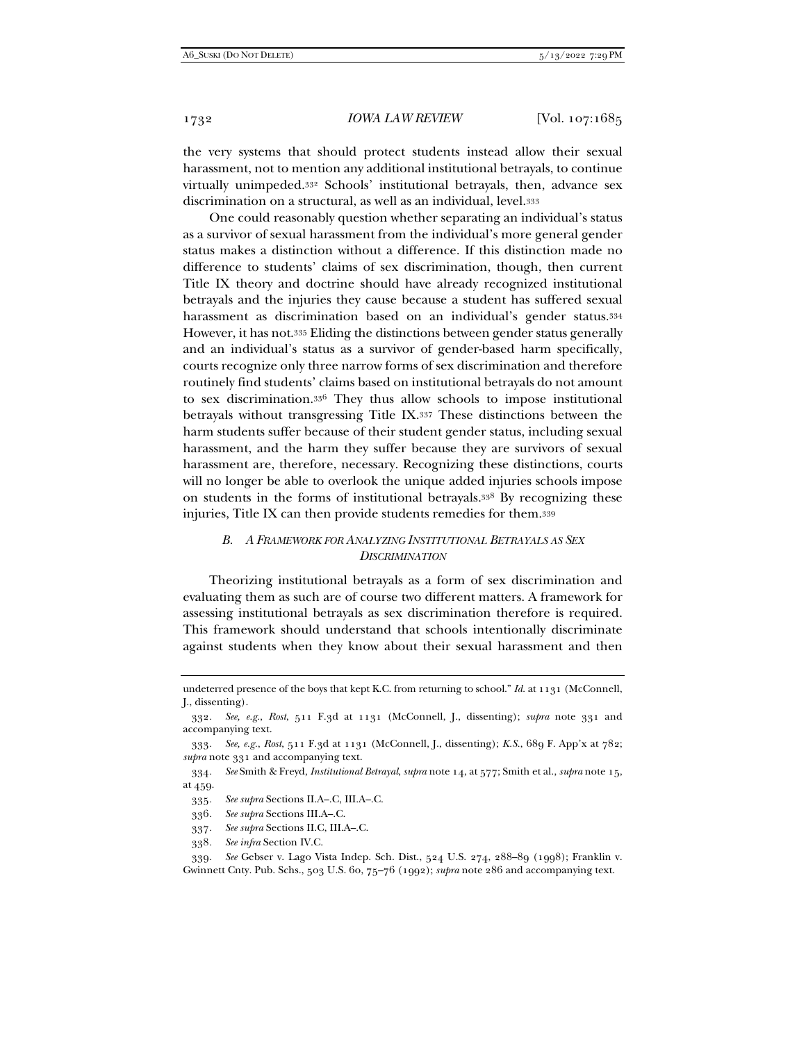the very systems that should protect students instead allow their sexual harassment, not to mention any additional institutional betrayals, to continue virtually unimpeded.332 Schools' institutional betrayals, then, advance sex discrimination on a structural, as well as an individual, level.333

One could reasonably question whether separating an individual's status as a survivor of sexual harassment from the individual's more general gender status makes a distinction without a difference. If this distinction made no difference to students' claims of sex discrimination, though, then current Title IX theory and doctrine should have already recognized institutional betrayals and the injuries they cause because a student has suffered sexual harassment as discrimination based on an individual's gender status.334 However, it has not.335 Eliding the distinctions between gender status generally and an individual's status as a survivor of gender-based harm specifically, courts recognize only three narrow forms of sex discrimination and therefore routinely find students' claims based on institutional betrayals do not amount to sex discrimination.336 They thus allow schools to impose institutional betrayals without transgressing Title IX.337 These distinctions between the harm students suffer because of their student gender status, including sexual harassment, and the harm they suffer because they are survivors of sexual harassment are, therefore, necessary. Recognizing these distinctions, courts will no longer be able to overlook the unique added injuries schools impose on students in the forms of institutional betrayals.338 By recognizing these injuries, Title IX can then provide students remedies for them.339

## *B. A FRAMEWORK FOR ANALYZING INSTITUTIONAL BETRAYALS AS SEX DISCRIMINATION*

Theorizing institutional betrayals as a form of sex discrimination and evaluating them as such are of course two different matters. A framework for assessing institutional betrayals as sex discrimination therefore is required. This framework should understand that schools intentionally discriminate against students when they know about their sexual harassment and then

336*. See supra* Sections III.A–.C.

338*. See infra* Section IV.C.

339*. See* Gebser v. Lago Vista Indep. Sch. Dist., 524 U.S. 274, 288–89 (1998); Franklin v. Gwinnett Cnty. Pub. Schs., 503 U.S. 60, 75–76 (1992); *supra* note 286 and accompanying text.

undeterred presence of the boys that kept K.C. from returning to school." *Id.* at 1131 (McConnell, J., dissenting).

<sup>332</sup>*. See, e.g.*, *Rost*, 511 F.3d at 1131 (McConnell, J., dissenting); *supra* note 331 and accompanying text.

<sup>333</sup>*. See, e.g.*, *Rost*, 511 F.3d at 1131 (McConnell, J., dissenting); *K.S.*, 689 F. App'x at 782; *supra* note 331 and accompanying text.

<sup>334</sup>*. See* Smith & Freyd, *Institutional Betrayal*, *supra* note 14, at 577; Smith et al., *supra* note 15, at 459.

<sup>335</sup>*. See supra* Sections II.A–.C, III.A–.C.

<sup>337</sup>*. See supra* Sections II.C, III.A–.C.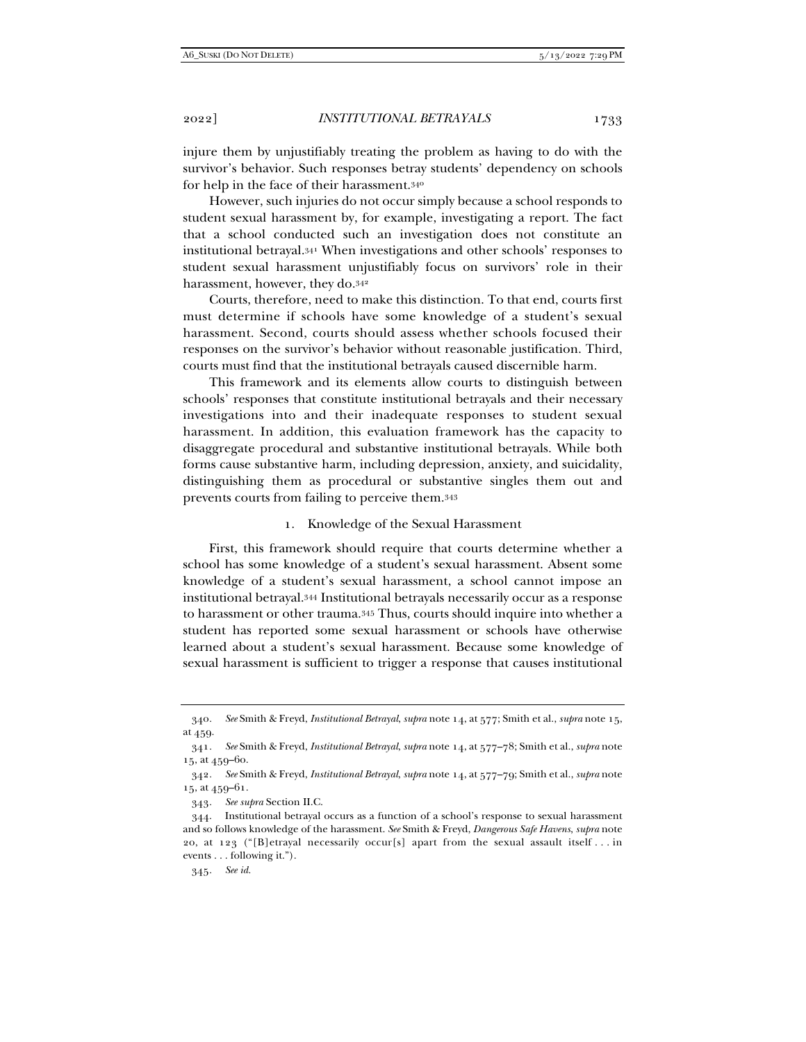injure them by unjustifiably treating the problem as having to do with the survivor's behavior. Such responses betray students' dependency on schools for help in the face of their harassment.340

However, such injuries do not occur simply because a school responds to student sexual harassment by, for example, investigating a report. The fact that a school conducted such an investigation does not constitute an institutional betrayal.341 When investigations and other schools' responses to student sexual harassment unjustifiably focus on survivors' role in their harassment, however, they do.342

Courts, therefore, need to make this distinction. To that end, courts first must determine if schools have some knowledge of a student's sexual harassment. Second, courts should assess whether schools focused their responses on the survivor's behavior without reasonable justification. Third, courts must find that the institutional betrayals caused discernible harm.

This framework and its elements allow courts to distinguish between schools' responses that constitute institutional betrayals and their necessary investigations into and their inadequate responses to student sexual harassment. In addition, this evaluation framework has the capacity to disaggregate procedural and substantive institutional betrayals. While both forms cause substantive harm, including depression, anxiety, and suicidality, distinguishing them as procedural or substantive singles them out and prevents courts from failing to perceive them.343

1. Knowledge of the Sexual Harassment

First, this framework should require that courts determine whether a school has some knowledge of a student's sexual harassment. Absent some knowledge of a student's sexual harassment, a school cannot impose an institutional betrayal.344 Institutional betrayals necessarily occur as a response to harassment or other trauma.345 Thus, courts should inquire into whether a student has reported some sexual harassment or schools have otherwise learned about a student's sexual harassment. Because some knowledge of sexual harassment is sufficient to trigger a response that causes institutional

343*. See supra* Section II.C.

345*. See id.*

<sup>340</sup>*. See* Smith & Freyd, *Institutional Betrayal*, *supra* note 14, at 577; Smith et al., *supra* note 15, at 459.

<sup>341</sup>*. See* Smith & Freyd, *Institutional Betrayal*, *supra* note 14, at 577–78; Smith et al., *supra* note 15, at 459–60.

<sup>342</sup>*. See* Smith & Freyd, *Institutional Betrayal*, *supra* note 14, at 577–79; Smith et al., *supra* note 15, at 459–61.

 <sup>344.</sup> Institutional betrayal occurs as a function of a school's response to sexual harassment and so follows knowledge of the harassment. *See* Smith & Freyd, *Dangerous Safe Havens*, *supra* note 20, at 123 ("[B]etrayal necessarily occur[s] apart from the sexual assault itself . . . in events . . . following it.").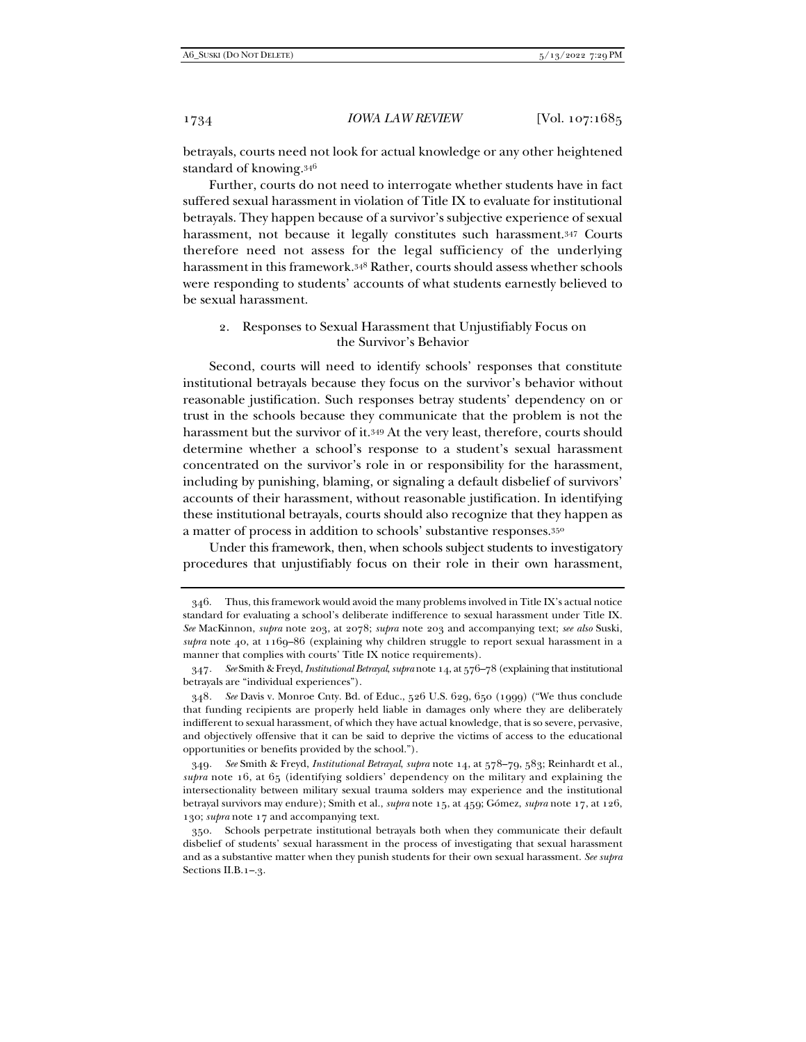betrayals, courts need not look for actual knowledge or any other heightened standard of knowing.346

Further, courts do not need to interrogate whether students have in fact suffered sexual harassment in violation of Title IX to evaluate for institutional betrayals. They happen because of a survivor's subjective experience of sexual harassment, not because it legally constitutes such harassment.347 Courts therefore need not assess for the legal sufficiency of the underlying harassment in this framework.348 Rather, courts should assess whether schools were responding to students' accounts of what students earnestly believed to be sexual harassment.

# 2. Responses to Sexual Harassment that Unjustifiably Focus on the Survivor's Behavior

Second, courts will need to identify schools' responses that constitute institutional betrayals because they focus on the survivor's behavior without reasonable justification. Such responses betray students' dependency on or trust in the schools because they communicate that the problem is not the harassment but the survivor of it.349 At the very least, therefore, courts should determine whether a school's response to a student's sexual harassment concentrated on the survivor's role in or responsibility for the harassment, including by punishing, blaming, or signaling a default disbelief of survivors' accounts of their harassment, without reasonable justification. In identifying these institutional betrayals, courts should also recognize that they happen as a matter of process in addition to schools' substantive responses.350

Under this framework, then, when schools subject students to investigatory procedures that unjustifiably focus on their role in their own harassment,

 <sup>346.</sup> Thus, this framework would avoid the many problems involved in Title IX's actual notice standard for evaluating a school's deliberate indifference to sexual harassment under Title IX. *See* MacKinnon, *supra* note 203, at 2078; *supra* note 203 and accompanying text; *see also* Suski, *supra* note 40, at 1169–86 (explaining why children struggle to report sexual harassment in a manner that complies with courts' Title IX notice requirements).

<sup>347</sup>*. See* Smith & Freyd, *Institutional Betrayal*, *supra* note 14, at 576–78 (explaining that institutional betrayals are "individual experiences").

<sup>348</sup>*. See* Davis v. Monroe Cnty. Bd. of Educ., 526 U.S. 629, 650 (1999) ("We thus conclude that funding recipients are properly held liable in damages only where they are deliberately indifferent to sexual harassment, of which they have actual knowledge, that is so severe, pervasive, and objectively offensive that it can be said to deprive the victims of access to the educational opportunities or benefits provided by the school.").

<sup>349</sup>*. See* Smith & Freyd, *Institutional Betrayal*, *supra* note 14, at 578–79, 583; Reinhardt et al.,  $\frac{\text{supp} \cdot \text{supp} \cdot \text{supp} \cdot \text{supp} \cdot \text{supp} \cdot \text{supp} \cdot \text{supp} \cdot \text{supp} \cdot \text{supp} \cdot \text{supp} \cdot \text{supp} \cdot \text{supp} \cdot \text{supp} \cdot \text{supp} \cdot \text{supp} \cdot \text{supp} \cdot \text{supp} \cdot \text{supp} \cdot \text{supp} \cdot \text{supp} \cdot \text{supp} \cdot \text{supp} \cdot \text{supp} \cdot \text{supp} \cdot \text{supp} \cdot \text{supp} \cdot \text{supp} \cdot \text$ intersectionality between military sexual trauma solders may experience and the institutional betrayal survivors may endure); Smith et al., *supra* note 15, at 459; Gómez, *supra* note 17, at 126, 130; *supra* note 17 and accompanying text.

 <sup>350.</sup> Schools perpetrate institutional betrayals both when they communicate their default disbelief of students' sexual harassment in the process of investigating that sexual harassment and as a substantive matter when they punish students for their own sexual harassment. *See supra* Sections II.B.1–.3.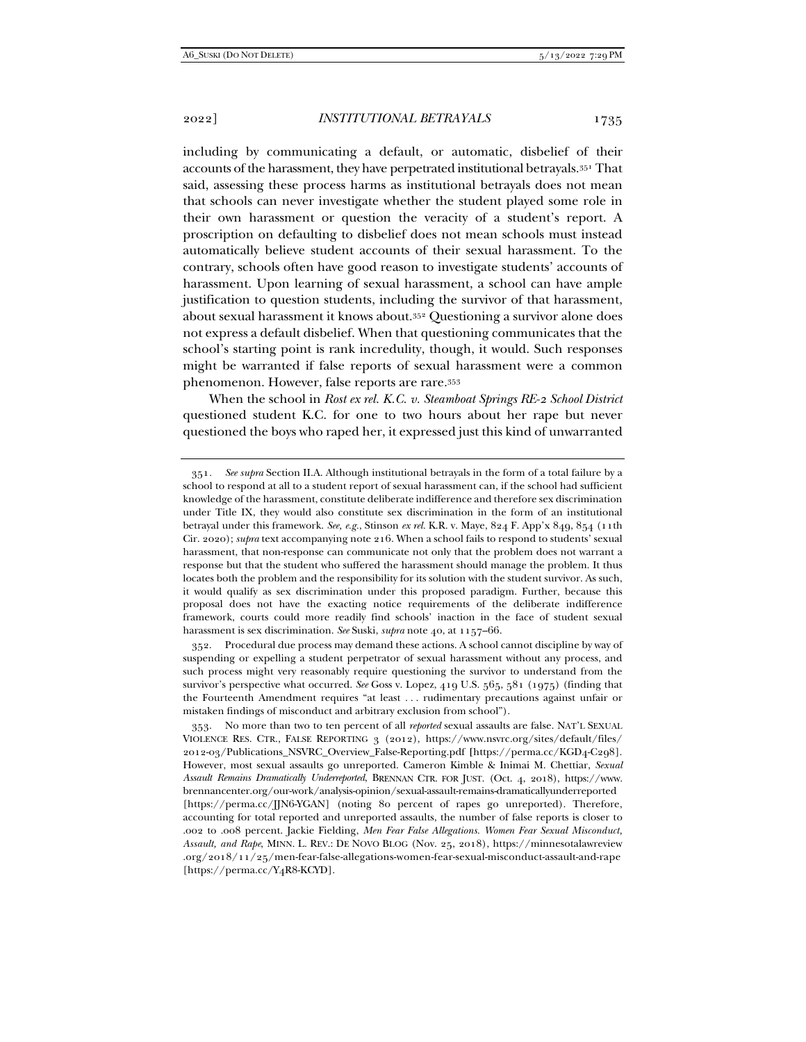including by communicating a default, or automatic, disbelief of their accounts of the harassment, they have perpetrated institutional betrayals.351 That said, assessing these process harms as institutional betrayals does not mean that schools can never investigate whether the student played some role in their own harassment or question the veracity of a student's report. A proscription on defaulting to disbelief does not mean schools must instead automatically believe student accounts of their sexual harassment. To the contrary, schools often have good reason to investigate students' accounts of harassment. Upon learning of sexual harassment, a school can have ample justification to question students, including the survivor of that harassment, about sexual harassment it knows about.352 Questioning a survivor alone does not express a default disbelief. When that questioning communicates that the school's starting point is rank incredulity, though, it would. Such responses might be warranted if false reports of sexual harassment were a common phenomenon. However, false reports are rare.353

When the school in *Rost ex rel. K.C. v. Steamboat Springs RE-2 School District* questioned student K.C. for one to two hours about her rape but never questioned the boys who raped her, it expressed just this kind of unwarranted

 352. Procedural due process may demand these actions. A school cannot discipline by way of suspending or expelling a student perpetrator of sexual harassment without any process, and such process might very reasonably require questioning the survivor to understand from the survivor's perspective what occurred. *See* Goss v. Lopez, 419 U.S. 565, 581 (1975) (finding that the Fourteenth Amendment requires "at least . . . rudimentary precautions against unfair or mistaken findings of misconduct and arbitrary exclusion from school").

<sup>351</sup>*. See supra* Section II.A. Although institutional betrayals in the form of a total failure by a school to respond at all to a student report of sexual harassment can, if the school had sufficient knowledge of the harassment, constitute deliberate indifference and therefore sex discrimination under Title IX, they would also constitute sex discrimination in the form of an institutional betrayal under this framework. *See, e.g.*, Stinson *ex rel.* K.R. v. Maye, 824 F. App'x 849, 854 (11th Cir. 2020); *supra* text accompanying note 216. When a school fails to respond to students' sexual harassment, that non-response can communicate not only that the problem does not warrant a response but that the student who suffered the harassment should manage the problem. It thus locates both the problem and the responsibility for its solution with the student survivor. As such, it would qualify as sex discrimination under this proposed paradigm. Further, because this proposal does not have the exacting notice requirements of the deliberate indifference framework, courts could more readily find schools' inaction in the face of student sexual harassment is sex discrimination. *See* Suski, *supra* note 40, at 1157–66.

 <sup>353.</sup> No more than two to ten percent of all *reported* sexual assaults are false. NAT'L SEXUAL VIOLENCE RES. CTR., FALSE REPORTING 3 (2012), https://www.nsvrc.org/sites/default/files/ 2012-03/Publications\_NSVRC\_Overview\_False-Reporting.pdf **[**https://perma.cc/KGD4-C298]. However, most sexual assaults go unreported. Cameron Kimble & Inimai M. Chettiar, *Sexual Assault Remains Dramatically Underreported*, BRENNAN CTR. FOR JUST. (Oct. 4, 2018), https://www. brennancenter.org/our-work/analysis-opinion/sexual-assault-remains-dramaticallyunderreported [https://perma.cc/JJN6-YGAN] (noting 80 percent of rapes go unreported). Therefore, accounting for total reported and unreported assaults, the number of false reports is closer to .002 to .008 percent. Jackie Fielding, *Men Fear False Allegations. Women Fear Sexual Misconduct, Assault, and Rape*, MINN. L. REV.: DE NOVO BLOG (Nov. 25, 2018), https://minnesotalawreview .org/2018/11/25/men-fear-false-allegations-women-fear-sexual-misconduct-assault-and-rape [https://perma.cc/Y4R8-KCYD].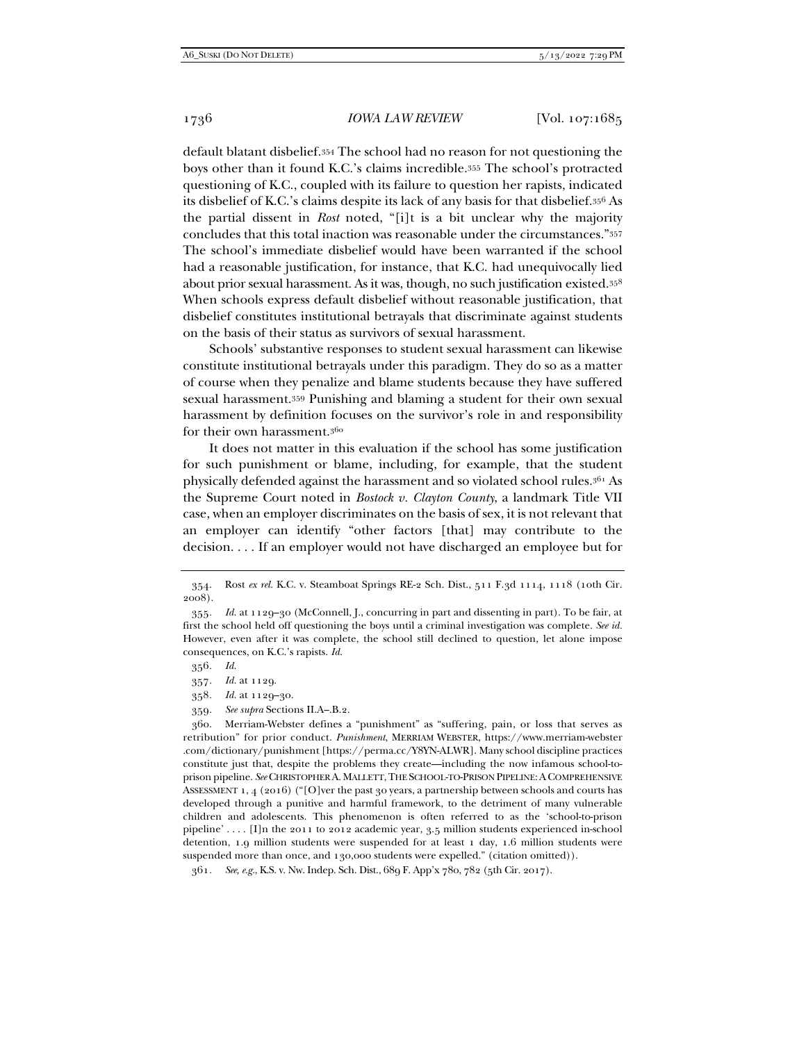default blatant disbelief.354 The school had no reason for not questioning the boys other than it found K.C.'s claims incredible.355 The school's protracted questioning of K.C., coupled with its failure to question her rapists, indicated its disbelief of K.C.'s claims despite its lack of any basis for that disbelief.356 As the partial dissent in *Rost* noted, "[i]t is a bit unclear why the majority concludes that this total inaction was reasonable under the circumstances."357 The school's immediate disbelief would have been warranted if the school had a reasonable justification, for instance, that K.C. had unequivocally lied about prior sexual harassment. As it was, though, no such justification existed.358 When schools express default disbelief without reasonable justification, that disbelief constitutes institutional betrayals that discriminate against students on the basis of their status as survivors of sexual harassment.

Schools' substantive responses to student sexual harassment can likewise constitute institutional betrayals under this paradigm. They do so as a matter of course when they penalize and blame students because they have suffered sexual harassment.359 Punishing and blaming a student for their own sexual harassment by definition focuses on the survivor's role in and responsibility for their own harassment.<sup>360</sup>

It does not matter in this evaluation if the school has some justification for such punishment or blame, including, for example, that the student physically defended against the harassment and so violated school rules.361 As the Supreme Court noted in *Bostock v. Clayton County*, a landmark Title VII case, when an employer discriminates on the basis of sex, it is not relevant that an employer can identify "other factors [that] may contribute to the decision. . . . If an employer would not have discharged an employee but for

- 357*. Id.* at 1129.
- 358*. Id.* at 1129–30.
- 359*. See supra* Sections II.A–.B.2.

 360. Merriam-Webster defines a "punishment" as "suffering, pain, or loss that serves as retribution" for prior conduct. *Punishment*, MERRIAM WEBSTER, https://www.merriam-webster .com/dictionary/punishment [https://perma.cc/Y8YN-ALWR]. Many school discipline practices constitute just that, despite the problems they create—including the now infamous school-toprison pipeline. *See* CHRISTOPHER A.MALLETT,THE SCHOOL-TO-PRISON PIPELINE:ACOMPREHENSIVE ASSESSMENT 1, 4 (2016) ("[O]ver the past 30 years, a partnership between schools and courts has developed through a punitive and harmful framework, to the detriment of many vulnerable children and adolescents. This phenomenon is often referred to as the 'school-to-prison pipeline' . . . . [I]n the 2011 to 2012 academic year, 3.5 million students experienced in-school detention, 1.9 million students were suspended for at least 1 day, 1.6 million students were suspended more than once, and 130,000 students were expelled." (citation omitted)).

361*. See, e.g.*, K.S. v. Nw. Indep. Sch. Dist., 689 F. App'x 780, 782 (5th Cir. 2017).

 <sup>354.</sup> Rost *ex rel.* K.C. v. Steamboat Springs RE-2 Sch. Dist., 511 F.3d 1114, 1118 (10th Cir. 2008).

<sup>355</sup>*. Id.* at 1129–30 (McConnell, J., concurring in part and dissenting in part). To be fair, at first the school held off questioning the boys until a criminal investigation was complete. *See id.* However, even after it was complete, the school still declined to question, let alone impose consequences, on K.C.'s rapists. *Id.*

<sup>356</sup>*. Id.*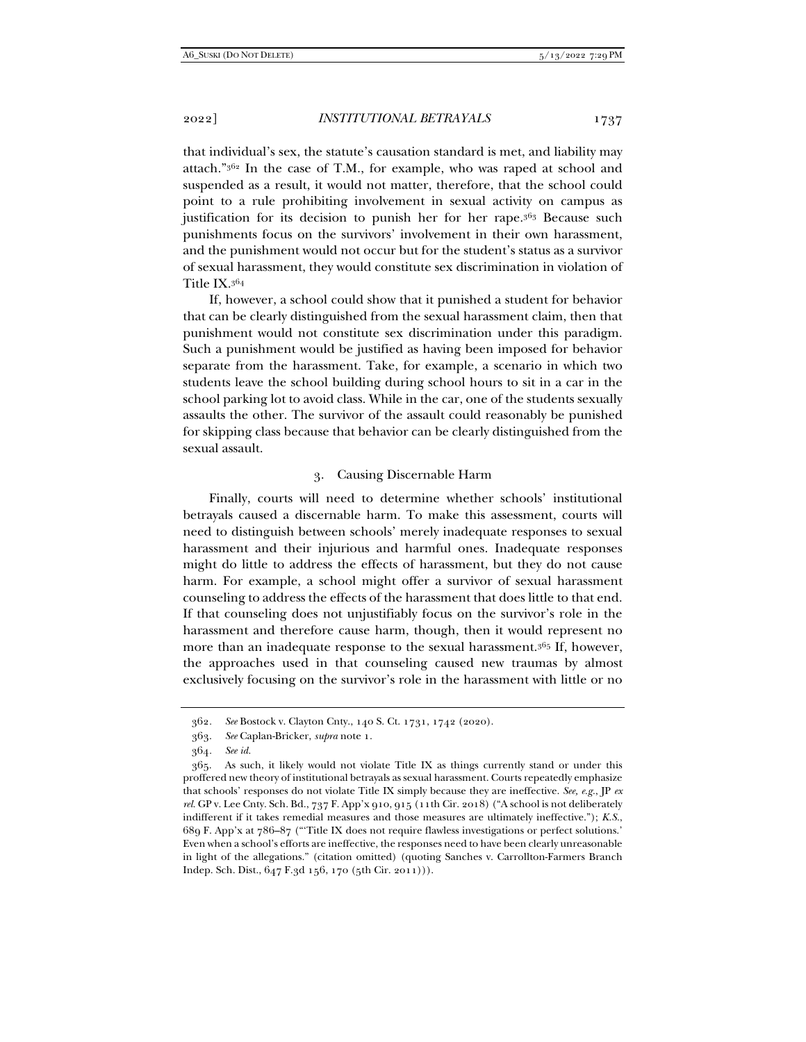that individual's sex, the statute's causation standard is met, and liability may attach."362 In the case of T.M., for example, who was raped at school and suspended as a result, it would not matter, therefore, that the school could point to a rule prohibiting involvement in sexual activity on campus as justification for its decision to punish her for her rape.<sup>363</sup> Because such punishments focus on the survivors' involvement in their own harassment, and the punishment would not occur but for the student's status as a survivor of sexual harassment, they would constitute sex discrimination in violation of Title IX.364

If, however, a school could show that it punished a student for behavior that can be clearly distinguished from the sexual harassment claim, then that punishment would not constitute sex discrimination under this paradigm. Such a punishment would be justified as having been imposed for behavior separate from the harassment. Take, for example, a scenario in which two students leave the school building during school hours to sit in a car in the school parking lot to avoid class. While in the car, one of the students sexually assaults the other. The survivor of the assault could reasonably be punished for skipping class because that behavior can be clearly distinguished from the sexual assault.

#### 3. Causing Discernable Harm

Finally, courts will need to determine whether schools' institutional betrayals caused a discernable harm. To make this assessment, courts will need to distinguish between schools' merely inadequate responses to sexual harassment and their injurious and harmful ones. Inadequate responses might do little to address the effects of harassment, but they do not cause harm. For example, a school might offer a survivor of sexual harassment counseling to address the effects of the harassment that does little to that end. If that counseling does not unjustifiably focus on the survivor's role in the harassment and therefore cause harm, though, then it would represent no more than an inadequate response to the sexual harassment.365 If, however, the approaches used in that counseling caused new traumas by almost exclusively focusing on the survivor's role in the harassment with little or no

<sup>362</sup>*. See* Bostock v. Clayton Cnty., 140 S. Ct. 1731, 1742 (2020).

 <sup>363.</sup> *See* Caplan-Bricker, *supra* note 1.

<sup>364</sup>*. See id.*

 <sup>365.</sup> As such, it likely would not violate Title IX as things currently stand or under this proffered new theory of institutional betrayals as sexual harassment. Courts repeatedly emphasize that schools' responses do not violate Title IX simply because they are ineffective. *See, e.g.*, JP *ex rel.* GP v. Lee Cnty. Sch. Bd., 737 F. App'x 910, 915 (11th Cir. 2018) ("A school is not deliberately indifferent if it takes remedial measures and those measures are ultimately ineffective."); *K.S.*, 689 F. App'x at 786–87 ("'Title IX does not require flawless investigations or perfect solutions.' Even when a school's efforts are ineffective, the responses need to have been clearly unreasonable in light of the allegations." (citation omitted) (quoting Sanches v. Carrollton-Farmers Branch Indep. Sch. Dist., 647 F.3d 156, 170 (5th Cir. 2011))).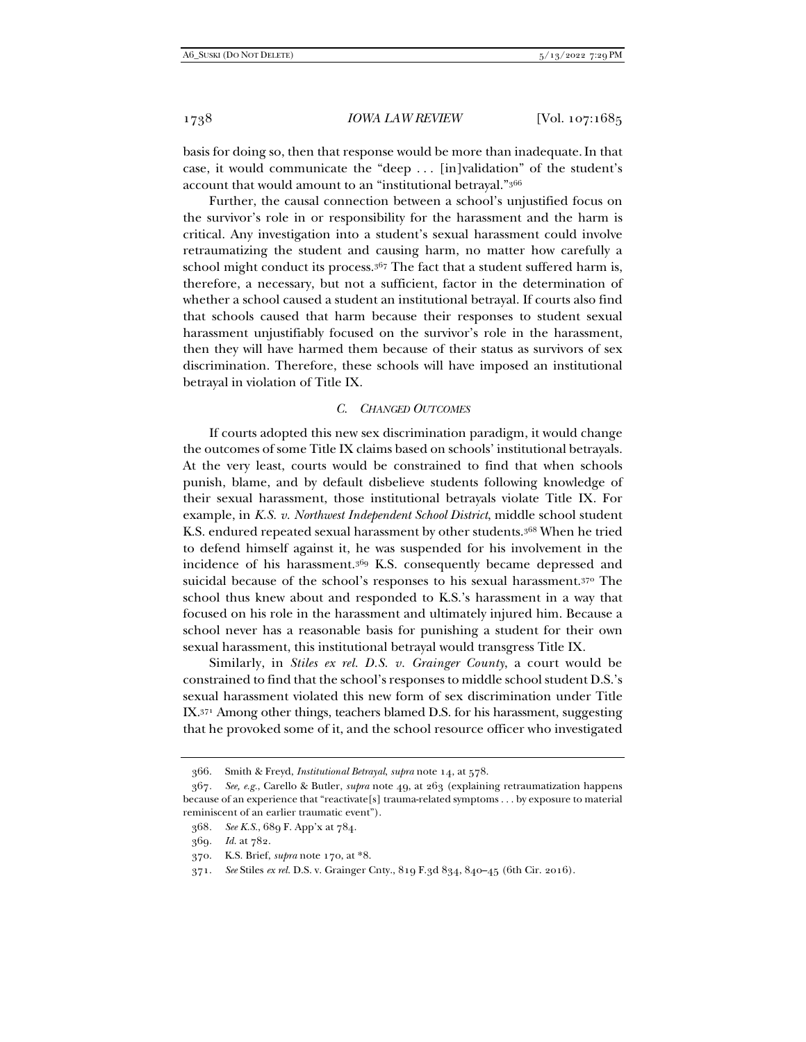basis for doing so, then that response would be more than inadequate.In that case, it would communicate the "deep . . . [in]validation" of the student's account that would amount to an "institutional betrayal."366

Further, the causal connection between a school's unjustified focus on the survivor's role in or responsibility for the harassment and the harm is critical. Any investigation into a student's sexual harassment could involve retraumatizing the student and causing harm, no matter how carefully a school might conduct its process.<sup>367</sup> The fact that a student suffered harm is, therefore, a necessary, but not a sufficient, factor in the determination of whether a school caused a student an institutional betrayal. If courts also find that schools caused that harm because their responses to student sexual harassment unjustifiably focused on the survivor's role in the harassment, then they will have harmed them because of their status as survivors of sex discrimination. Therefore, these schools will have imposed an institutional betrayal in violation of Title IX.

#### *C. CHANGED OUTCOMES*

If courts adopted this new sex discrimination paradigm, it would change the outcomes of some Title IX claims based on schools' institutional betrayals. At the very least, courts would be constrained to find that when schools punish, blame, and by default disbelieve students following knowledge of their sexual harassment, those institutional betrayals violate Title IX. For example, in *K.S. v. Northwest Independent School District*, middle school student K.S. endured repeated sexual harassment by other students.368 When he tried to defend himself against it, he was suspended for his involvement in the incidence of his harassment.369 K.S. consequently became depressed and suicidal because of the school's responses to his sexual harassment.<sup>370</sup> The school thus knew about and responded to K.S.'s harassment in a way that focused on his role in the harassment and ultimately injured him. Because a school never has a reasonable basis for punishing a student for their own sexual harassment, this institutional betrayal would transgress Title IX.

Similarly, in *Stiles ex rel. D.S. v. Grainger County*, a court would be constrained to find that the school's responses to middle school student D.S.'s sexual harassment violated this new form of sex discrimination under Title IX.371 Among other things, teachers blamed D.S. for his harassment, suggesting that he provoked some of it, and the school resource officer who investigated

 <sup>366.</sup> Smith & Freyd, *Institutional Betrayal*, *supra* note 14, at 578.

<sup>367</sup>*. See, e.g.*, Carello & Butler, *supra* note 49, at 263 (explaining retraumatization happens because of an experience that "reactivate[s] trauma-related symptoms . . . by exposure to material reminiscent of an earlier traumatic event").

<sup>368</sup>*. See K.S.*, 689 F. App'x at 784.

<sup>369</sup>*. Id.* at 782.

 <sup>370.</sup> K.S. Brief, *supra* note 170, at \*8.

 <sup>371.</sup> *See* Stiles *ex rel.* D.S. v. Grainger Cnty., 819 F.3d 834, 840–45 (6th Cir. 2016).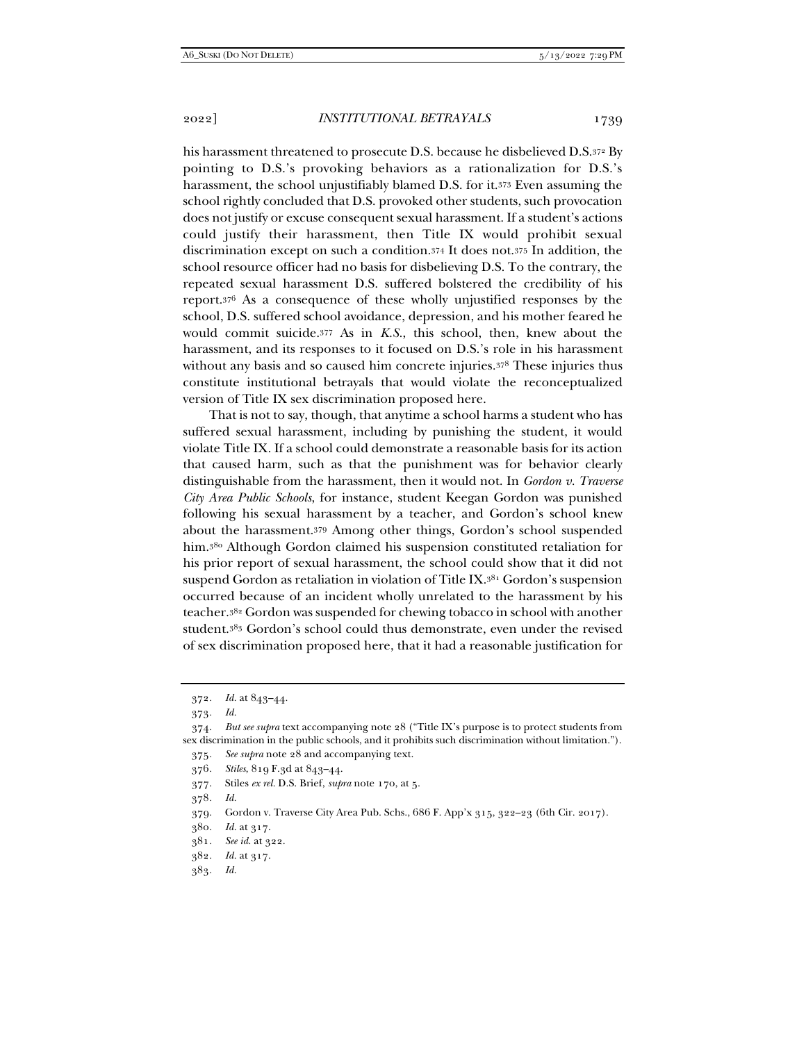his harassment threatened to prosecute D.S. because he disbelieved D.S.372 By pointing to D.S.'s provoking behaviors as a rationalization for D.S.'s harassment, the school unjustifiably blamed D.S. for it.373 Even assuming the school rightly concluded that D.S. provoked other students, such provocation does not justify or excuse consequent sexual harassment. If a student's actions could justify their harassment, then Title IX would prohibit sexual discrimination except on such a condition.374 It does not.375 In addition, the school resource officer had no basis for disbelieving D.S. To the contrary, the repeated sexual harassment D.S. suffered bolstered the credibility of his report.376 As a consequence of these wholly unjustified responses by the school, D.S. suffered school avoidance, depression, and his mother feared he would commit suicide.377 As in *K.S.*, this school, then, knew about the harassment, and its responses to it focused on D.S.'s role in his harassment without any basis and so caused him concrete injuries.378 These injuries thus constitute institutional betrayals that would violate the reconceptualized version of Title IX sex discrimination proposed here.

That is not to say, though, that anytime a school harms a student who has suffered sexual harassment, including by punishing the student, it would violate Title IX. If a school could demonstrate a reasonable basis for its action that caused harm, such as that the punishment was for behavior clearly distinguishable from the harassment, then it would not. In *Gordon v. Traverse City Area Public Schools*, for instance, student Keegan Gordon was punished following his sexual harassment by a teacher, and Gordon's school knew about the harassment.379 Among other things, Gordon's school suspended him.380 Although Gordon claimed his suspension constituted retaliation for his prior report of sexual harassment, the school could show that it did not suspend Gordon as retaliation in violation of Title IX.381 Gordon's suspension occurred because of an incident wholly unrelated to the harassment by his teacher.382 Gordon was suspended for chewing tobacco in school with another student.383 Gordon's school could thus demonstrate, even under the revised of sex discrimination proposed here, that it had a reasonable justification for

- 377. Stiles *ex rel.* D.S. Brief, *supra* note 170, at 5.
- 378*. Id.*
- 379. Gordon v. Traverse City Area Pub. Schs., 686 F. App'x 315, 322–23 (6th Cir. 2017).

382*. Id.* at 317.

<sup>372</sup>*. Id.* at 843–44.

<sup>373</sup>*. Id.*

 <sup>374.</sup> *But see supra* text accompanying note 28 ("Title IX's purpose is to protect students from sex discrimination in the public schools, and it prohibits such discrimination without limitation.").

<sup>375</sup>*. See supra* note 28 and accompanying text.

<sup>376</sup>*. Stiles*, 819 F.3d at 843–44.

<sup>380</sup>*. Id.* at 317.

<sup>381</sup>*. See id.* at 322.

<sup>383</sup>*. Id.*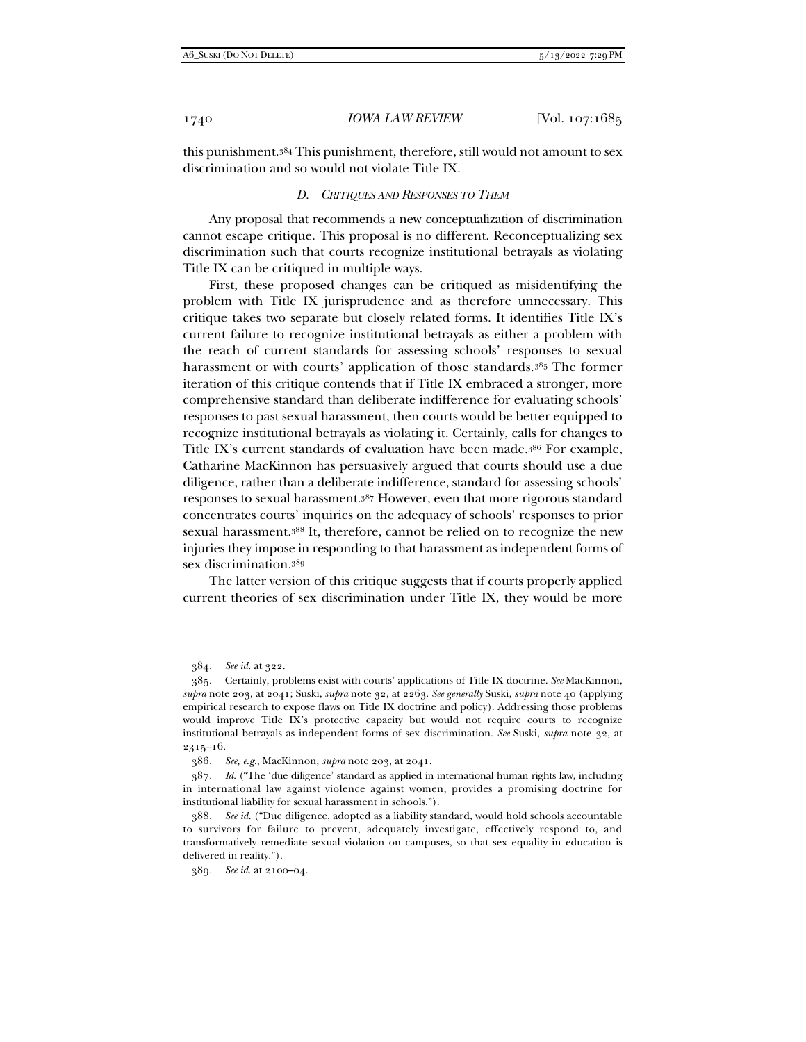this punishment.384 This punishment, therefore, still would not amount to sex discrimination and so would not violate Title IX.

#### *D. CRITIQUES AND RESPONSES TO THEM*

Any proposal that recommends a new conceptualization of discrimination cannot escape critique. This proposal is no different. Reconceptualizing sex discrimination such that courts recognize institutional betrayals as violating Title IX can be critiqued in multiple ways.

First, these proposed changes can be critiqued as misidentifying the problem with Title IX jurisprudence and as therefore unnecessary. This critique takes two separate but closely related forms. It identifies Title IX's current failure to recognize institutional betrayals as either a problem with the reach of current standards for assessing schools' responses to sexual harassment or with courts' application of those standards.385 The former iteration of this critique contends that if Title IX embraced a stronger, more comprehensive standard than deliberate indifference for evaluating schools' responses to past sexual harassment, then courts would be better equipped to recognize institutional betrayals as violating it. Certainly, calls for changes to Title IX's current standards of evaluation have been made.386 For example, Catharine MacKinnon has persuasively argued that courts should use a due diligence, rather than a deliberate indifference, standard for assessing schools' responses to sexual harassment.387 However, even that more rigorous standard concentrates courts' inquiries on the adequacy of schools' responses to prior sexual harassment.388 It, therefore, cannot be relied on to recognize the new injuries they impose in responding to that harassment as independent forms of sex discrimination.389

The latter version of this critique suggests that if courts properly applied current theories of sex discrimination under Title IX, they would be more

<sup>384</sup>*. See id.* at 322.

 <sup>385.</sup> Certainly, problems exist with courts' applications of Title IX doctrine. *See* MacKinnon, *supra* note 203, at 2041; Suski, *supra* note 32, at 2263. *See generally* Suski, *supra* note 40 (applying empirical research to expose flaws on Title IX doctrine and policy). Addressing those problems would improve Title IX's protective capacity but would not require courts to recognize institutional betrayals as independent forms of sex discrimination. *See* Suski, *supra* note 32, at 2315–16.

<sup>386</sup>*. See, e.g.*, MacKinnon, *supra* note 203, at 2041.

<sup>387</sup>*. Id.* ("The 'due diligence' standard as applied in international human rights law, including in international law against violence against women, provides a promising doctrine for institutional liability for sexual harassment in schools.").

<sup>388</sup>*. See id.* ("Due diligence, adopted as a liability standard, would hold schools accountable to survivors for failure to prevent, adequately investigate, effectively respond to, and transformatively remediate sexual violation on campuses, so that sex equality in education is delivered in reality.").

<sup>389</sup>*. See id.* at 2100–04.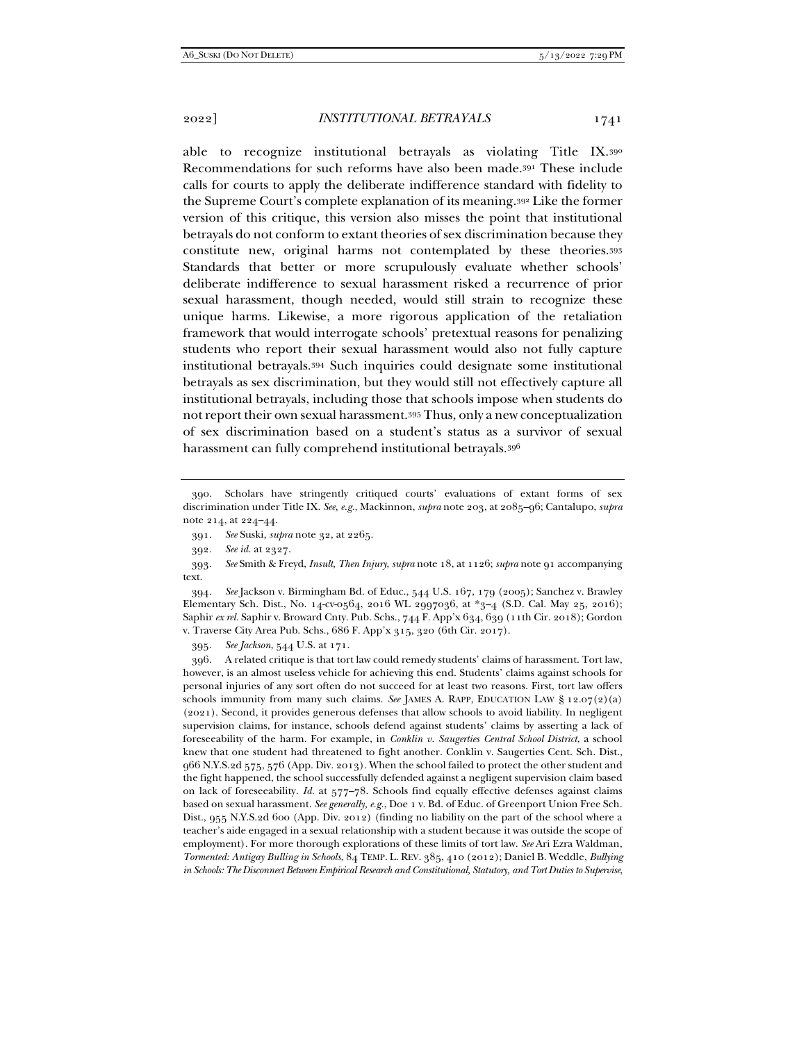able to recognize institutional betravals as violating Title IX.390 Recommendations for such reforms have also been made.391 These include calls for courts to apply the deliberate indifference standard with fidelity to the Supreme Court's complete explanation of its meaning.392 Like the former version of this critique, this version also misses the point that institutional betrayals do not conform to extant theories of sex discrimination because they constitute new, original harms not contemplated by these theories.393 Standards that better or more scrupulously evaluate whether schools' deliberate indifference to sexual harassment risked a recurrence of prior sexual harassment, though needed, would still strain to recognize these unique harms. Likewise, a more rigorous application of the retaliation framework that would interrogate schools' pretextual reasons for penalizing students who report their sexual harassment would also not fully capture institutional betrayals.394 Such inquiries could designate some institutional betrayals as sex discrimination, but they would still not effectively capture all institutional betrayals, including those that schools impose when students do not report their own sexual harassment.395 Thus, only a new conceptualization of sex discrimination based on a student's status as a survivor of sexual harassment can fully comprehend institutional betrayals.396

394*. See* Jackson v. Birmingham Bd. of Educ., 544 U.S. 167, 179 (2005); Sanchez v. Brawley Elementary Sch. Dist., No. 14-cv-0564, 2016 WL 2997036, at \*3–4 (S.D. Cal. May 25, 2016); Saphir *ex rel.* Saphir v. Broward Cnty. Pub. Schs., 744 F. App'x 634, 639 (11th Cir. 2018); Gordon v. Traverse City Area Pub. Schs., 686 F. App'x 315, 320 (6th Cir. 2017).

395*. See Jackson*, 544 U.S. at 171.

 396. A related critique is that tort law could remedy students' claims of harassment. Tort law, however, is an almost useless vehicle for achieving this end. Students' claims against schools for personal injuries of any sort often do not succeed for at least two reasons. First, tort law offers schools immunity from many such claims. *See* JAMES A. RAPP, EDUCATION LAW § 12.07(2)(a) (2021). Second, it provides generous defenses that allow schools to avoid liability. In negligent supervision claims, for instance, schools defend against students' claims by asserting a lack of foreseeability of the harm. For example, in *Conklin v. Saugerties Central School District*, a school knew that one student had threatened to fight another. Conklin v. Saugerties Cent. Sch. Dist., 966 N.Y.S.2d 575, 576 (App. Div. 2013). When the school failed to protect the other student and the fight happened, the school successfully defended against a negligent supervision claim based on lack of foreseeability. *Id.* at 577–78. Schools find equally effective defenses against claims based on sexual harassment. *See generally, e.g.*, Doe 1 v. Bd. of Educ. of Greenport Union Free Sch. Dist., 955 N.Y.S.2d 600 (App. Div. 2012) (finding no liability on the part of the school where a teacher's aide engaged in a sexual relationship with a student because it was outside the scope of employment). For more thorough explorations of these limits of tort law. *See* Ari Ezra Waldman, *Tormented: Antigay Bulling in Schools*, 84 TEMP. L. REV. 385, 410 (2012); Daniel B. Weddle, *Bullying in Schools: The Disconnect Between Empirical Research and Constitutional, Statutory, and Tort Duties to Supervise*,

 <sup>390.</sup> Scholars have stringently critiqued courts' evaluations of extant forms of sex discrimination under Title IX. *See, e.g.*, Mackinnon, *supra* note 203, at 2085–96; Cantalupo, *supra* note 214, at 224–44.

 <sup>391.</sup> *See* Suski, *supra* note 32, at 2265.

<sup>392</sup>*. See id.* at 2327.

<sup>393</sup>*. See* Smith & Freyd, *Insult, Then Injury*, *supra* note 18, at 1126; *supra* note 91 accompanying text.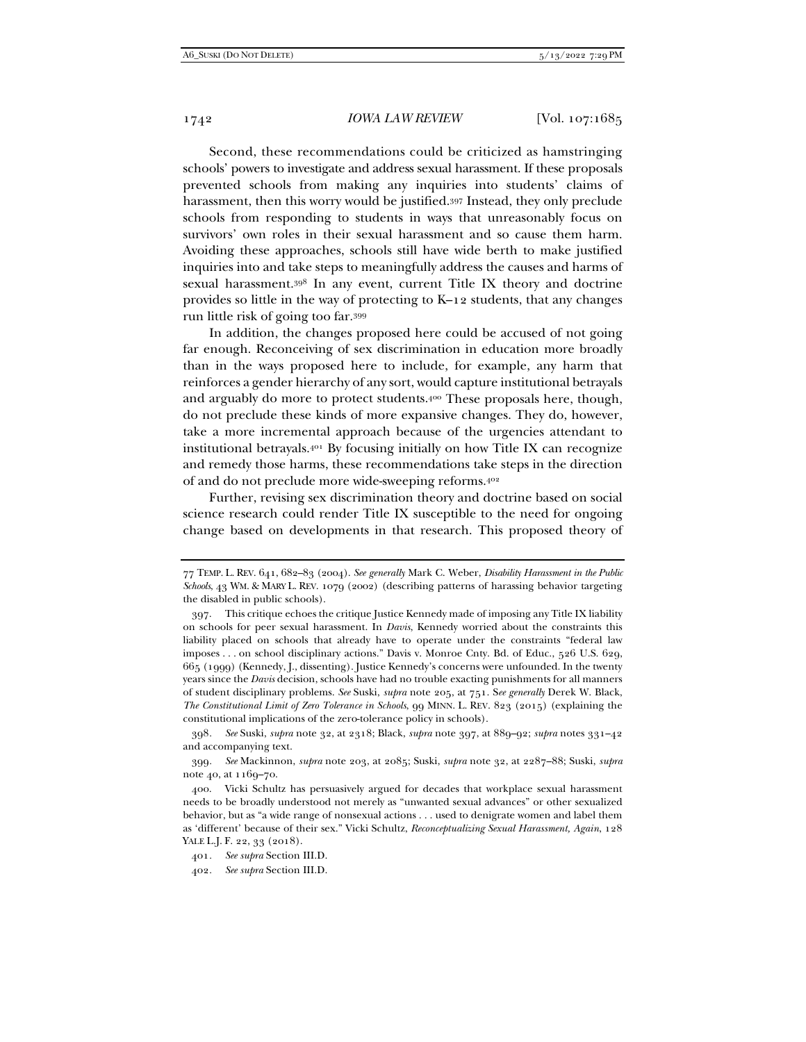Second, these recommendations could be criticized as hamstringing schools' powers to investigate and address sexual harassment. If these proposals prevented schools from making any inquiries into students' claims of harassment, then this worry would be justified.397 Instead, they only preclude schools from responding to students in ways that unreasonably focus on survivors' own roles in their sexual harassment and so cause them harm. Avoiding these approaches, schools still have wide berth to make justified inquiries into and take steps to meaningfully address the causes and harms of sexual harassment.398 In any event, current Title IX theory and doctrine provides so little in the way of protecting to K–12 students, that any changes run little risk of going too far.399

In addition, the changes proposed here could be accused of not going far enough. Reconceiving of sex discrimination in education more broadly than in the ways proposed here to include, for example, any harm that reinforces a gender hierarchy of any sort, would capture institutional betrayals and arguably do more to protect students.400 These proposals here, though, do not preclude these kinds of more expansive changes. They do, however, take a more incremental approach because of the urgencies attendant to institutional betrayals.401 By focusing initially on how Title IX can recognize and remedy those harms, these recommendations take steps in the direction of and do not preclude more wide-sweeping reforms.402

Further, revising sex discrimination theory and doctrine based on social science research could render Title IX susceptible to the need for ongoing change based on developments in that research. This proposed theory of

398*. See* Suski, *supra* note 32, at 2318; Black, *supra* note 397, at 889–92; *supra* notes 331–42 and accompanying text.

399*. See* Mackinnon, *supra* note 203, at 2085; Suski, *supra* note 32, at 2287–88; Suski, *supra* note 40, at 1169–70.

<sup>77</sup> TEMP. L. REV. 641, 682–83 (2004). *See generally* Mark C. Weber, *Disability Harassment in the Public Schools*, 43 WM. & MARY L. REV. 1079 (2002) (describing patterns of harassing behavior targeting the disabled in public schools).

 <sup>397.</sup> This critique echoes the critique Justice Kennedy made of imposing any Title IX liability on schools for peer sexual harassment. In *Davis*, Kennedy worried about the constraints this liability placed on schools that already have to operate under the constraints "federal law imposes . . . on school disciplinary actions." Davis v. Monroe Cnty. Bd. of Educ., 526 U.S. 629, 665 (1999) (Kennedy, J., dissenting). Justice Kennedy's concerns were unfounded. In the twenty years since the *Davis* decision, schools have had no trouble exacting punishments for all manners of student disciplinary problems. *See* Suski, *supra* note 205, at 751. S*ee generally* Derek W. Black, *The Constitutional Limit of Zero Tolerance in Schools*, 99 MINN. L. REV. 823 (2015) (explaining the constitutional implications of the zero-tolerance policy in schools).

 <sup>400.</sup> Vicki Schultz has persuasively argued for decades that workplace sexual harassment needs to be broadly understood not merely as "unwanted sexual advances" or other sexualized behavior, but as "a wide range of nonsexual actions . . . used to denigrate women and label them as 'different' because of their sex." Vicki Schultz, *Reconceptualizing Sexual Harassment, Again*, 128 YALE L.J. F. 22, 33 (2018).

<sup>401</sup>*. See supra* Section III.D.

<sup>402</sup>*. See supra* Section III.D.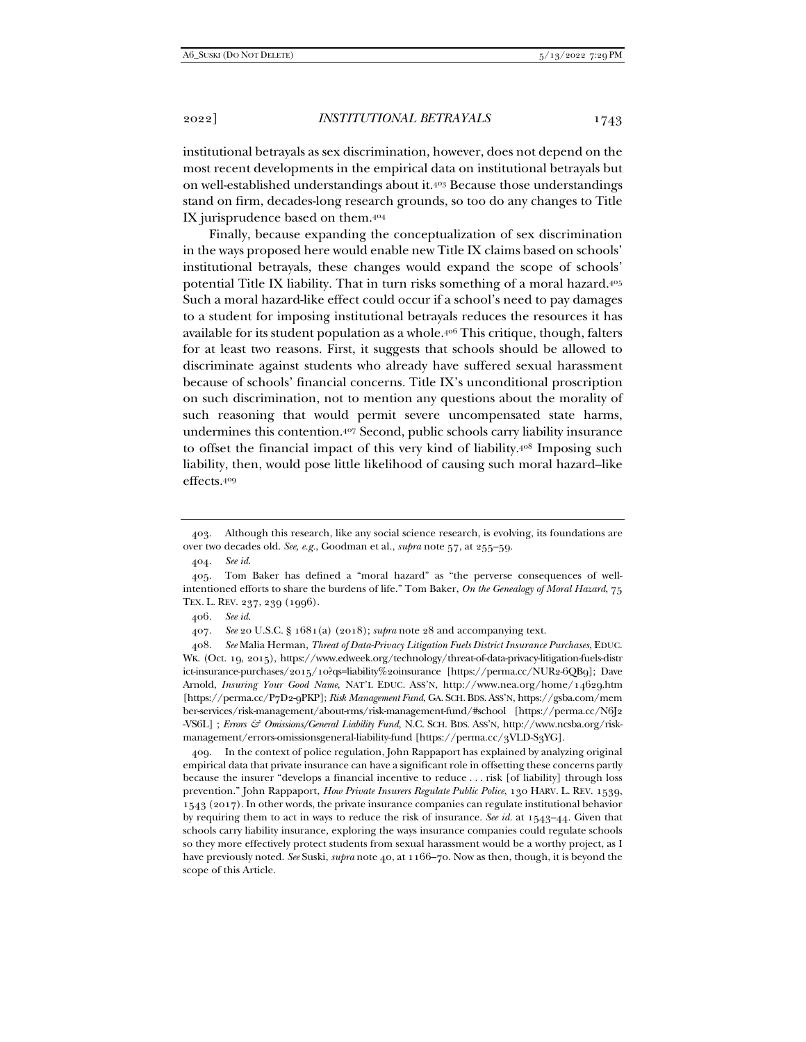institutional betrayals as sex discrimination, however, does not depend on the most recent developments in the empirical data on institutional betrayals but on well-established understandings about it.403 Because those understandings stand on firm, decades-long research grounds, so too do any changes to Title IX jurisprudence based on them.404

Finally, because expanding the conceptualization of sex discrimination in the ways proposed here would enable new Title IX claims based on schools' institutional betrayals, these changes would expand the scope of schools' potential Title IX liability. That in turn risks something of a moral hazard.405 Such a moral hazard-like effect could occur if a school's need to pay damages to a student for imposing institutional betrayals reduces the resources it has available for its student population as a whole.406 This critique, though, falters for at least two reasons. First, it suggests that schools should be allowed to discriminate against students who already have suffered sexual harassment because of schools' financial concerns. Title IX's unconditional proscription on such discrimination, not to mention any questions about the morality of such reasoning that would permit severe uncompensated state harms, undermines this contention.407 Second, public schools carry liability insurance to offset the financial impact of this very kind of liability.408 Imposing such liability, then, would pose little likelihood of causing such moral hazard–like effects.409

407. *See* 20 U.S.C. § 1681(a) (2018); *supra* note 28 and accompanying text.

 <sup>403.</sup> Although this research, like any social science research, is evolving, its foundations are over two decades old. *See, e.g.*, Goodman et al., *supra* note 57, at 255–59.

<sup>404</sup>*. See id.*

 <sup>405.</sup> Tom Baker has defined a "moral hazard" as "the perverse consequences of wellintentioned efforts to share the burdens of life." Tom Baker, *On the Genealogy of Moral Hazard*, 75 TEX. L. REV. 237, 239 (1996).

<sup>406</sup>*. See id.*

 <sup>408.</sup> *See* Malia Herman, *Threat of Data-Privacy Litigation Fuels District Insurance Purchases*, EDUC. WK. (Oct. 19, 2015), https://www.edweek.org/technology/threat-of-data-privacy-litigation-fuels-distr ict-insurance-purchases/2015/10?qs=liability%20insurance [https://perma.cc/NUR2-6QB9]; Dave Arnold, *Insuring Your Good Name*, NAT'L EDUC. ASS'N, http://www.nea.org/home/14629.htm [https://perma.cc/P7D2-9PKP]; *Risk Management Fund*, GA. SCH. BDS. ASS'N, https://gsba.com/mem ber-services/risk-management/about-rms/risk-management-fund/#school [https://perma.cc/N6J2 -VS6L] ; *Errors & Omissions/General Liability Fund*, N.C. SCH. BDS. ASS'N, http://www.ncsba.org/riskmanagement/errors-omissionsgeneral-liability-fund [https://perma.cc/3VLD-S3YG].

 <sup>409.</sup> In the context of police regulation, John Rappaport has explained by analyzing original empirical data that private insurance can have a significant role in offsetting these concerns partly because the insurer "develops a financial incentive to reduce . . . risk [of liability] through loss prevention." John Rappaport, *How Private Insurers Regulate Public Police*, 130 HARV. L. REV. 1539, 1543 (2017). In other words, the private insurance companies can regulate institutional behavior by requiring them to act in ways to reduce the risk of insurance. *See id.* at 1543–44. Given that schools carry liability insurance, exploring the ways insurance companies could regulate schools so they more effectively protect students from sexual harassment would be a worthy project, as I have previously noted. *See* Suski, *supra* note 40, at 1166–70. Now as then, though, it is beyond the scope of this Article.